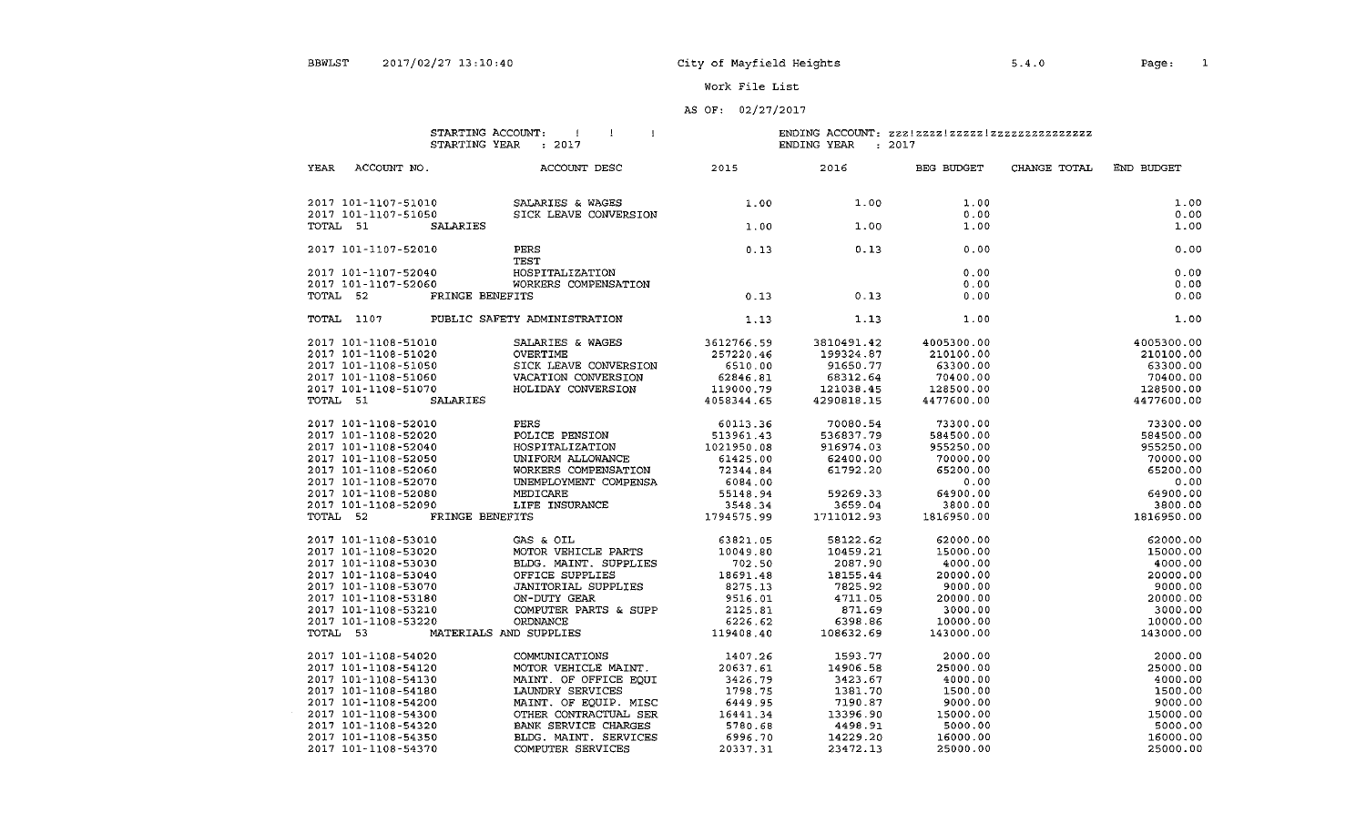### AS OF: 02/27/2017

STARTING ACCOUNT:  $\qquad \qquad 1 \qquad \qquad 1$ STARTING YEAR : 2017

| YEAR     | ACCOUNT NO.                                | ACCOUNT DESC                              | 2015       | 2016       | BEG BUDGET   | CHANGE TOTAL | END BUDGET   |
|----------|--------------------------------------------|-------------------------------------------|------------|------------|--------------|--------------|--------------|
|          | 2017 101-1107-51010<br>2017 101-1107-51050 | SALARIES & WAGES<br>SICK LEAVE CONVERSION | 1.00       | 1.00       | 1.00<br>0.00 |              | 1.00<br>0.00 |
| TOTAL 51 |                                            | SALARIES                                  | 1.00       | 1.00       | 1.00         |              | 1.00         |
|          | 2017 101-1107-52010                        | PERS<br><b>TEST</b>                       | 0.13       | 0.13       | 0.00         |              | 0.00         |
|          | 2017 101-1107-52040                        | HOSPITALIZATION                           |            |            | 0.00         |              | 0.00         |
|          | 2017 101-1107-52060                        | WORKERS COMPENSATION                      |            |            | 0.00         |              | 0.00         |
| TOTAL 52 |                                            | FRINGE BENEFITS                           | 0.13       | 0.13       | 0.00         |              | 0.00         |
|          | TOTAL 1107                                 | PUBLIC SAFETY ADMINISTRATION              | 1.13       | 1.13       | 1.00         |              | 1.00         |
|          | 2017 101-1108-51010                        | SALARIES & WAGES                          | 3612766.59 | 3810491.42 | 4005300.00   |              | 4005300.00   |
|          | 2017 101-1108-51020                        | <b>OVERTIME</b>                           | 257220.46  | 199324.87  | 210100.00    |              | 210100.00    |
|          | 2017 101-1108-51050                        | SICK LEAVE CONVERSION                     | 6510.00    | 91650.77   | 63300.00     |              | 63300.00     |
|          | 2017 101-1108-51060                        | VACATION CONVERSION                       | 62846.81   | 68312.64   | 70400.00     |              | 70400.00     |
|          | 2017 101-1108-51070                        | HOLIDAY CONVERSION                        | 119000.79  | 121038.45  | 128500.00    |              | 128500.00    |
| TOTAL 51 |                                            | SALARIES                                  | 4058344.65 | 4290818.15 | 4477600.00   |              | 4477600.00   |
|          | 2017 101-1108-52010                        | PERS                                      | 60113.36   | 70080.54   | 73300.00     |              | 73300.00     |
|          | 2017 101-1108-52020                        | POLICE PENSION                            | 513961.43  | 536837.79  | 584500.00    |              | 584500.00    |
|          | 2017 101-1108-52040                        | HOSPITALIZATION                           | 1021950.08 | 916974.03  | 955250.00    |              | 955250.00    |
|          | 2017 101-1108-52050                        | UNIFORM ALLOWANCE                         | 61425.00   | 62400.00   | 70000.00     |              | 70000.00     |
|          | 2017 101-1108-52060                        | WORKERS COMPENSATION                      | 72344.84   | 61792.20   | 65200.00     |              | 65200.00     |
|          | 2017 101-1108-52070                        | UNEMPLOYMENT COMPENSA                     | 6084.00    |            | 0.00         |              | 0.00         |
|          | 2017 101-1108-52080                        | MEDICARE                                  | 55148.94   | 59269.33   | 64900.00     |              | 64900.00     |
|          | 2017 101-1108-52090                        | LIFE INSURANCE                            | 3548.34    | 3659.04    | 3800.00      |              | 3800.00      |
| TOTAL 52 |                                            | FRINGE BENEFITS                           | 1794575.99 | 1711012.93 | 1816950.00   |              | 1816950.00   |
|          | 2017 101-1108-53010                        | GAS & OIL                                 | 63821.05   | 58122.62   | 62000.00     |              | 62000.00     |
|          | 2017 101-1108-53020                        | MOTOR VEHICLE PARTS                       | 10049.80   | 10459.21   | 15000.00     |              | 15000.00     |
|          | 2017 101-1108-53030                        | BLDG. MAINT. SUPPLIES                     | 702.50     | 2087.90    | 4000.00      |              | 4000.00      |
|          | 2017 101-1108-53040                        | OFFICE SUPPLIES                           | 18691.48   | 18155.44   | 20000.00     |              | 20000.00     |
|          | 2017 101-1108-53070                        | JANITORIAL SUPPLIES                       | 8275.13    | 7825.92    | 9000.00      |              | 9000.00      |
|          | 2017 101-1108-53180                        | ON-DUTY GEAR                              | 9516.01    | 4711.05    | 20000.00     |              | 20000.00     |
|          | 2017 101-1108-53210                        | COMPUTER PARTS & SUPP                     | 2125.81    | 871.69     | 3000.00      |              | 3000.00      |
|          | 2017 101-1108-53220                        | ORDNANCE                                  | 6226.62    | 6398.86    | 10000.00     |              | 10000.00     |
| TOTAL 53 |                                            | MATERIALS AND SUPPLIES                    | 119408.40  | 108632.69  | 143000.00    |              | 143000.00    |
|          | 2017 101-1108-54020                        | COMMUNICATIONS                            | 1407.26    | 1593.77    | 2000.00      |              | 2000.00      |
|          | 2017 101-1108-54120                        | MOTOR VEHICLE MAINT.                      | 20637.61   | 14906.58   | 25000.00     |              | 25000.00     |
|          | 2017 101-1108-54130                        | MAINT. OF OFFICE EOUI                     | 3426.79    | 3423.67    | 4000.00      |              | 4000.00      |
|          | 2017 101-1108-54180                        | LAUNDRY SERVICES                          | 1798.75    | 1381.70    | 1500.00      |              | 1500.00      |
|          | 2017 101-1108-54200                        | MAINT. OF EQUIP. MISC                     | 6449.95    | 7190.87    | 9000.00      |              | 9000.00      |
|          | 2017 101-1108-54300                        | OTHER CONTRACTUAL SER                     | 16441.34   | 13396.90   | 15000.00     |              | 15000.00     |
|          | 2017 101-1108-54320                        | <b>BANK SERVICE CHARGES</b>               | 5780.68    | 4498.91    | 5000.00      |              | 5000.00      |
|          | 2017 101-1108-54350                        | BLDG. MAINT. SERVICES                     | 6996.70    | 14229.20   | 16000.00     |              | 16000.00     |
|          | 2017 101-1108-54370                        | COMPUTER SERVICES                         | 20337.31   | 23472.13   | 25000.00     |              | 25000.00     |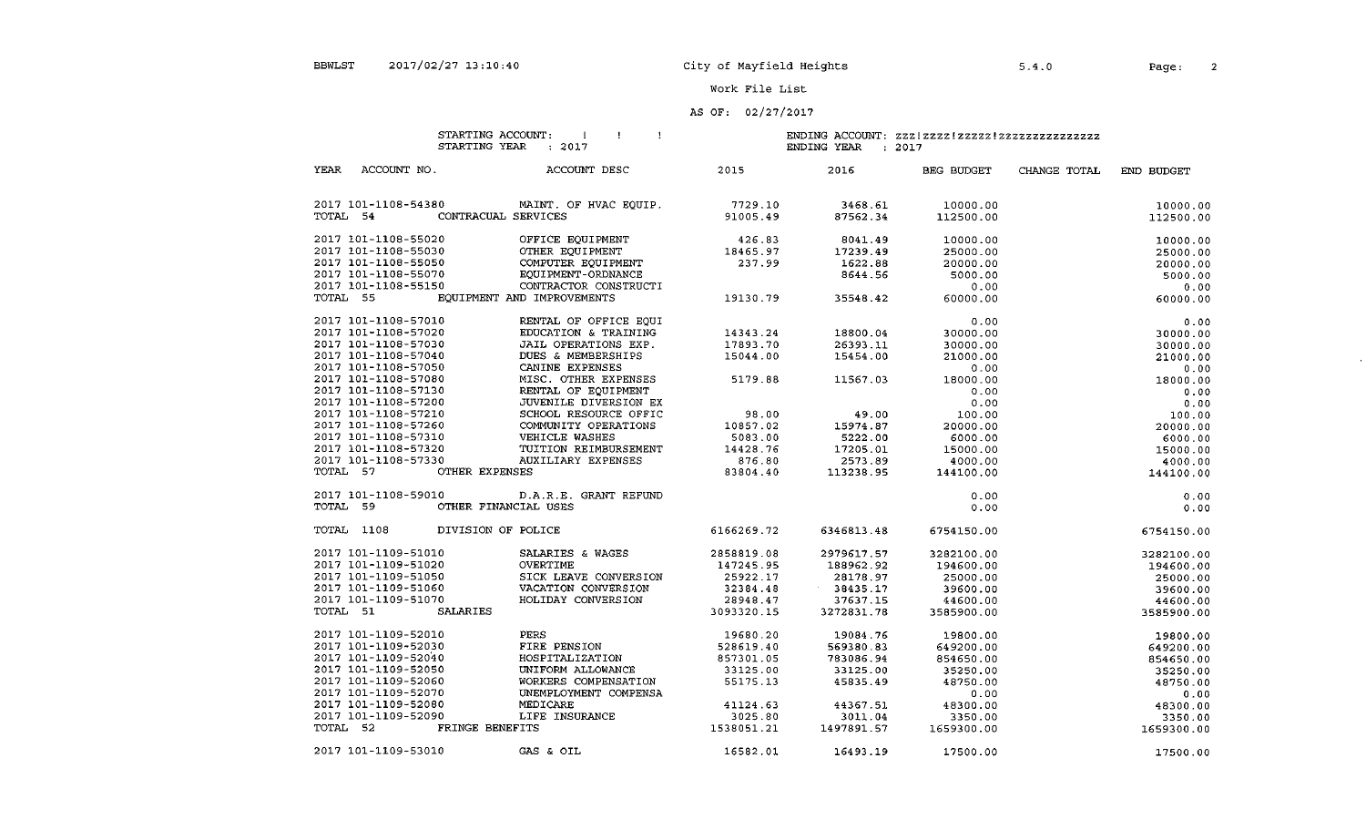Page: 2

### Work File List

### AS OF: 02/27/2017

STARTING ACCOUNT:  $\qquad$  | | | STARTING YEAR : 2017

# ENDING ACCOUNT: zzz!zzzz!zzzzz!zzzzzzzzzzzzzzz ENDING YEAR 2017

2015 2016 BEG BUDGET CHANGE TOTAL END BUDGET

YEAR ACCOUNT NO. ACCOUNT DESC

| 2017 101-1108-54380              | MAINT. OF HVAC EOUIP.      | 7729.10    | 3468.61    | 10000.00   | 10000.00   |
|----------------------------------|----------------------------|------------|------------|------------|------------|
| TOTAL 54<br>CONTRACUAL SERVICES  |                            | 91005.49   | 87562.34   | 112500.00  | 112500.00  |
| 2017 101-1108-55020              | OFFICE EQUIPMENT           | 426.83     | 8041.49    | 10000.00   | 10000.00   |
| 2017 101-1108-55030              | OTHER EQUIPMENT            | 18465.97   | 17239.49   | 25000.00   | 25000.00   |
| 2017 101-1108-55050              | COMPUTER EQUIPMENT         | 237.99     | 1622.88    | 20000.00   | 20000.00   |
| 2017 101-1108-55070              | EQUIPMENT-ORDNANCE         |            | 8644.56    | 5000.00    | 5000.00    |
| 2017 101-1108-55150              | CONTRACTOR CONSTRUCTI      |            |            | 0.00       | 0.00       |
| TOTAL 55                         | EQUIPMENT AND IMPROVEMENTS | 19130.79   | 35548.42   | 60000.00   | 60000.00   |
|                                  |                            |            |            |            |            |
| 2017 101-1108-57010              | RENTAL OF OFFICE EQUI      |            |            | 0.00       | 0.00       |
| 2017 101-1108-57020              | EDUCATION & TRAINING       | 14343.24   | 18800.04   | 30000.00   | 30000.00   |
| 2017 101-1108-57030              | JAIL OPERATIONS EXP.       | 17893.70   | 26393.11   | 30000.00   | 30000.00   |
| 2017 101-1108-57040              | DUES & MEMBERSHIPS         | 15044.00   | 15454.00   | 21000.00   | 21000.00   |
| 2017 101-1108-57050              | CANINE EXPENSES            |            |            | 0.00       | 0.00       |
| 2017 101-1108-57080              | MISC. OTHER EXPENSES       | 5179.88    | 11567.03   | 18000.00   | 18000.00   |
| 2017 101-1108-57130              | RENTAL OF EQUIPMENT        |            |            | 0.00       | 0.00       |
| 2017 101-1108-57200              | JUVENILE DIVERSION EX      |            |            | 0.00       | 0.00       |
| 2017 101-1108-57210              | SCHOOL RESOURCE OFFIC      | 98.00      | 49.00      | 100.00     | 100.00     |
| 2017 101-1108-57260              | COMMUNITY OPERATIONS       | 10857.02   | 15974.87   | 20000.00   | 20000.00   |
| 2017 101-1108-57310              | VEHICLE WASHES             | 5083.00    | 5222.00    | 6000.00    | 6000.00    |
| 2017 101-1108-57320              | TUITION REIMBURSEMENT      | 14428.76   | 17205.01   | 15000.00   | 15000.00   |
| 2017 101-1108-57330              | AUXILIARY EXPENSES         | 876.80     | 2573.89    | 4000.00    | 4000.00    |
| TOTAL 57<br>OTHER EXPENSES       |                            | 83804.40   | 113238.95  | 144100.00  | 144100.00  |
| 2017 101-1108-59010              | D.A.R.E. GRANT REFUND      |            |            | 0.00       | 0.00       |
| TOTAL 59<br>OTHER FINANCIAL USES |                            |            |            | 0.00       | 0.00       |
| TOTAL 1108<br>DIVISION OF POLICE |                            | 6166269.72 | 6346813.48 | 6754150.00 | 6754150.00 |
| 2017 101-1109-51010              | SALARIES & WAGES           | 2858819.08 | 2979617.57 | 3282100.00 | 3282100.00 |
| 2017 101-1109-51020              | OVERTIME                   | 147245.95  | 188962.92  | 194600.00  | 194600.00  |
| 2017 101-1109-51050              | SICK LEAVE CONVERSION      | 25922.17   | 28178.97   | 25000.00   | 25000.00   |
| 2017 101-1109-51060              | VACATION CONVERSION        | 32384.48   | 38435.17   | 39600.00   | 39600.00   |
| 2017 101-1109-51070              | HOLIDAY CONVERSION         | 28948.47   | 37637.15   | 44600.00   | 44600.00   |
| TOTAL 51<br>SALARIES             |                            | 3093320.15 | 3272831.78 | 3585900.00 | 3585900.00 |
| 2017 101-1109-52010              | PERS                       | 19680.20   | 19084.76   | 19800.00   | 19800.00   |
| 2017 101-1109-52030              | FIRE PENSION               | 528619.40  | 569380.83  | 649200.00  | 649200.00  |
| 2017 101-1109-52040              | HOSPITALIZATION            | 857301.05  | 783086.94  | 854650.00  | 854650.00  |
| 2017 101-1109-52050              | UNIFORM ALLOWANCE          | 33125.00   | 33125.00   | 35250.00   | 35250.00   |
| 2017 101-1109-52060              | WORKERS COMPENSATION       | 55175.13   | 45835.49   | 48750.00   | 48750.00   |
| 2017 101-1109-52070              | UNEMPLOYMENT COMPENSA      |            |            | 0.00       | 0.00       |
| 2017 101-1109-52080              | MEDICARE                   | 41124.63   | 44367.51   | 48300.00   | 48300.00   |
| 2017 101-1109-52090              | LIFE INSURANCE             | 3025.80    | 3011.04    | 3350.00    | 3350.00    |
| TOTAL 52<br>FRINGE BENEFITS      |                            | 1538051.21 | 1497891.57 | 1659300.00 | 1659300.00 |
| 2017 101-1109-53010              | GAS & OIL                  | 16582.01   | 16493.19   | 17500.00   | 17500.00   |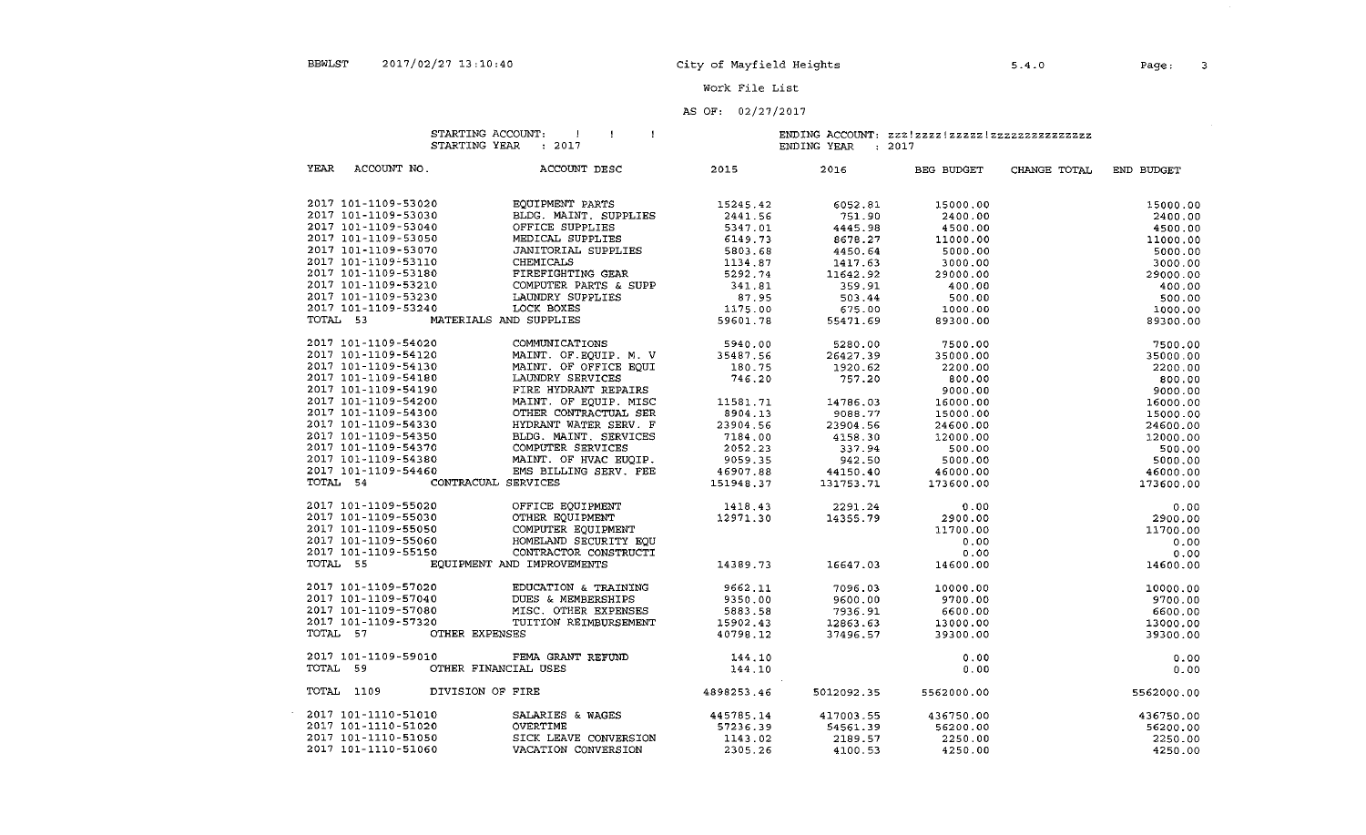$\sim 10^6$ 

Page: 3

### work File List

### AS OF:  $02/27/2017$

### STARTING ACCOUNT:  $\qquad$  | | | STARTING YEAR : 2017

| YEAR | ACCOUNT NO.         | ACCOUNT DESC               | 2015       | 2016       | <b>BEG BUDGET</b> | CHANGE TOTAL | END BUDGET |
|------|---------------------|----------------------------|------------|------------|-------------------|--------------|------------|
|      | 2017 101-1109-53020 | EOUIPMENT PARTS            | 15245.42   | 6052.81    | 15000.00          |              | 15000.00   |
|      | 2017 101-1109-53030 | BLDG. MAINT. SUPPLIES      | 2441.56    | 751.90     | 2400.00           |              | 2400.00    |
|      | 2017 101-1109-53040 | OFFICE SUPPLIES            | 5347.01    | 4445.98    | 4500.00           |              | 4500.00    |
|      | 2017 101-1109-53050 | MEDICAL SUPPLIES           | 6149.73    | 8678.27    | 11000.00          |              | 11000.00   |
|      | 2017 101-1109-53070 | JANITORIAL SUPPLIES        | 5803.68    | 4450.64    | 5000.00           |              | 5000.00    |
|      | 2017 101-1109-53110 | <b>CHEMICALS</b>           | 1134.87    | 1417.63    | 3000.00           |              | 3000.00    |
|      | 2017 101-1109-53180 | FIREFIGHTING GEAR          | 5292.74    | 11642.92   | 29000.00          |              | 29000.00   |
|      | 2017 101-1109-53210 | COMPUTER PARTS & SUPP      | 341.81     | 359.91     | 400.00            |              | 400.00     |
|      | 2017 101-1109-53230 | LAUNDRY SUPPLIES           | 87.95      | 503.44     | 500.00            |              |            |
|      | 2017 101-1109-53240 | LOCK BOXES                 | 1175.00    |            |                   |              | 500.00     |
|      | TOTAL 53            | MATERIALS AND SUPPLIES     | 59601.78   | 675.00     | 1000.00           |              | 1000.00    |
|      |                     |                            |            | 55471.69   | 89300.00          |              | 89300.00   |
|      | 2017 101-1109-54020 | COMMUNICATIONS             | 5940.00    | 5280.00    | 7500.00           |              | 7500.00    |
|      | 2017 101-1109-54120 | MAINT. OF.EQUIP. M. V      | 35487.56   | 26427.39   | 35000.00          |              | 35000.00   |
|      | 2017 101-1109-54130 | MAINT. OF OFFICE EQUI      | 180.75     | 1920.62    | 2200.00           |              | 2200.00    |
|      | 2017 101-1109-54180 | LAUNDRY SERVICES           | 746.20     | 757.20     | 800.00            |              | 800.00     |
|      | 2017 101-1109-54190 | FIRE HYDRANT REPAIRS       |            |            | 9000.00           |              | 9000.00    |
|      | 2017 101-1109-54200 | MAINT OF EQUIP. MISC       | 11581.71   | 14786.03   | 16000.00          |              | 16000.00   |
|      | 2017 101-1109-54300 | OTHER CONTRACTUAL SER      | 8904.13    | 9088.77    | 15000.00          |              | 15000.00   |
|      | 2017 101-1109-54330 | HYDRANT WATER SERV. F      | 23904.56   | 23904.56   | 24600.00          |              | 24600.00   |
|      | 2017 101-1109-54350 | BLDG. MAINT, SERVICES      | 7184.00    | 4158.30    | 12000.00          |              | 12000.00   |
|      | 2017 101-1109-54370 | COMPUTER SERVICES          | 2052.23    | 337.94     | 500.00            |              | 500.00     |
|      | 2017 101-1109-54380 | MAINT. OF HVAC EUOIP.      | 9059.35    | 942.50     | 5000.00           |              | 5000.00    |
|      | 2017 101-1109-54460 | EMS BILLING SERV. FEE      | 46907.88   | 44150.40   | 46000.00          |              | 46000.00   |
|      | TOTAL 54            | CONTRACUAL SERVICES        | 151948.37  | 131753.71  | 173600.00         |              | 173600.00  |
|      | 2017 101-1109-55020 | OFFICE EQUIPMENT           | 1418.43    | 2291.24    | 0.00              |              | 0.00       |
|      | 2017 101-1109-55030 | OTHER EQUIPMENT            | 12971.30   | 14355.79   | 2900.00           |              | 2900.00    |
|      | 2017 101-1109-55050 | COMPUTER EQUIPMENT         |            |            | 11700.00          |              | 11700.00   |
|      | 2017 101-1109-55060 | HOMELAND SECURITY EQU      |            |            | 0.00              |              | 0.00       |
|      | 2017 101-1109-55150 | CONTRACTOR CONSTRUCTI      |            |            | 0.00              |              | 0.00       |
|      | TOTAL 55            | EQUIPMENT AND IMPROVEMENTS | 14389.73   | 16647.03   | 14600.00          |              | 14600.00   |
|      | 2017 101-1109-57020 | EDUCATION & TRAINING       | 9662.11    | 7096.03    | 10000.00          |              | 10000.00   |
|      | 2017 101-1109-57040 | DUES & MEMBERSHIPS         | 9350.00    | 9600.00    | 9700.00           |              | 9700.00    |
|      | 2017 101-1109-57080 | MISC. OTHER EXPENSES       | 5883.58    | 7936.91    | 6600.00           |              | 6600.00    |
|      | 2017 101-1109-57320 | TUITION REIMBURSEMENT      | 15902.43   | 12863.63   | 13000.00          |              | 13000.00   |
|      | TOTAL 57            | OTHER EXPENSES             | 40798.12   | 37496.57   | 39300.00          |              | 39300.00   |
|      | 2017 101-1109-59010 | FEMA GRANT REFUND          | 144.10     |            | 0.00              |              | 0.00       |
|      | TOTAL 59            | OTHER FINANCIAL USES       | 144.10     |            | 0.00              |              | 0.00       |
|      |                     |                            |            |            |                   |              |            |
|      | TOTAL 1109          | DIVISION OF FIRE           | 4898253.46 | 5012092.35 | 5562000.00        |              | 5562000.00 |
|      | 2017 101-1110-51010 | SALARIES & WAGES           | 445785.14  | 417003.55  | 436750.00         |              | 436750.00  |
|      | 2017 101-1110-51020 | OVERTIME                   | 57236.39   | 54561.39   | 56200.00          |              | 56200.00   |
|      | 2017 101-1110-51050 | SICK LEAVE CONVERSION      | 1143.02    | 2189.57    | 2250.00           |              | 2250.00    |
|      | 2017 101-1110-51060 | VACATION CONVERSION        | 2305.26    | 4100.53    | 4250.00           |              | 4250.00    |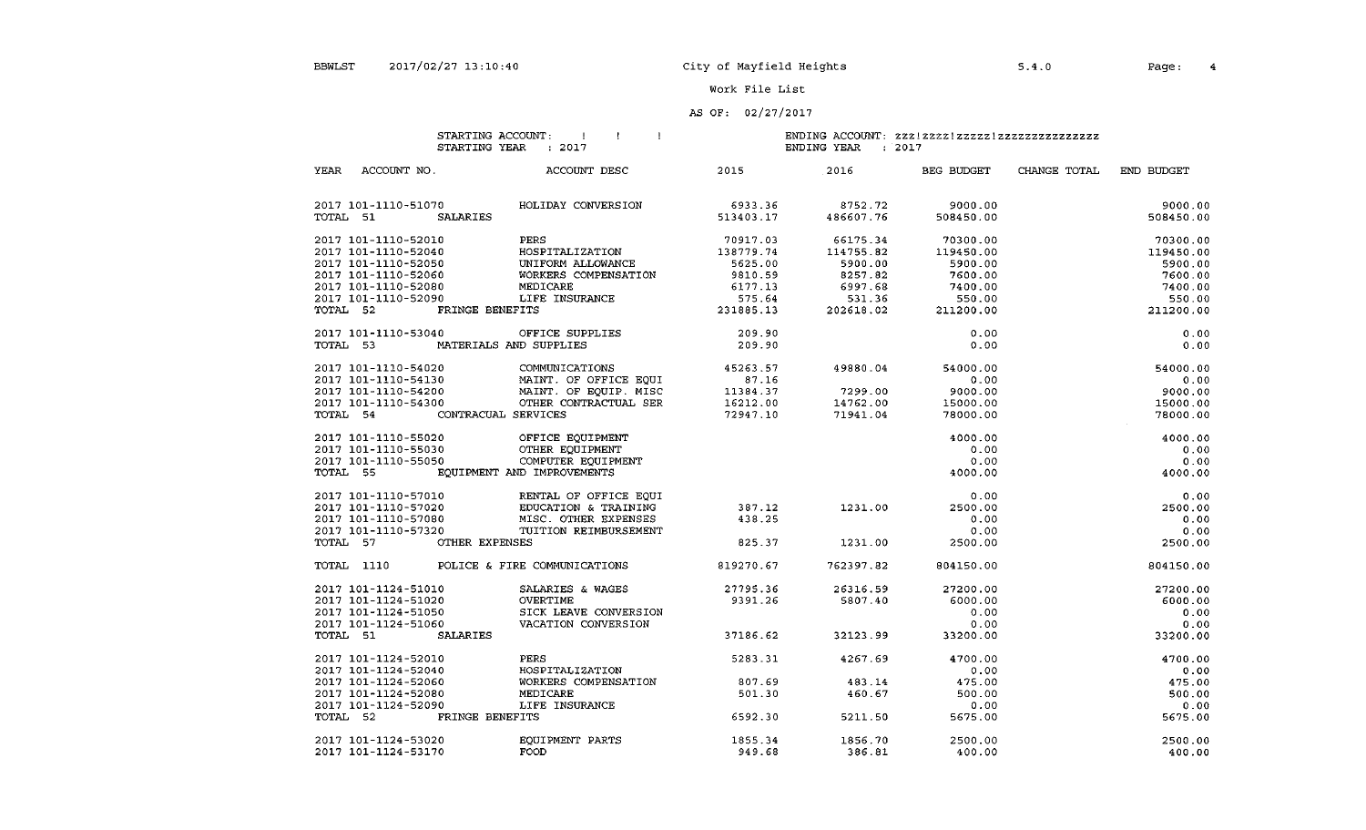### AS OF: 02/27/2017

#### STARTING ACCOUNT:  $\qquad$  !! STARTING YEAR : 2017

| YEAR       | ACCOUNT NO.         | ACCOUNT DESC                 | 2015      | 2016      | BEG BUDGET | CHANGE TOTAL | END BUDGET |
|------------|---------------------|------------------------------|-----------|-----------|------------|--------------|------------|
|            | 2017 101-1110-51070 | HOLIDAY CONVERSION           | 6933.36   | 8752.72   | 9000.00    |              | 9000.00    |
| TOTAL 51   |                     | <b>SALARIES</b>              | 513403.17 | 486607.76 | 508450.00  |              | 508450.00  |
|            | 2017 101-1110-52010 | PERS                         | 70917.03  | 66175.34  | 70300.00   |              | 70300.00   |
|            | 2017 101-1110-52040 | HOSPITALIZATION              | 138779.74 | 114755.82 | 119450.00  |              | 119450.00  |
|            | 2017 101-1110-52050 | UNIFORM ALLOWANCE            | 5625.00   | 5900.00   | 5900.00    |              | 5900.00    |
|            | 2017 101-1110-52060 | WORKERS COMPENSATION         | 9810.59   | 8257.82   | 7600.00    |              | 7600.00    |
|            | 2017 101-1110-52080 | MEDICARE                     | 6177.13   | 6997.68   | 7400.00    |              | 7400.00    |
|            | 2017 101-1110-52090 | LIFE INSURANCE               | 575.64    | 531.36    | 550.00     |              | 550.00     |
| TOTAL 52   |                     | FRINGE BENEFITS              | 231885.13 | 202618.02 | 211200.00  |              | 211200.00  |
|            | 2017 101-1110-53040 | OFFICE SUPPLIES              | 209.90    |           | 0.00       |              | 0.00       |
| TOTAL 53   |                     | MATERIALS AND SUPPLIES       | 209.90    |           | 0.00       |              | 0.00       |
|            | 2017 101-1110-54020 | COMMUNICATIONS               | 45263.57  | 49880.04  | 54000.00   |              | 54000.00   |
|            | 2017 101-1110-54130 | MAINT. OF OFFICE EQUI        | 87.16     |           | 0.00       |              | 0.00       |
|            | 2017 101-1110-54200 | MAINT. OF EQUIP. MISC        | 11384.37  | 7299.00   | 9000.00    |              | 9000.00    |
|            | 2017 101-1110-54300 | OTHER CONTRACTUAL SER        | 16212.00  | 14762.00  | 15000.00   |              | 15000.00   |
| TOTAL 54   |                     | CONTRACUAL SERVICES          | 72947.10  | 71941.04  | 78000.00   |              | 78000.00   |
|            | 2017 101-1110-55020 | OFFICE EQUIPMENT             |           |           | 4000.00    |              | 4000.00    |
|            | 2017 101-1110-55030 | OTHER EQUIPMENT              |           |           | 0.00       |              | 0.00       |
|            | 2017 101-1110-55050 | COMPUTER EQUIPMENT           |           |           | 0.00       |              | 0.00       |
| TOTAL 55   |                     | EOUIPMENT AND IMPROVEMENTS   |           |           | 4000.00    |              | 4000.00    |
|            | 2017 101-1110-57010 | RENTAL OF OFFICE EQUI        |           |           | 0.00       |              | 0.00       |
|            | 2017 101-1110-57020 | EDUCATION & TRAINING         | 387.12    | 1231.00   | 2500.00    |              | 2500.00    |
|            | 2017 101-1110-57080 | MISC. OTHER EXPENSES         | 438.25    |           | 0.00       |              | 0.00       |
|            | 2017 101-1110-57320 | TUITION REIMBURSEMENT        |           |           | 0.00       |              | 0.00       |
| TOTAL 57   |                     | OTHER EXPENSES               | 825.37    | 1231.00   | 2500.00    |              | 2500.00    |
| TOTAL 1110 |                     | POLICE & FIRE COMMUNICATIONS | 819270.67 | 762397.82 | 804150.00  |              | 804150.00  |
|            | 2017 101-1124-51010 | SALARIES & WAGES             | 27795.36  | 26316.59  | 27200.00   |              | 27200.00   |
|            | 2017 101-1124-51020 | <b>OVERTIME</b>              | 9391.26   | 5807.40   | 6000.00    |              | 6000.00    |
|            | 2017 101-1124-51050 | SICK LEAVE CONVERSION        |           |           | 0.00       |              | 0.00       |
|            | 2017 101-1124-51060 | VACATION CONVERSION          |           |           | 0.00       |              | 0.00       |
| TOTAL 51   |                     | SALARIES                     | 37186.62  | 32123.99  | 33200.00   |              | 33200.00   |
|            | 2017 101-1124-52010 | PERS                         | 5283.31   | 4267.69   | 4700.00    |              | 4700.00    |
|            | 2017 101-1124-52040 | HOSPITALIZATION              |           |           | 0.00       |              | 0.00       |
|            | 2017 101-1124-52060 | WORKERS COMPENSATION         | 807.69    | 483.14    | 475.00     |              | 475.00     |
|            | 2017 101-1124-52080 | MEDICARE                     | 501.30    | 460.67    | 500.00     |              | 500.00     |
|            | 2017 101-1124-52090 | LIFE INSURANCE               |           |           | 0.00       |              | 0.00       |
| TOTAL 52   |                     | FRINGE BENEFITS              | 6592.30   | 5211.50   | 5675.00    |              | 5675.00    |
|            | 2017 101-1124-53020 | EOUIPMENT PARTS              | 1855.34   | 1856.70   | 2500.00    |              | 2500.00    |
|            | 2017 101-1124-53170 | <b>FOOD</b>                  | 949.68    | 386.81    | 400.00     |              | 400.00     |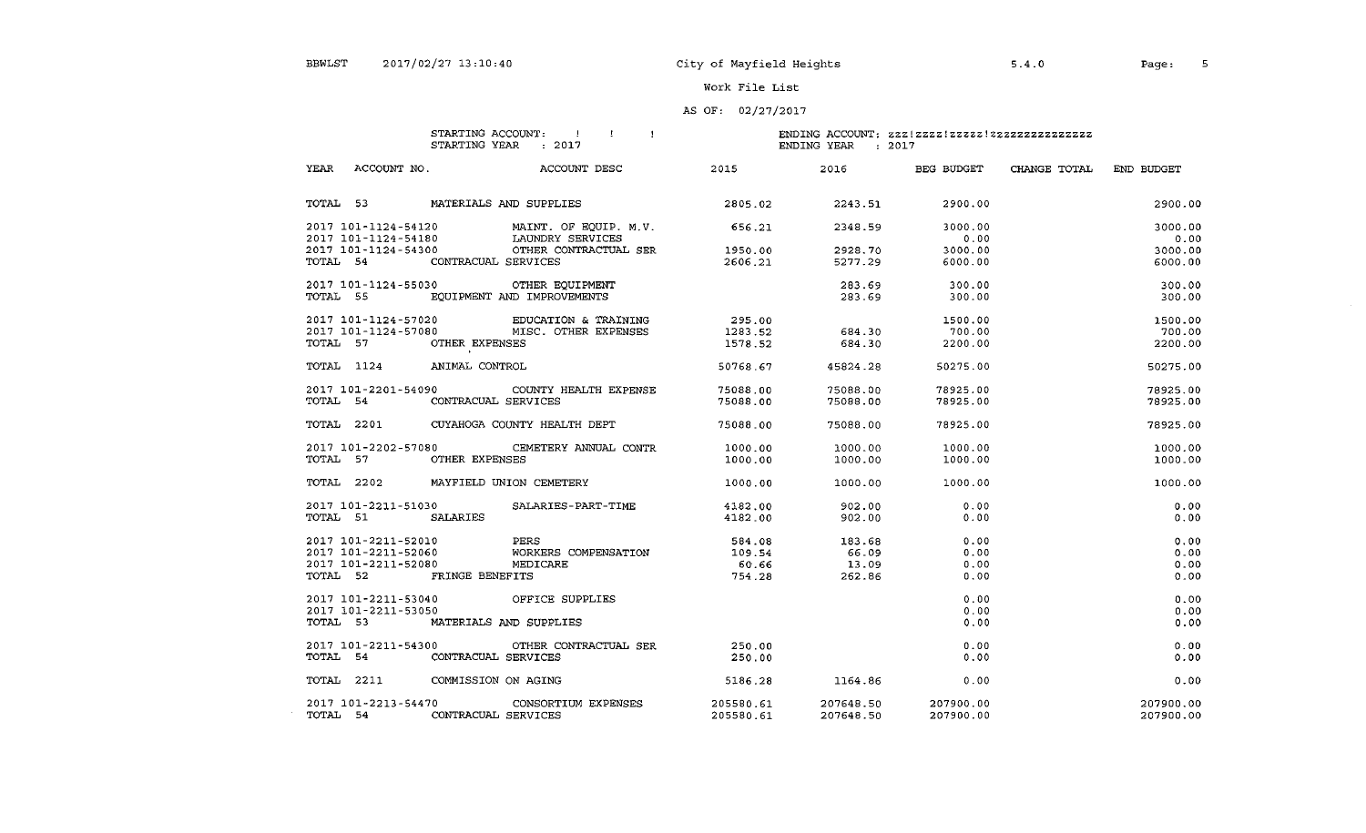### AS OF: 02/27/2017

## STARTING ACCOUNT: 1<br>STARTING YEAR 1: 2017

| YEAR<br>ACCOUNT NO.       | ACCOUNT DESC                                                                                                                          | 2015      |                              | 2016 BEG BUDGET              | CHANGE TOTAL | END BUDGET |
|---------------------------|---------------------------------------------------------------------------------------------------------------------------------------|-----------|------------------------------|------------------------------|--------------|------------|
|                           | TOTAL 53 MATERIALS AND SUPPLIES                                                                                                       |           | 2805.02 2243.51 2900.00      |                              |              | 2900.00    |
|                           | 2017 101-1124-54120 MAINT. OF EQUIP. M.V.<br>2017 101-1124-54180 LAUNDRY SERVICES                                                     |           | 656.21 2348.59 3000.00       |                              |              | 3000.00    |
|                           |                                                                                                                                       |           |                              |                              |              | 0.00       |
|                           |                                                                                                                                       |           |                              |                              |              | 3000.00    |
|                           |                                                                                                                                       |           |                              | $0.00$<br>3000.00<br>6000.00 |              | 6000.00    |
|                           | 2017 101-1124-55030 OTHER EQUIPMENT                                                                                                   |           | 283.69                       | 300.00                       |              | 300.00     |
|                           | TOTAL 55 EQUIPMENT AND IMPROVEMENTS                                                                                                   |           | 283.69                       | 300.00                       |              | 300.00     |
|                           | 2017 101-1124-57020 EDUCATION & TRAINING 295.00<br>2017 101-1124-57080 MISC. OTHER EXPENSES 1283.52<br>283.52 TOTAL 57 OTHER EXPENSES |           |                              | 1500.00                      |              | 1500.00    |
|                           |                                                                                                                                       |           |                              | 700.00                       |              | 700.00     |
|                           |                                                                                                                                       |           | 684.30<br>684.30             | 2200.00                      |              | 2200.00    |
| TOTAL 1124 ANIMAL CONTROL |                                                                                                                                       |           | 50768.67 45824.28            | 50275.00                     |              | 50275.00   |
|                           | 2017 101-2201-54090 COUNTY HEALTH EXPENSE 75088.00                                                                                    |           | 75088.00                     | 78925.00                     |              | 78925.00   |
|                           | TOTAL 54 CONTRACUAL SERVICES                                                                                                          | 75088.00  | 75088.00                     | 78925.00                     |              | 78925.00   |
|                           | TOTAL 2201 CUYAHOGA COUNTY HEALTH DEPT 75088.00                                                                                       |           | 75088.00                     | 78925.00                     |              | 78925.00   |
|                           | 2017 101-2202-57080 CEMETERY ANNUAL CONTR 1000.00                                                                                     |           | 1000.00                      | 1000.00                      |              | 1000.00    |
| TOTAL 57 OTHER EXPENSES   |                                                                                                                                       | 1000.00   | 1000.00                      | 1000.00                      |              | 1000.00    |
|                           | TOTAL 2202 MAYFIELD UNION CEMETERY                                                                                                    |           | 1000.00 1000.00              | 1000.00                      |              | 1000.00    |
|                           | 2017 101-2211-51030 SALARIES-PART-TIME 4182.00 902.00                                                                                 |           |                              | 0.00                         |              | 0.00       |
| TOTAL 51 SALARIES         |                                                                                                                                       | 4182.00   | 902.00                       | 0.00                         |              | 0.00       |
| 2017 101-2211-52010       | PERS                                                                                                                                  | 584.08    | 183.68                       | 0.00                         |              | 0.00       |
|                           | 2017 101-2211-52060 WORKERS COMPENSATION<br>2017 101-2211-52080 MEDICARE                                                              | 109.54    | 66.09                        | 0.00                         |              | 0.00       |
|                           |                                                                                                                                       |           | 60.66 13.09<br>754.28 262.86 | 0.00                         |              | 0.00       |
| TOTAL 52 FRINGE BENEFITS  | $\mathbf{S}$ and $\mathbf{S}$ and $\mathbf{S}$ are $\mathbf{S}$ .                                                                     |           |                              | 0.00                         |              | 0.00       |
|                           | 2017 101-2211-53040 OFFICE SUPPLIES                                                                                                   |           |                              | 0.00                         |              | 0.00       |
| 2017 101-2211-53050       |                                                                                                                                       |           |                              | 0.00                         |              | 0.00       |
|                           | TOTAL 53 MATERIALS AND SUPPLIES                                                                                                       |           |                              | 0.00                         |              | 0.00       |
|                           | 2017 101-2211-54300 OTHER CONTRACTUAL SER                                                                                             | 250.00    |                              | 0.00                         |              | 0.00       |
|                           | TOTAL 54 CONTRACUAL SERVICES                                                                                                          | 250.00    |                              | 0.00                         |              | 0.00       |
|                           | TOTAL 2211 COMMISSION ON AGING                                                                                                        |           | 5186.28 1164.86              | 0.00                         |              | 0.00       |
|                           | 2017 101-2213-54470 CONSORTIUM EXPENSES                                                                                               | 205580.61 |                              | 207648.50 207900.00          |              | 207900.00  |
| TOTAL 54                  | CONTRACUAL SERVICES                                                                                                                   | 205580.61 | 207648.50                    | 207900.00                    |              | 207900.00  |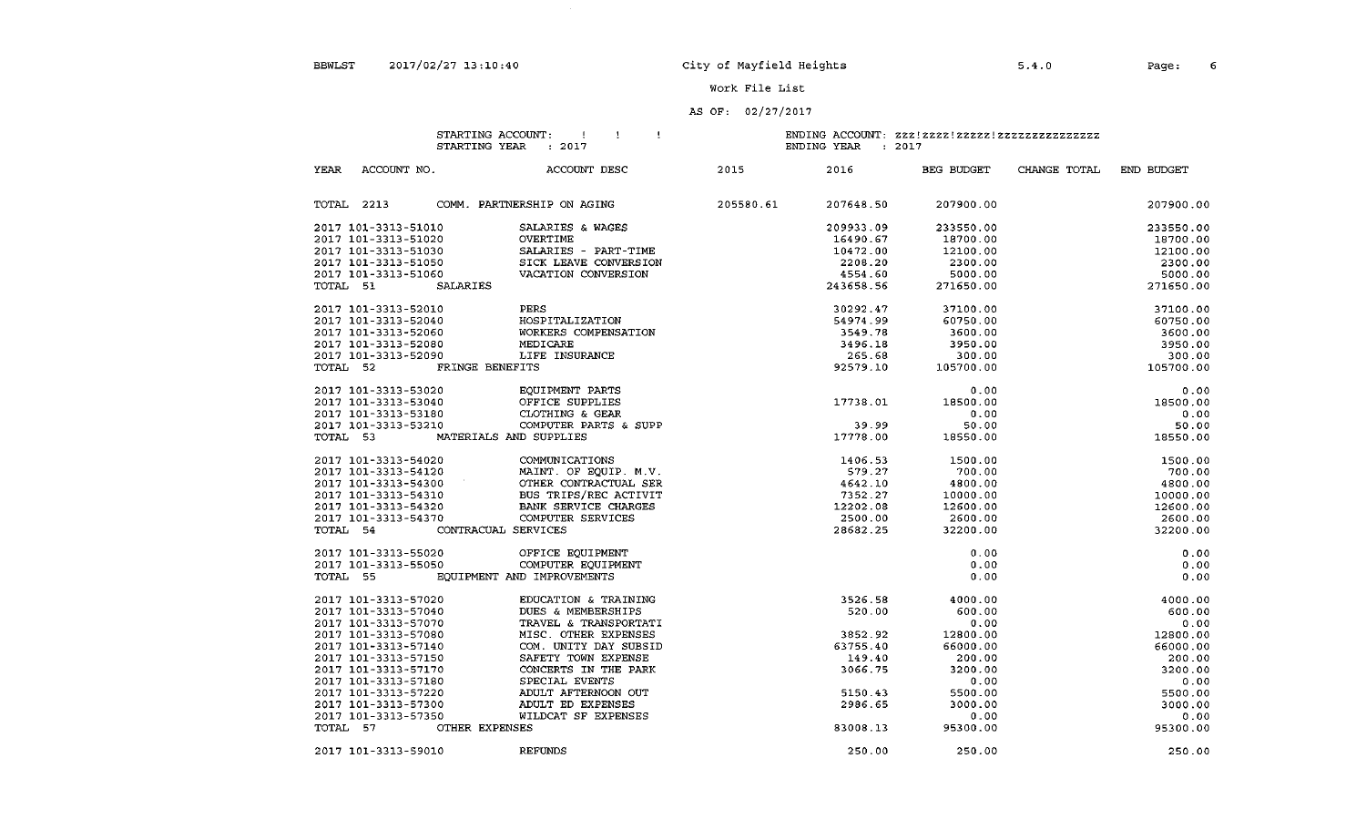2017 101-3313-59010 REFUNDS

Page: 6

250.00

Work File List

### AS OF: 02/27/2017

#### STARTING ACCOUNT:  $\qquad$  !! STARTING YEAR : 2017

#### ENDING ACCOUNT: ZZZ!ZZZZ!ZZZZZ!ZZZZZZZZZZZZZZZ ENDING YEAR : 2017

| 205580.61<br>TOTAL 2213<br>COMM. PARTNERSHIP ON AGING<br>207648.50<br>207900.00<br>207900.00<br>SALARIES & WAGES<br>2017 101-3313-51010<br>209933.09<br>233550.00<br>233550.00<br>SALARIES & WAGES<br>OVERTIME<br>SALARIES - PART-TIME<br>SICK LEAVE CONVERSION<br>VACATION CONVERSION<br>PERS<br>PERS<br>HOSPITALIZATION<br>MOSPITALIZATION<br>MORKERS COMPENSATION<br>MEDICARE<br>LIFE INSURANCE<br>TITS<br>2017 101-3313-51020<br>18700.00<br>16490.67<br>18700.00<br>2017 101-3313-51030<br>10472.00<br>12100.00<br>12100.00<br>2017 101-3313-51050<br>2208.20<br>2300.00<br>2300.00<br>2017 101-3313-51060<br>4554.60<br>5000.00<br>5000.00<br>TOTAL 51<br>SALARIES<br>243658.56<br>271650.00<br>271650.00<br>2017 101-3313-52010<br>30292.47<br>37100.00<br>37100.00<br>2017 101-3313-52040<br>54974.99<br>60750.00<br>60750.00<br>2017 101-3313-52060<br>3549.78<br>3600.00<br>3600.00<br>2017 101-3313-52080<br>3496.18<br>3950.00<br>3950.00<br>265.68<br>300.00<br>2017 101-3313-52090<br>300.00<br>TOTAL 52<br>FRINGE BENEFITS<br>92579.10<br>105700.00<br>105700.00<br>EQUIPMENT PARTS<br>OFFICE SUPPLIES<br>CLOTHING & GEAR<br>COMPUTER PARTS & SUPP<br>ND SUPPLIES<br>COMMUNICATIONS<br>MAINT. OF EQUIP. M.V.<br>OTHER CONTRACTUAL SER<br>BUS TRIPS/REC ACTIVIT<br>BANK SERVICE CHARGES<br>COMPUTER SERVICES<br>OFFICE EQ<br>2017 101-3313-53020<br>0.00<br>0.00<br>2017 101-3313-53040<br>18500.00<br>17738.01<br>18500.00<br>2017 101-3313-53180<br>0.00<br>0.00<br>50.00<br>2017 101-3313-53210<br>39.99<br>50.00<br>TOTAL 53<br>MATERIALS AND SUPPLIES<br>17778.00<br>18550.00<br>18550.00<br>2017 101-3313-54020<br>1406.53<br>1500.00<br>1500.00<br>2017 101-3313-54120<br>579.27<br>700.00<br>700.00<br>2017 101-3313-54300<br>4642.10<br>4800.00<br>4800.00<br>7352.27<br>2017 101-3313-54310<br>10000.00<br>10000.00<br>2017 101-3313-54320<br>12202.08<br>12600.00<br>12600.00<br>2017 101-3313-54370<br>2500.00<br>2600.00<br>2600.00<br>TOTAL 54<br>CONTRACUAL SERVICES<br>28682.25<br>32200.00<br>32200.00<br>0.00<br>2017 101-3313-55020<br>0.00<br>2017 101-3313-55050<br>0.00<br>0.00<br>EOUIPMENT AND IMPROVEMENTS<br>0.00<br>TOTAL 55<br>0.00<br>EDUCATION & TRAINING<br>3526.58<br>4000.00<br>2017 101-3313-57020<br>4000.00<br>2017 101-3313-57040<br>520.00<br>600.00<br>DUES & MEMBERSHIPS<br>600.00<br>2017 101-3313-57070<br>TRAVEL & TRANSPORTATI<br>0.00<br>0.00<br>2017 101-3313-57080<br>MISC. OTHER EXPENSES<br>3852.92<br>12800.00<br>12800.00<br>2017 101-3313-57140<br>COM. UNITY DAY SUBSID<br>63755.40<br>66000.00<br>66000.00<br>2017 101-3313-57150<br>SAFETY TOWN EXPENSE<br>149.40<br>200.00<br>200.00<br>2017 101-3313-57170<br>CONCERTS IN THE PARK<br>3066.75<br>3200.00<br>3200.00<br>SPECIAL EVENTS<br>2017 101-3313-57180<br>0.00<br>0.00<br>ADULT AFTERNOON OUT<br>2017 101-3313-57220<br>5500.00<br>5150.43<br>5500.00<br>ADULT ED EXPENSES<br>2017 101-3313-57300<br>2986.65<br>3000.00<br>3000.00<br>WILDCAT SF EXPENSES<br>2017 101-3313-57350<br>$0 - 00$<br>0.00<br>TOTAL 57<br>OTHER EXPENSES<br>95300.00<br>83008.13<br>95300.00 | YEAR | ACCOUNT NO. | ACCOUNT DESC | 2015 | 2016 | BEG BUDGET | CHANGE TOTAL | END BUDGET |
|-----------------------------------------------------------------------------------------------------------------------------------------------------------------------------------------------------------------------------------------------------------------------------------------------------------------------------------------------------------------------------------------------------------------------------------------------------------------------------------------------------------------------------------------------------------------------------------------------------------------------------------------------------------------------------------------------------------------------------------------------------------------------------------------------------------------------------------------------------------------------------------------------------------------------------------------------------------------------------------------------------------------------------------------------------------------------------------------------------------------------------------------------------------------------------------------------------------------------------------------------------------------------------------------------------------------------------------------------------------------------------------------------------------------------------------------------------------------------------------------------------------------------------------------------------------------------------------------------------------------------------------------------------------------------------------------------------------------------------------------------------------------------------------------------------------------------------------------------------------------------------------------------------------------------------------------------------------------------------------------------------------------------------------------------------------------------------------------------------------------------------------------------------------------------------------------------------------------------------------------------------------------------------------------------------------------------------------------------------------------------------------------------------------------------------------------------------------------------------------------------------------------------------------------------------------------------------------------------------------------------------------------------------------------------------------------------------------------------------------------------------------------------------------------------------------------------------------------------------------------------------------------------------------------------------------------------------------------------------------------------------------------------------------------------------------------------------------------------------|------|-------------|--------------|------|------|------------|--------------|------------|
|                                                                                                                                                                                                                                                                                                                                                                                                                                                                                                                                                                                                                                                                                                                                                                                                                                                                                                                                                                                                                                                                                                                                                                                                                                                                                                                                                                                                                                                                                                                                                                                                                                                                                                                                                                                                                                                                                                                                                                                                                                                                                                                                                                                                                                                                                                                                                                                                                                                                                                                                                                                                                                                                                                                                                                                                                                                                                                                                                                                                                                                                                                     |      |             |              |      |      |            |              |            |
|                                                                                                                                                                                                                                                                                                                                                                                                                                                                                                                                                                                                                                                                                                                                                                                                                                                                                                                                                                                                                                                                                                                                                                                                                                                                                                                                                                                                                                                                                                                                                                                                                                                                                                                                                                                                                                                                                                                                                                                                                                                                                                                                                                                                                                                                                                                                                                                                                                                                                                                                                                                                                                                                                                                                                                                                                                                                                                                                                                                                                                                                                                     |      |             |              |      |      |            |              |            |
|                                                                                                                                                                                                                                                                                                                                                                                                                                                                                                                                                                                                                                                                                                                                                                                                                                                                                                                                                                                                                                                                                                                                                                                                                                                                                                                                                                                                                                                                                                                                                                                                                                                                                                                                                                                                                                                                                                                                                                                                                                                                                                                                                                                                                                                                                                                                                                                                                                                                                                                                                                                                                                                                                                                                                                                                                                                                                                                                                                                                                                                                                                     |      |             |              |      |      |            |              |            |
|                                                                                                                                                                                                                                                                                                                                                                                                                                                                                                                                                                                                                                                                                                                                                                                                                                                                                                                                                                                                                                                                                                                                                                                                                                                                                                                                                                                                                                                                                                                                                                                                                                                                                                                                                                                                                                                                                                                                                                                                                                                                                                                                                                                                                                                                                                                                                                                                                                                                                                                                                                                                                                                                                                                                                                                                                                                                                                                                                                                                                                                                                                     |      |             |              |      |      |            |              |            |
|                                                                                                                                                                                                                                                                                                                                                                                                                                                                                                                                                                                                                                                                                                                                                                                                                                                                                                                                                                                                                                                                                                                                                                                                                                                                                                                                                                                                                                                                                                                                                                                                                                                                                                                                                                                                                                                                                                                                                                                                                                                                                                                                                                                                                                                                                                                                                                                                                                                                                                                                                                                                                                                                                                                                                                                                                                                                                                                                                                                                                                                                                                     |      |             |              |      |      |            |              |            |
|                                                                                                                                                                                                                                                                                                                                                                                                                                                                                                                                                                                                                                                                                                                                                                                                                                                                                                                                                                                                                                                                                                                                                                                                                                                                                                                                                                                                                                                                                                                                                                                                                                                                                                                                                                                                                                                                                                                                                                                                                                                                                                                                                                                                                                                                                                                                                                                                                                                                                                                                                                                                                                                                                                                                                                                                                                                                                                                                                                                                                                                                                                     |      |             |              |      |      |            |              |            |
|                                                                                                                                                                                                                                                                                                                                                                                                                                                                                                                                                                                                                                                                                                                                                                                                                                                                                                                                                                                                                                                                                                                                                                                                                                                                                                                                                                                                                                                                                                                                                                                                                                                                                                                                                                                                                                                                                                                                                                                                                                                                                                                                                                                                                                                                                                                                                                                                                                                                                                                                                                                                                                                                                                                                                                                                                                                                                                                                                                                                                                                                                                     |      |             |              |      |      |            |              |            |
|                                                                                                                                                                                                                                                                                                                                                                                                                                                                                                                                                                                                                                                                                                                                                                                                                                                                                                                                                                                                                                                                                                                                                                                                                                                                                                                                                                                                                                                                                                                                                                                                                                                                                                                                                                                                                                                                                                                                                                                                                                                                                                                                                                                                                                                                                                                                                                                                                                                                                                                                                                                                                                                                                                                                                                                                                                                                                                                                                                                                                                                                                                     |      |             |              |      |      |            |              |            |
|                                                                                                                                                                                                                                                                                                                                                                                                                                                                                                                                                                                                                                                                                                                                                                                                                                                                                                                                                                                                                                                                                                                                                                                                                                                                                                                                                                                                                                                                                                                                                                                                                                                                                                                                                                                                                                                                                                                                                                                                                                                                                                                                                                                                                                                                                                                                                                                                                                                                                                                                                                                                                                                                                                                                                                                                                                                                                                                                                                                                                                                                                                     |      |             |              |      |      |            |              |            |
|                                                                                                                                                                                                                                                                                                                                                                                                                                                                                                                                                                                                                                                                                                                                                                                                                                                                                                                                                                                                                                                                                                                                                                                                                                                                                                                                                                                                                                                                                                                                                                                                                                                                                                                                                                                                                                                                                                                                                                                                                                                                                                                                                                                                                                                                                                                                                                                                                                                                                                                                                                                                                                                                                                                                                                                                                                                                                                                                                                                                                                                                                                     |      |             |              |      |      |            |              |            |
|                                                                                                                                                                                                                                                                                                                                                                                                                                                                                                                                                                                                                                                                                                                                                                                                                                                                                                                                                                                                                                                                                                                                                                                                                                                                                                                                                                                                                                                                                                                                                                                                                                                                                                                                                                                                                                                                                                                                                                                                                                                                                                                                                                                                                                                                                                                                                                                                                                                                                                                                                                                                                                                                                                                                                                                                                                                                                                                                                                                                                                                                                                     |      |             |              |      |      |            |              |            |
|                                                                                                                                                                                                                                                                                                                                                                                                                                                                                                                                                                                                                                                                                                                                                                                                                                                                                                                                                                                                                                                                                                                                                                                                                                                                                                                                                                                                                                                                                                                                                                                                                                                                                                                                                                                                                                                                                                                                                                                                                                                                                                                                                                                                                                                                                                                                                                                                                                                                                                                                                                                                                                                                                                                                                                                                                                                                                                                                                                                                                                                                                                     |      |             |              |      |      |            |              |            |
|                                                                                                                                                                                                                                                                                                                                                                                                                                                                                                                                                                                                                                                                                                                                                                                                                                                                                                                                                                                                                                                                                                                                                                                                                                                                                                                                                                                                                                                                                                                                                                                                                                                                                                                                                                                                                                                                                                                                                                                                                                                                                                                                                                                                                                                                                                                                                                                                                                                                                                                                                                                                                                                                                                                                                                                                                                                                                                                                                                                                                                                                                                     |      |             |              |      |      |            |              |            |
|                                                                                                                                                                                                                                                                                                                                                                                                                                                                                                                                                                                                                                                                                                                                                                                                                                                                                                                                                                                                                                                                                                                                                                                                                                                                                                                                                                                                                                                                                                                                                                                                                                                                                                                                                                                                                                                                                                                                                                                                                                                                                                                                                                                                                                                                                                                                                                                                                                                                                                                                                                                                                                                                                                                                                                                                                                                                                                                                                                                                                                                                                                     |      |             |              |      |      |            |              |            |
|                                                                                                                                                                                                                                                                                                                                                                                                                                                                                                                                                                                                                                                                                                                                                                                                                                                                                                                                                                                                                                                                                                                                                                                                                                                                                                                                                                                                                                                                                                                                                                                                                                                                                                                                                                                                                                                                                                                                                                                                                                                                                                                                                                                                                                                                                                                                                                                                                                                                                                                                                                                                                                                                                                                                                                                                                                                                                                                                                                                                                                                                                                     |      |             |              |      |      |            |              |            |
|                                                                                                                                                                                                                                                                                                                                                                                                                                                                                                                                                                                                                                                                                                                                                                                                                                                                                                                                                                                                                                                                                                                                                                                                                                                                                                                                                                                                                                                                                                                                                                                                                                                                                                                                                                                                                                                                                                                                                                                                                                                                                                                                                                                                                                                                                                                                                                                                                                                                                                                                                                                                                                                                                                                                                                                                                                                                                                                                                                                                                                                                                                     |      |             |              |      |      |            |              |            |
|                                                                                                                                                                                                                                                                                                                                                                                                                                                                                                                                                                                                                                                                                                                                                                                                                                                                                                                                                                                                                                                                                                                                                                                                                                                                                                                                                                                                                                                                                                                                                                                                                                                                                                                                                                                                                                                                                                                                                                                                                                                                                                                                                                                                                                                                                                                                                                                                                                                                                                                                                                                                                                                                                                                                                                                                                                                                                                                                                                                                                                                                                                     |      |             |              |      |      |            |              |            |
|                                                                                                                                                                                                                                                                                                                                                                                                                                                                                                                                                                                                                                                                                                                                                                                                                                                                                                                                                                                                                                                                                                                                                                                                                                                                                                                                                                                                                                                                                                                                                                                                                                                                                                                                                                                                                                                                                                                                                                                                                                                                                                                                                                                                                                                                                                                                                                                                                                                                                                                                                                                                                                                                                                                                                                                                                                                                                                                                                                                                                                                                                                     |      |             |              |      |      |            |              |            |
|                                                                                                                                                                                                                                                                                                                                                                                                                                                                                                                                                                                                                                                                                                                                                                                                                                                                                                                                                                                                                                                                                                                                                                                                                                                                                                                                                                                                                                                                                                                                                                                                                                                                                                                                                                                                                                                                                                                                                                                                                                                                                                                                                                                                                                                                                                                                                                                                                                                                                                                                                                                                                                                                                                                                                                                                                                                                                                                                                                                                                                                                                                     |      |             |              |      |      |            |              |            |
|                                                                                                                                                                                                                                                                                                                                                                                                                                                                                                                                                                                                                                                                                                                                                                                                                                                                                                                                                                                                                                                                                                                                                                                                                                                                                                                                                                                                                                                                                                                                                                                                                                                                                                                                                                                                                                                                                                                                                                                                                                                                                                                                                                                                                                                                                                                                                                                                                                                                                                                                                                                                                                                                                                                                                                                                                                                                                                                                                                                                                                                                                                     |      |             |              |      |      |            |              |            |
|                                                                                                                                                                                                                                                                                                                                                                                                                                                                                                                                                                                                                                                                                                                                                                                                                                                                                                                                                                                                                                                                                                                                                                                                                                                                                                                                                                                                                                                                                                                                                                                                                                                                                                                                                                                                                                                                                                                                                                                                                                                                                                                                                                                                                                                                                                                                                                                                                                                                                                                                                                                                                                                                                                                                                                                                                                                                                                                                                                                                                                                                                                     |      |             |              |      |      |            |              |            |
|                                                                                                                                                                                                                                                                                                                                                                                                                                                                                                                                                                                                                                                                                                                                                                                                                                                                                                                                                                                                                                                                                                                                                                                                                                                                                                                                                                                                                                                                                                                                                                                                                                                                                                                                                                                                                                                                                                                                                                                                                                                                                                                                                                                                                                                                                                                                                                                                                                                                                                                                                                                                                                                                                                                                                                                                                                                                                                                                                                                                                                                                                                     |      |             |              |      |      |            |              |            |
|                                                                                                                                                                                                                                                                                                                                                                                                                                                                                                                                                                                                                                                                                                                                                                                                                                                                                                                                                                                                                                                                                                                                                                                                                                                                                                                                                                                                                                                                                                                                                                                                                                                                                                                                                                                                                                                                                                                                                                                                                                                                                                                                                                                                                                                                                                                                                                                                                                                                                                                                                                                                                                                                                                                                                                                                                                                                                                                                                                                                                                                                                                     |      |             |              |      |      |            |              |            |
|                                                                                                                                                                                                                                                                                                                                                                                                                                                                                                                                                                                                                                                                                                                                                                                                                                                                                                                                                                                                                                                                                                                                                                                                                                                                                                                                                                                                                                                                                                                                                                                                                                                                                                                                                                                                                                                                                                                                                                                                                                                                                                                                                                                                                                                                                                                                                                                                                                                                                                                                                                                                                                                                                                                                                                                                                                                                                                                                                                                                                                                                                                     |      |             |              |      |      |            |              |            |
|                                                                                                                                                                                                                                                                                                                                                                                                                                                                                                                                                                                                                                                                                                                                                                                                                                                                                                                                                                                                                                                                                                                                                                                                                                                                                                                                                                                                                                                                                                                                                                                                                                                                                                                                                                                                                                                                                                                                                                                                                                                                                                                                                                                                                                                                                                                                                                                                                                                                                                                                                                                                                                                                                                                                                                                                                                                                                                                                                                                                                                                                                                     |      |             |              |      |      |            |              |            |
|                                                                                                                                                                                                                                                                                                                                                                                                                                                                                                                                                                                                                                                                                                                                                                                                                                                                                                                                                                                                                                                                                                                                                                                                                                                                                                                                                                                                                                                                                                                                                                                                                                                                                                                                                                                                                                                                                                                                                                                                                                                                                                                                                                                                                                                                                                                                                                                                                                                                                                                                                                                                                                                                                                                                                                                                                                                                                                                                                                                                                                                                                                     |      |             |              |      |      |            |              |            |
|                                                                                                                                                                                                                                                                                                                                                                                                                                                                                                                                                                                                                                                                                                                                                                                                                                                                                                                                                                                                                                                                                                                                                                                                                                                                                                                                                                                                                                                                                                                                                                                                                                                                                                                                                                                                                                                                                                                                                                                                                                                                                                                                                                                                                                                                                                                                                                                                                                                                                                                                                                                                                                                                                                                                                                                                                                                                                                                                                                                                                                                                                                     |      |             |              |      |      |            |              |            |
|                                                                                                                                                                                                                                                                                                                                                                                                                                                                                                                                                                                                                                                                                                                                                                                                                                                                                                                                                                                                                                                                                                                                                                                                                                                                                                                                                                                                                                                                                                                                                                                                                                                                                                                                                                                                                                                                                                                                                                                                                                                                                                                                                                                                                                                                                                                                                                                                                                                                                                                                                                                                                                                                                                                                                                                                                                                                                                                                                                                                                                                                                                     |      |             |              |      |      |            |              |            |
|                                                                                                                                                                                                                                                                                                                                                                                                                                                                                                                                                                                                                                                                                                                                                                                                                                                                                                                                                                                                                                                                                                                                                                                                                                                                                                                                                                                                                                                                                                                                                                                                                                                                                                                                                                                                                                                                                                                                                                                                                                                                                                                                                                                                                                                                                                                                                                                                                                                                                                                                                                                                                                                                                                                                                                                                                                                                                                                                                                                                                                                                                                     |      |             |              |      |      |            |              |            |
|                                                                                                                                                                                                                                                                                                                                                                                                                                                                                                                                                                                                                                                                                                                                                                                                                                                                                                                                                                                                                                                                                                                                                                                                                                                                                                                                                                                                                                                                                                                                                                                                                                                                                                                                                                                                                                                                                                                                                                                                                                                                                                                                                                                                                                                                                                                                                                                                                                                                                                                                                                                                                                                                                                                                                                                                                                                                                                                                                                                                                                                                                                     |      |             |              |      |      |            |              |            |
|                                                                                                                                                                                                                                                                                                                                                                                                                                                                                                                                                                                                                                                                                                                                                                                                                                                                                                                                                                                                                                                                                                                                                                                                                                                                                                                                                                                                                                                                                                                                                                                                                                                                                                                                                                                                                                                                                                                                                                                                                                                                                                                                                                                                                                                                                                                                                                                                                                                                                                                                                                                                                                                                                                                                                                                                                                                                                                                                                                                                                                                                                                     |      |             |              |      |      |            |              |            |
|                                                                                                                                                                                                                                                                                                                                                                                                                                                                                                                                                                                                                                                                                                                                                                                                                                                                                                                                                                                                                                                                                                                                                                                                                                                                                                                                                                                                                                                                                                                                                                                                                                                                                                                                                                                                                                                                                                                                                                                                                                                                                                                                                                                                                                                                                                                                                                                                                                                                                                                                                                                                                                                                                                                                                                                                                                                                                                                                                                                                                                                                                                     |      |             |              |      |      |            |              |            |
|                                                                                                                                                                                                                                                                                                                                                                                                                                                                                                                                                                                                                                                                                                                                                                                                                                                                                                                                                                                                                                                                                                                                                                                                                                                                                                                                                                                                                                                                                                                                                                                                                                                                                                                                                                                                                                                                                                                                                                                                                                                                                                                                                                                                                                                                                                                                                                                                                                                                                                                                                                                                                                                                                                                                                                                                                                                                                                                                                                                                                                                                                                     |      |             |              |      |      |            |              |            |
|                                                                                                                                                                                                                                                                                                                                                                                                                                                                                                                                                                                                                                                                                                                                                                                                                                                                                                                                                                                                                                                                                                                                                                                                                                                                                                                                                                                                                                                                                                                                                                                                                                                                                                                                                                                                                                                                                                                                                                                                                                                                                                                                                                                                                                                                                                                                                                                                                                                                                                                                                                                                                                                                                                                                                                                                                                                                                                                                                                                                                                                                                                     |      |             |              |      |      |            |              |            |
|                                                                                                                                                                                                                                                                                                                                                                                                                                                                                                                                                                                                                                                                                                                                                                                                                                                                                                                                                                                                                                                                                                                                                                                                                                                                                                                                                                                                                                                                                                                                                                                                                                                                                                                                                                                                                                                                                                                                                                                                                                                                                                                                                                                                                                                                                                                                                                                                                                                                                                                                                                                                                                                                                                                                                                                                                                                                                                                                                                                                                                                                                                     |      |             |              |      |      |            |              |            |
|                                                                                                                                                                                                                                                                                                                                                                                                                                                                                                                                                                                                                                                                                                                                                                                                                                                                                                                                                                                                                                                                                                                                                                                                                                                                                                                                                                                                                                                                                                                                                                                                                                                                                                                                                                                                                                                                                                                                                                                                                                                                                                                                                                                                                                                                                                                                                                                                                                                                                                                                                                                                                                                                                                                                                                                                                                                                                                                                                                                                                                                                                                     |      |             |              |      |      |            |              |            |
|                                                                                                                                                                                                                                                                                                                                                                                                                                                                                                                                                                                                                                                                                                                                                                                                                                                                                                                                                                                                                                                                                                                                                                                                                                                                                                                                                                                                                                                                                                                                                                                                                                                                                                                                                                                                                                                                                                                                                                                                                                                                                                                                                                                                                                                                                                                                                                                                                                                                                                                                                                                                                                                                                                                                                                                                                                                                                                                                                                                                                                                                                                     |      |             |              |      |      |            |              |            |
|                                                                                                                                                                                                                                                                                                                                                                                                                                                                                                                                                                                                                                                                                                                                                                                                                                                                                                                                                                                                                                                                                                                                                                                                                                                                                                                                                                                                                                                                                                                                                                                                                                                                                                                                                                                                                                                                                                                                                                                                                                                                                                                                                                                                                                                                                                                                                                                                                                                                                                                                                                                                                                                                                                                                                                                                                                                                                                                                                                                                                                                                                                     |      |             |              |      |      |            |              |            |
|                                                                                                                                                                                                                                                                                                                                                                                                                                                                                                                                                                                                                                                                                                                                                                                                                                                                                                                                                                                                                                                                                                                                                                                                                                                                                                                                                                                                                                                                                                                                                                                                                                                                                                                                                                                                                                                                                                                                                                                                                                                                                                                                                                                                                                                                                                                                                                                                                                                                                                                                                                                                                                                                                                                                                                                                                                                                                                                                                                                                                                                                                                     |      |             |              |      |      |            |              |            |
|                                                                                                                                                                                                                                                                                                                                                                                                                                                                                                                                                                                                                                                                                                                                                                                                                                                                                                                                                                                                                                                                                                                                                                                                                                                                                                                                                                                                                                                                                                                                                                                                                                                                                                                                                                                                                                                                                                                                                                                                                                                                                                                                                                                                                                                                                                                                                                                                                                                                                                                                                                                                                                                                                                                                                                                                                                                                                                                                                                                                                                                                                                     |      |             |              |      |      |            |              |            |

250.00

250.00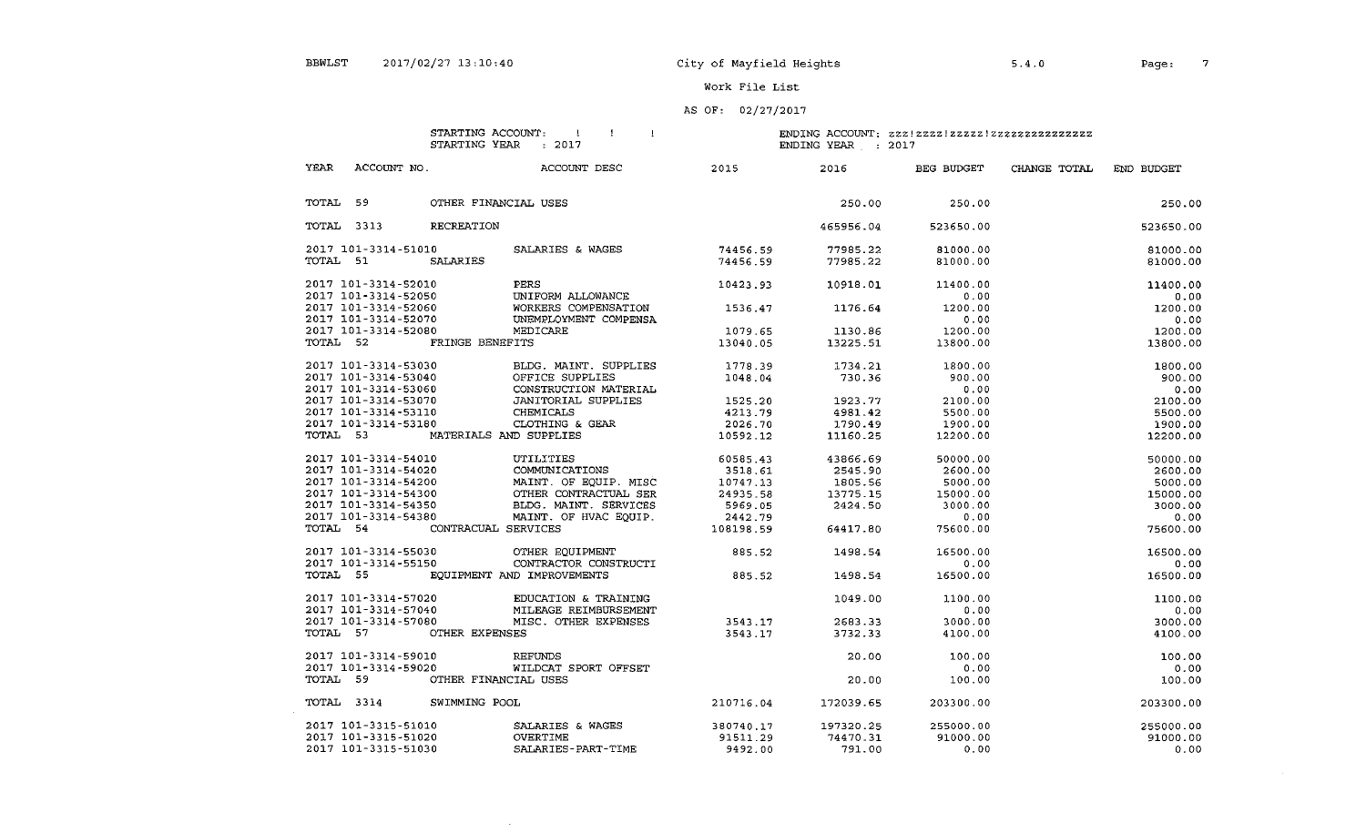### AS OF:  $02/27/2017$

STARTING ACCOUNT:  $\qquad \qquad 1 \qquad \qquad 1$ STARTING YEAR : 2017

 $\sim 10^7$ 

| <b>YEAR</b> | ACCOUNT NO.         |                      | ACCOUNT DESC                        | 2015      | 2016      | BEG BUDGET | CHANGE TOTAL | END BUDGET |
|-------------|---------------------|----------------------|-------------------------------------|-----------|-----------|------------|--------------|------------|
| TOTAL 59    |                     | OTHER FINANCIAL USES |                                     |           | 250.00    | 250.00     |              | 250.00     |
| TOTAL 3313  |                     | RECREATION           |                                     |           | 465956.04 | 523650.00  |              | 523650.00  |
|             | 2017 101-3314-51010 |                      | SALARIES & WAGES                    | 74456.59  | 77985.22  | 81000.00   |              | 81000.00   |
| TOTAL 51    |                     | SALARIES             |                                     | 74456.59  | 77985.22  | 81000.00   |              | 81000.00   |
|             | 2017 101-3314-52010 |                      | PERS                                | 10423.93  | 10918.01  | 11400.00   |              | 11400.00   |
|             | 2017 101-3314-52050 |                      | UNIFORM ALLOWANCE                   |           |           | 0.00       |              | 0.00       |
|             | 2017 101-3314-52060 |                      | WORKERS COMPENSATION                | 1536.47   | 1176.64   | 1200.00    |              | 1200.00    |
|             | 2017 101-3314-52070 |                      | UNEMPLOYMENT COMPENSA               |           |           | 0.00       |              | 0.00       |
|             | 2017 101-3314-52080 |                      | MEDICARE                            | 1079.65   | 1130.86   | 1200.00    |              | 1200.00    |
| TOTAL 52    |                     | FRINGE BENEFITS      |                                     |           | 13225.51  | 13800.00   |              | 13800.00   |
|             |                     |                      |                                     | 13040.05  |           |            |              |            |
|             | 2017 101-3314-53030 |                      | BLDG. MAINT. SUPPLIES               | 1778.39   | 1734.21   | 1800.00    |              | 1800.00    |
|             | 2017 101-3314-53040 |                      | OFFICE SUPPLIES                     | 1048.04   | 730.36    | 900.00     |              | 900.00     |
|             | 2017 101-3314-53060 |                      | CONSTRUCTION MATERIAL               |           |           | 0.00       |              | 0.00       |
|             | 2017 101-3314-53070 |                      | JANITORIAL SUPPLIES                 | 1525.20   | 1923.77   | 2100.00    |              | 2100.00    |
|             | 2017 101-3314-53110 |                      | CHEMICALS                           | 4213.79   | 4981.42   | 5500.00    |              | 5500.00    |
|             | 2017 101-3314-53180 |                      | CLOTHING & GEAR                     | 2026.70   | 1790.49   | 1900.00    |              | 1900.00    |
| TOTAL 53    |                     |                      | MATERIALS AND SUPPLIES              | 10592.12  | 11160.25  | 12200.00   |              | 12200.00   |
|             |                     |                      |                                     |           |           |            |              |            |
|             | 2017 101-3314-54010 |                      | UTILITIES                           | 60585.43  | 43866.69  | 50000.00   |              | 50000.00   |
|             | 2017 101-3314-54020 |                      | COMMUNICATIONS                      | 3518.61   | 2545.90   | 2600.00    |              | 2600.00    |
|             | 2017 101-3314-54200 |                      | MAINT. OF EQUIP. MISC               | 10747.13  | 1805.56   | 5000.00    |              | 5000.00    |
|             | 2017 101-3314-54300 |                      | OTHER CONTRACTUAL SER               | 24935.58  | 13775.15  | 15000.00   |              | 15000.00   |
|             | 2017 101-3314-54350 |                      | BLDG. MAINT. SERVICES               | 5969.05   | 2424.50   | 3000.00    |              | 3000.00    |
|             | 2017 101-3314-54380 |                      | MAINT. OF HVAC EQUIP.               | 2442.79   |           | 0.00       |              | 0.00       |
| TOTAL 54    |                     | CONTRACUAL SERVICES  |                                     | 108198.59 | 64417.80  | 75600.00   |              | 75600.00   |
|             |                     |                      |                                     |           |           |            |              |            |
|             | 2017 101-3314-55030 |                      | OTHER EQUIPMENT                     | 885.52    | 1498.54   | 16500.00   |              | 16500.00   |
|             | 2017 101-3314-55150 |                      | CONTRACTOR CONSTRUCTI               |           |           | 0.00       |              | 0.00       |
|             | TOTAL 55            |                      | EQUIPMENT AND IMPROVEMENTS          | 885.52    | 1498.54   | 16500.00   |              | 16500.00   |
|             | 2017 101-3314-57020 |                      | EDUCATION & TRAINING                |           | 1049.00   | 1100.00    |              | 1100.00    |
|             | 2017 101-3314-57040 |                      | MILEAGE REIMBURSEMENT               |           |           | 0.00       |              | 0.00       |
|             | 2017 101-3314-57080 |                      | MISC. OTHER EXPENSES                | 3543.17   | 2683.33   | 3000.00    |              | 3000.00    |
| TOTAL 57    |                     | OTHER EXPENSES       |                                     | 3543 17   | 3732.33   | 4100.00    |              | 4100.00    |
|             |                     |                      |                                     |           |           |            |              |            |
|             | 2017 101-3314-59010 |                      | REFUNDS                             |           | 20.00     | 100.00     |              | 100.00     |
|             | 2017 101-3314-59020 |                      | WILDCAT SPORT OFFSET                |           |           | 0.00       |              | 0.00       |
| TOTAL 59    |                     | OTHER FINANCIAL USES |                                     |           | 20.00     | 100.00     |              | 100.00     |
|             | TOTAL 3314          | SWIMMING POOL        |                                     | 210716.04 | 172039.65 | 203300.00  |              | 203300.00  |
|             | 2017 101-3315-51010 |                      |                                     |           |           |            |              |            |
|             |                     |                      | SALARIES & WAGES<br><b>OVERTIME</b> | 380740.17 | 197320.25 | 255000.00  |              | 255000.00  |
|             | 2017 101-3315-51020 |                      |                                     | 91511.29  | 74470.31  | 91000.00   |              | 91000.00   |
|             | 2017 101-3315-51030 |                      | SALARIES-PART-TIME                  | 9492.00   | 791.00    | 0.00       |              | 0.00       |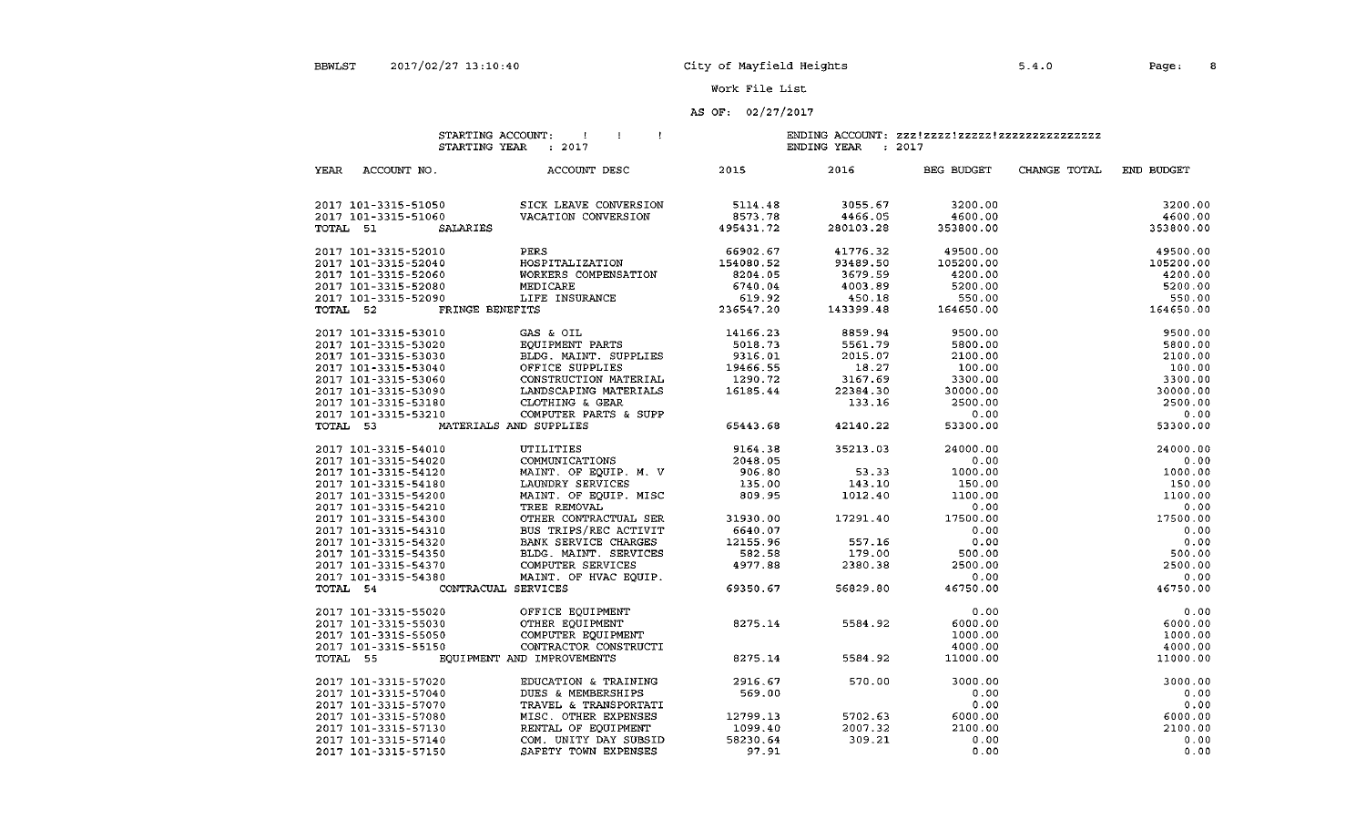YEAR ACCOUNT NO.

CHANGE TOTAL END BUDGET

Page: 8

### Work File List

#### AS OF: 02/27/2017

2015

## STARTING ACCOUNT: !<br>STARTING YEAR : 2017

## ENDING ACCOUNT: zzz!zzzz!zzzzz!zzzzzzzzzzzzzzz

ENDING YEAR : 2017

| : 2017 |  |  |
|--------|--|--|
|        |  |  |

ACCOUNT DESC

| ستدرج | . 2017            |  |
|-------|-------------------|--|
| 2016  | <b>BEG BUDGET</b> |  |

| 2017 101-3315-51050  | SICK LEAVE CONVERSION      | 5114.48   | 3055.67   | 3200.00   | 3200.00   |
|----------------------|----------------------------|-----------|-----------|-----------|-----------|
| 2017 101-3315-51060  | VACATION CONVERSION        | 8573.78   | 4466.05   | 4600.00   | 4600.00   |
| TOTAL 51<br>SALARIES |                            | 495431.72 | 280103.28 | 353800.00 | 353800.00 |
| 2017 101-3315-52010  | PERS                       | 66902.67  | 41776.32  | 49500.00  | 49500.00  |
| 2017 101-3315-52040  | HOSPITALIZATION            | 154080.52 | 93489.50  | 105200.00 | 105200.00 |
| 2017 101-3315-52060  | WORKERS COMPENSATION       | 8204.05   | 3679.59   | 4200.00   | 4200.00   |
| 2017 101-3315-52080  | MEDICARE                   | 6740.04   | 4003.89   | 5200.00   | 5200.00   |
| 2017 101-3315-52090  | LIFE INSURANCE             | 619.92    | 450.18    | 550.00    | 550.00    |
| TOTAL 52             | FRINGE BENEFITS            | 236547.20 | 143399.48 | 164650.00 | 164650.00 |
| 2017 101-3315-53010  | GAS & OIL                  | 14166.23  | 8859.94   | 9500.00   | 9500.00   |
| 2017 101-3315-53020  | EQUIPMENT PARTS            | 5018.73   | 5561.79   | 5800.00   | 5800.00   |
| 2017 101-3315-53030  | BLDG. MAINT. SUPPLIES      | 9316.01   | 2015.07   | 2100.00   | 2100.00   |
| 2017 101-3315-53040  | OFFICE SUPPLIES            | 19466.55  | 18.27     | 100.00    | 100.00    |
| 2017 101-3315-53060  | CONSTRUCTION MATERIAL      | 1290.72   | 3167.69   | 3300.00   | 3300.00   |
| 2017 101-3315-53090  | LANDSCAPING MATERIALS      | 16185.44  | 22384.30  | 30000.00  | 30000.00  |
| 2017 101-3315-53180  | CLOTHING & GEAR            |           | 133.16    | 2500.00   | 2500.00   |
| 2017 101-3315-53210  | COMPUTER PARTS & SUPP      |           |           | 0.00      | 0.00      |
| TOTAL 53             | MATERIALS AND SUPPLIES     | 65443.68  | 42140.22  | 53300.00  | 53300.00  |
| 2017 101-3315-54010  | UTILITIES                  | 9164.38   | 35213.03  | 24000.00  | 24000.00  |
| 2017 101-3315-54020  | COMMUNICATIONS             | 2048.05   |           | 0.00      | 0.00      |
| 2017 101-3315-54120  | MAINT. OF EOUIP. M. V      | 906.80    | 53.33     | 1000.00   | 1000.00   |
| 2017 101-3315-54180  | LAUNDRY SERVICES           | 135.00    | 143.10    | 150.00    | 150.00    |
| 2017 101-3315-54200  | MAINT. OF EQUIP. MISC      | 809.95    | 1012.40   | 1100.00   | 1100.00   |
| 2017 101-3315-54210  | TREE REMOVAL               |           |           | 0.00      | 0.00      |
| 2017 101-3315-54300  | OTHER CONTRACTUAL SER      | 31930.00  | 17291.40  | 17500.00  | 17500.00  |
| 2017 101-3315-54310  | BUS TRIPS/REC ACTIVIT      | 6640.07   |           | 0.00      | 0.00      |
| 2017 101-3315-54320  | BANK SERVICE CHARGES       | 12155.96  | 557.16    | 0.00      | 0.00      |
| 2017 101-3315-54350  | BLDG. MAINT. SERVICES      | 582.58    | 179.00    | 500.00    | 500.00    |
| 2017 101-3315-54370  | COMPUTER SERVICES          | 4977.88   | 2380.38   | 2500.00   | 2500.00   |
| 2017 101-3315-54380  | MAINT. OF HVAC EOUIP.      |           |           | 0.00      | 0.00      |
| TOTAL 54             | CONTRACUAL SERVICES        | 69350.67  | 56829.80  | 46750.00  | 46750.00  |
| 2017 101-3315-55020  | OFFICE EQUIPMENT           |           |           | 0.00      | 0.00      |
| 2017 101-3315-55030  | OTHER EQUIPMENT            | 8275.14   | 5584.92   | 6000.00   | 6000.00   |
| 2017 101-3315-55050  | COMPUTER EQUIPMENT         |           |           | 1000.00   | 1000.00   |
| 2017 101-3315-55150  | CONTRACTOR CONSTRUCTI      |           |           | 4000.00   | 4000.00   |
| TOTAL 55             | EOUIPMENT AND IMPROVEMENTS | 8275.14   | 5584.92   | 11000.00  | 11000.00  |
| 2017 101-3315-57020  | EDUCATION & TRAINING       | 2916.67   | 570.00    | 3000.00   | 3000.00   |
| 2017 101-3315-57040  | DUES & MEMBERSHIPS         | 569.00    |           | 0.00      | 0.00      |
| 2017 101-3315-57070  | TRAVEL & TRANSPORTATI      |           |           | 0.00      | 0.00      |
| 2017 101-3315-57080  | MISC. OTHER EXPENSES       | 12799.13  | 5702.63   | 6000.00   | 6000.00   |
| 2017 101-3315-57130  | RENTAL OF EQUIPMENT        | 1099.40   | 2007.32   | 2100.00   | 2100.00   |
| 2017 101-3315-57140  | COM. UNITY DAY SUBSID      | 58230.64  | 309.21    | 0.00      | 0.00      |
| 2017 101-3315-57150  | SAFETY TOWN EXPENSES       | 97.91     |           | 0.00      | 0.00      |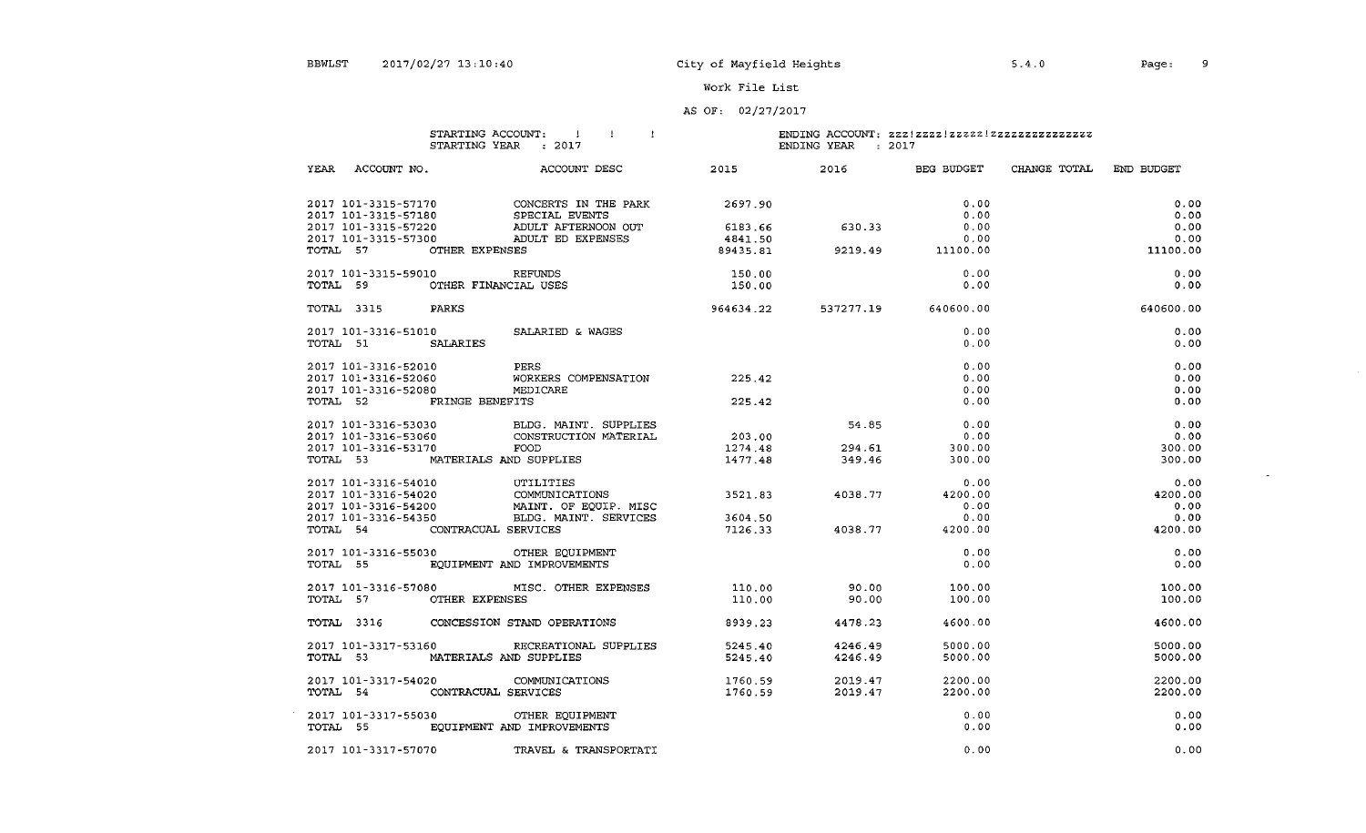$\sim$   $-$ 

Work File List

### AS OF, 02/27/2017

| STARTING ACCOUNT: |  |       |  |  |
|-------------------|--|-------|--|--|
| STARTING YEAR     |  | .2017 |  |  |

| ACCOUNT NO.<br>YEAR                                                                    | ACCOUNT DESC                                   | 2015               | 2016                          | BEG BUDGET | CHANGE TOTAL | END BUDGET |
|----------------------------------------------------------------------------------------|------------------------------------------------|--------------------|-------------------------------|------------|--------------|------------|
| 2017 101-3315-57170                                                                    |                                                |                    |                               | 0.00       |              | 0.00       |
| 2017 101-3315-57180                                                                    | CONCERTS IN THE PARK 2697.90<br>SPECIAL EVENTS |                    |                               | 0.00       |              | 0.00       |
|                                                                                        | ADULT AFTERNOON OUT                            |                    | 630.33                        | 0.00       |              | 0.00       |
| $2017$ $101-3315-57220$<br>2017 101-3315-57300                                         | ADULT ED EXPENSES                              | 6183.66<br>4841.50 |                               | 0.00       |              | 0.00       |
| TOTAL 57<br>OTHER EXPENSES                                                             |                                                | 89435.81           | $9219.49$ $11100.00$          |            |              | 11100.00   |
|                                                                                        |                                                |                    |                               |            |              |            |
| 2017 101-3315-59010                                                                    | REFUNDS                                        | 150.00             |                               | 0.00       |              | 0.00       |
| TOTAL 59<br>OTHER FINANCIAL USES                                                       |                                                | 150.00             |                               | 0.00       |              | 0.00       |
|                                                                                        |                                                |                    |                               |            |              |            |
| TOTAL 3315<br><b>PARKS</b>                                                             |                                                |                    | 964634.22 537277.19 640600.00 |            |              | 640600.00  |
| 2017 101-3316-51010                                                                    | SALARIED & WAGES                               |                    |                               | 0.00       |              | 0.00       |
| <b>SALARIES</b><br>TOTAL 51                                                            |                                                |                    |                               | 0.00       |              | 0.00       |
|                                                                                        |                                                |                    |                               |            |              |            |
| 2017 101-3316-52010                                                                    | PERS                                           |                    |                               | 0.00       |              | 0.00       |
| 2017 101-3316-52060                                                                    | WORKERS COMPENSATION 225.42                    |                    |                               | 0.00       |              | 0.00       |
| 2017 101-3316-52080                                                                    | MEDICARE                                       |                    |                               | 0.00       |              | 0.00       |
| TOTAL 52 FRINGE BENEFITS                                                               |                                                | 225.42             |                               | 0.00       |              | 0.00       |
| 2017 101-3316-53030                                                                    | BLDG. MAINT. SUPPLIES                          |                    | 54.85                         | 0.00       |              | 0.00       |
| 2017 101-3316-53060                                                                    | CONSTRUCTION MATERIAL 203.00                   |                    |                               | 0.00       |              | 0.00       |
| 2017 101-3316-53170                                                                    | <b>FOOD</b>                                    | 1274.48            | 294.61                        | 300.00     |              | 300.00     |
| TOTAL 53 MATERIALS AND SUPPLIES                                                        |                                                | 1477.48            | 349.46                        | 300.00     |              | 300.00     |
|                                                                                        |                                                |                    |                               |            |              |            |
| 2017 101-3316-54010                                                                    | UTILITIES                                      |                    |                               | 0.00       |              | 0.00       |
| 2017 101-3316-54020                                                                    | COMMUNICATIONS                                 |                    | 3521.83 4038.77               | 4200.00    |              | 4200.00    |
| 2017 101-3316-54200 MAINT. OF EQUIP. MISC<br>2017 101-3316-54350 BLDG. MAINT. SERVICES |                                                |                    |                               | 0.00       |              | 0.00       |
|                                                                                        |                                                | 3604.50            |                               | 0.00       |              | 0.00       |
| TOTAL 54<br>CONTRACUAL SERVICES                                                        |                                                |                    | 7126.33 4038.77               | 4200.00    |              | 4200.00    |
| 2017 101-3316-55030 OTHER EOUIPMENT                                                    |                                                |                    |                               | 0.00       |              | 0.00       |
| TOTAL 55                                                                               | EQUIPMENT AND IMPROVEMENTS                     |                    |                               | 0.00       |              | 0.00       |
|                                                                                        |                                                |                    |                               |            |              |            |
| 2017 101-3316-57080                                                                    | MISC. OTHER EXPENSES                           | 110.00             | 90.00                         | 100.00     |              | 100.00     |
| TOTAL 57<br>OTHER EXPENSES                                                             |                                                | 110.00             | 90.00                         | 100.00     |              | 100.00     |
| TOTAL 3316                                                                             | CONCESSION STAND OPERATIONS                    | 8939.23            | 4478.23                       | 4600.00    |              | 4600.00    |
|                                                                                        |                                                |                    |                               |            |              |            |
| 2017 101-3317-53160                                                                    | RECREATIONAL SUPPLIES                          | 5245.40            | 4246.49                       | 5000.00    |              | 5000.00    |
| TOTAL 53<br>MATERIALS AND SUPPLIES                                                     |                                                | 5245.40            | 4246.49                       | 5000.00    |              | 5000.00    |
|                                                                                        |                                                |                    |                               |            |              |            |
| 2017 101-3317-54020                                                                    | COMMUNICATIONS                                 | 1760.59<br>1760.59 | 2019.47                       | 2200.00    |              | 2200.00    |
| TOTAL 54<br>CONTRACUAL SERVICES                                                        |                                                |                    | 2019.47                       | 2200.00    |              | 2200.00    |
| 2017 101-3317-55030 OTHER EQUIPMENT                                                    |                                                |                    |                               | 0.00       |              | 0.00       |
| TOTAL 55<br>EQUIPMENT AND IMPROVEMENTS                                                 |                                                |                    |                               | 0.00       |              | 0.00       |
|                                                                                        |                                                |                    |                               |            |              |            |
| 2017 101-3317-57070                                                                    | TRAVEL & TRANSPORTATI                          |                    |                               | 0.00       |              | 0.00       |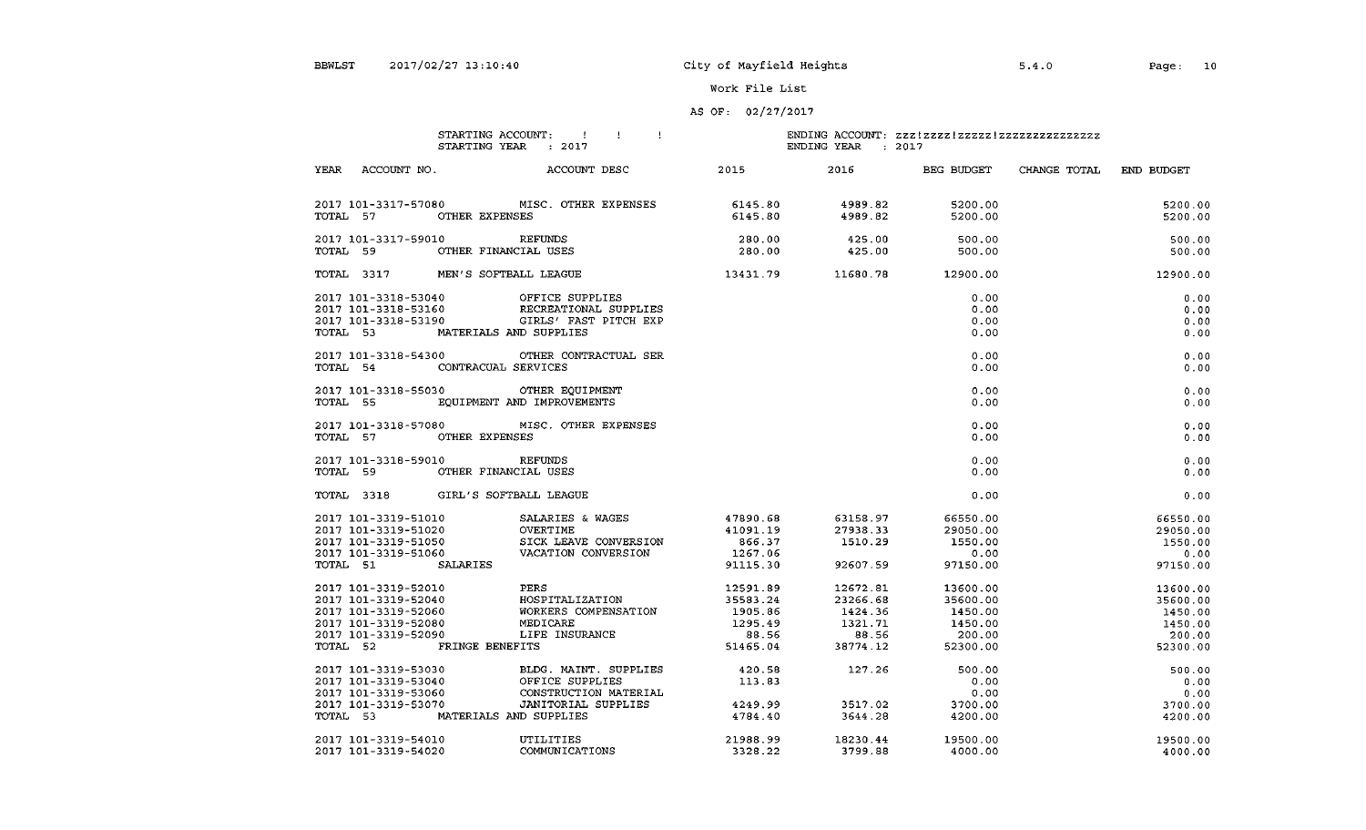5.4.0

Work File List

### AS OF:  $02/27/2017$

#### STARTING ACCOUNT:  $\qquad$  !!  $\sim 100$

## ENDING ACCOUNT: zzz!zzzz!zzzzz1zzzzzzzzzzzzzz

|                                   | STARTING YEAR | . 2017                                                                                                                                                                                                           |          | ENDING YEAR : 2017                                                          |                   |          |
|-----------------------------------|---------------|------------------------------------------------------------------------------------------------------------------------------------------------------------------------------------------------------------------|----------|-----------------------------------------------------------------------------|-------------------|----------|
|                                   |               |                                                                                                                                                                                                                  |          |                                                                             |                   |          |
|                                   |               | 2017 101-3317-57080 MISC. OTHER EXPENSES 6145.80                                                                                                                                                                 |          |                                                                             | 4989.82 5200.00   | 5200.00  |
| TOTAL 57 OTHER EXPENSES           |               |                                                                                                                                                                                                                  | 6145.80  | 4989.82                                                                     | 5200.00           | 5200.00  |
|                                   |               | 2017 101-3317-59010 REFUNDS                                                                                                                                                                                      | 280.00   | $425.00$ 500.00                                                             |                   | 500.00   |
| TOTAL 59                          |               |                                                                                                                                                                                                                  |          | 425.00                                                                      | 500.00            | 500.00   |
|                                   |               | TOTAL 3317 MEN'S SOFTBALL LEAGUE 13431.79 11680.78 12900.00                                                                                                                                                      |          |                                                                             |                   | 12900.00 |
|                                   |               | 2017 101-3318-53040 OFFICE SUPPLIES                                                                                                                                                                              |          |                                                                             | 0.00              | 0.00     |
|                                   |               | 2017  101-3318-53160     RECREATIONAL SUPPLIES<br>2017  101-3318-53190       GIRLS' FAST PITCH EXP                                                                                                               |          |                                                                             | 0.00              | 0.00     |
|                                   |               |                                                                                                                                                                                                                  |          |                                                                             | 0.00              | 0.00     |
| TOTAL 53 MATERIALS AND SUPPLIES   |               |                                                                                                                                                                                                                  |          |                                                                             | 0.00              | 0.00     |
|                                   |               | 2017 101-3318-54300 OTHER CONTRACTUAL SER                                                                                                                                                                        |          |                                                                             | 0.00              | 0.00     |
| TOTAL 54 CONTRACUAL SERVICES      |               |                                                                                                                                                                                                                  |          |                                                                             | 0.00              | 0.00     |
|                                   |               | 2017 101-3318-55030 OTHER EQUIPMENT                                                                                                                                                                              |          |                                                                             | 0.00              | 0.00     |
|                                   |               | TOTAL 55 EQUIPMENT AND IMPROVEMENTS                                                                                                                                                                              |          |                                                                             | 0.00              | 0.00     |
|                                   |               | 2017 101-3318-57080 MISC. OTHER EXPENSES                                                                                                                                                                         |          |                                                                             | 0.00              | 0.00     |
| TOTAL 57 OTHER EXPENSES           |               |                                                                                                                                                                                                                  |          |                                                                             | 0.00              | 0.00     |
| 2017 101-3318-59010 REFUNDS       |               |                                                                                                                                                                                                                  |          |                                                                             | 0.00              | 0.00     |
| TOTAL 59 OTHER FINANCIAL USES     |               |                                                                                                                                                                                                                  |          |                                                                             | 0.00              | 0.00     |
| TOTAL 3318 GIRL'S SOFTBALL LEAGUE |               |                                                                                                                                                                                                                  |          |                                                                             | 0.00              | 0.00     |
|                                   |               | 2017 101-3319-51010 SALARIES & WAGES 317890.68                                                                                                                                                                   |          |                                                                             | 63158.97 66550.00 | 66550.00 |
|                                   |               |                                                                                                                                                                                                                  | 41091.19 | 27938.33                                                                    | 29050.00          | 29050.00 |
|                                   |               |                                                                                                                                                                                                                  | 866.37   | 1510.29                                                                     | 1550.00           | 1550.00  |
|                                   |               | 2017 101-3319-51060 VACATION CONVERSION                                                                                                                                                                          | 1267.06  |                                                                             | 0.00              | 0.00     |
| TOTAL 51 SALARIES                 |               |                                                                                                                                                                                                                  | 91115.30 | $92607.59$ $97150.00$                                                       |                   | 97150.00 |
|                                   |               | 2017 101-3319-52010 PERS<br>2017 101-3319-52040 HOSPITALIZATION 35583.24<br>2017 101-3319-52060 WORKERS COMPENSATION 1905.86<br>2017 101-3319-52080 MEDICARE 1295.49<br>2017 101-3319-52090 LIFE INSURANCE 88.56 |          | 12672.81<br>23266.68                                                        | 13600.00          | 13600.00 |
|                                   |               |                                                                                                                                                                                                                  |          | 23266.68                                                                    | 35600.00          | 35600.00 |
|                                   |               |                                                                                                                                                                                                                  |          | 1424.36                                                                     | 1450.00           | 1450.00  |
|                                   |               |                                                                                                                                                                                                                  |          |                                                                             |                   | 1450.00  |
|                                   |               |                                                                                                                                                                                                                  |          | 1295.49 1321.71 1450.00<br>88.56 88.56 200.00<br>51465.04 38774.12 52300.00 |                   | 200.00   |
| TOTAL 52 FRINGE BENEFITS          |               |                                                                                                                                                                                                                  | 51465.04 |                                                                             |                   | 52300.00 |
|                                   |               | 2017 101-3319-53030 BLDG, MAINT, SUPPLIES 420.58 127.26                                                                                                                                                          |          |                                                                             | 500.00            | 500.00   |
| 2017 101-3319-53040               |               | OFFICE SUPPLIES                                                                                                                                                                                                  | 113.83   |                                                                             | 0.00              | 0.00     |

|                     |                        |          |          | - - - -  | .        |
|---------------------|------------------------|----------|----------|----------|----------|
| 2017 101-3319-53060 | CONSTRUCTION MATERIAL  |          |          | 0.00     | 0.00     |
| 2017 101-3319-53070 | JANITORIAL SUPPLIES    | 4249.99  | 3517.02  | 3700.00  | 3700.00  |
| TOTAL 53            | MATERIALS AND SUPPLIES | 4784.40  | 3644.28  | 4200.00  | 4200.00  |
| 2017 101-3319-54010 | UTILITIES              | 21988.99 | 18230.44 | 19500.00 | 19500.00 |
| 2017 101-3319-54020 | COMMUNICATIONS         | 3328.22  | 3799.88  | 4000.00  | 4000.00  |
|                     |                        |          |          |          |          |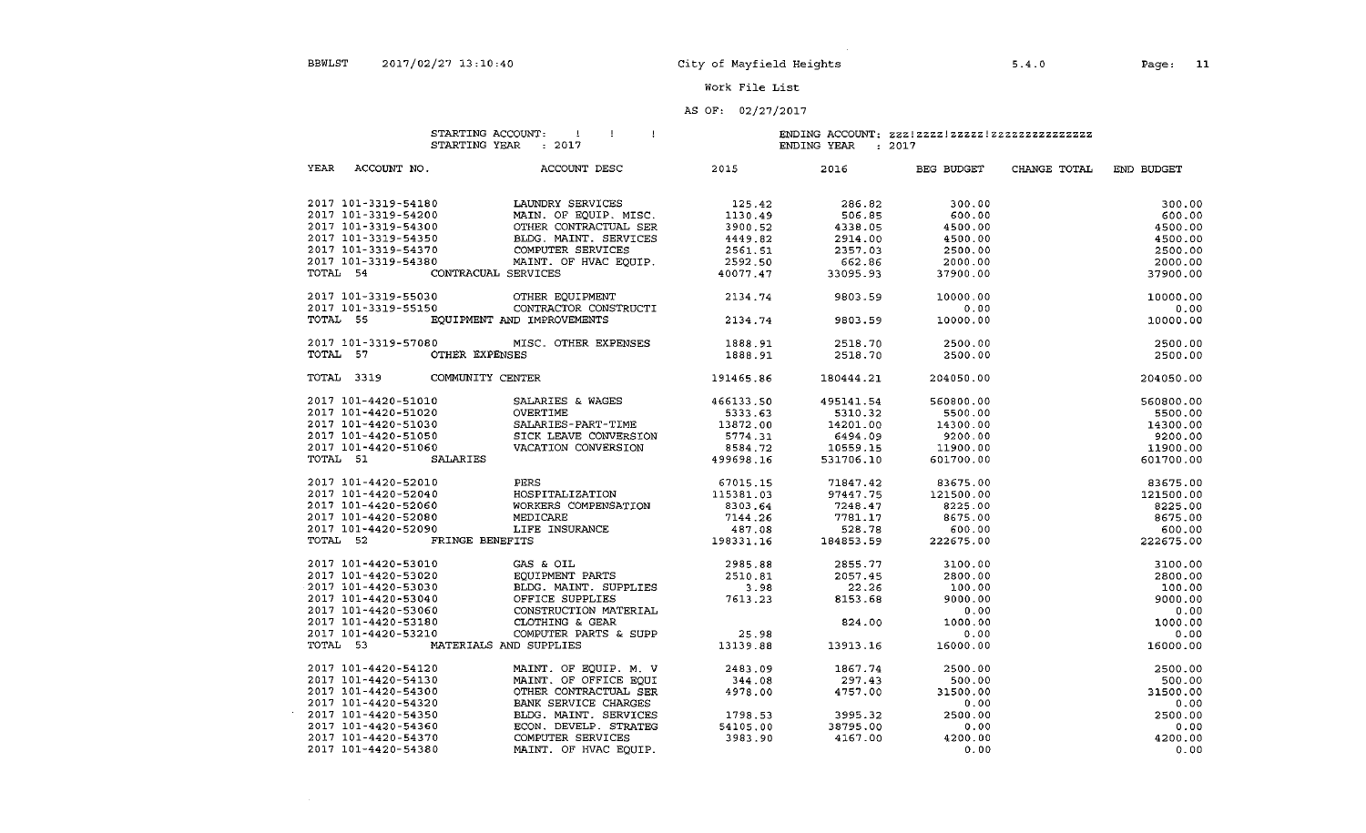### AS OF: 02/27/2017

|          |                                            | STARTING ACCOUNT:<br>$\frac{1}{2}$<br>STARTING YEAR : 2017 | - 1<br>$\mathbf{I}$   | ENDING YEAR : 2017 | ENDING ACCOUNT: zzz!zzzz!zzzzzzzzzzzzzzzzzzzzz |              |                                                                    |
|----------|--------------------------------------------|------------------------------------------------------------|-----------------------|--------------------|------------------------------------------------|--------------|--------------------------------------------------------------------|
| YEAR     | ACCOUNT NO.                                | ACCOUNT DESC                                               | 2015 7                | 2016               | BEG BUDGET                                     | CHANGE TOTAL | END BUDGET                                                         |
|          | 2017 101-3319-54180                        | LAUNDRY SERVICES                                           | 125.42                | 286.82             | 300.00                                         |              | 300.00                                                             |
|          | 2017 101-3319-54200                        | MAIN. OF EQUIP. MISC.                                      | 1130.49               | 506.85             | 600.00                                         |              | 600.00                                                             |
|          | 2017 101-3319-54300                        | OTHER CONTRACTUAL SER                                      | 3900.52               | 4338.05            | 4500.00                                        |              | 4500.00                                                            |
|          | 2017 101-3319-54350                        | BLDG. MAINT. SERVICES                                      | 4449.82               | 2914.00            | 4500.00                                        |              | 4500.00                                                            |
|          | 2017 101-3319-54370                        | COMPUTER SERVICES                                          | 2561.51               | 2357.03            | 2500.00                                        |              | 2500.00                                                            |
|          | 2017 101-3319-54380                        | MAINT. OF HVAC EOUIP.                                      | $2592.50$<br>40077.47 | 662.86             | 2000.00                                        |              | 2000.00                                                            |
| TOTAL 54 |                                            | CONTRACUAL SERVICES                                        |                       | 33095.93           | 37900.00                                       |              | 37900.00                                                           |
|          | 2017 101-3319-55030                        | OTHER EQUIPMENT                                            | 2134.74               | 9803.59            | 10000.00                                       |              | 10000.00                                                           |
|          | 2017 101-3319-55150                        | CONTRACTOR CONSTRUCTI                                      |                       |                    | 0.00                                           |              | 0.00                                                               |
| TOTAL 55 |                                            | EQUIPMENT AND IMPROVEMENTS                                 | 2134.74               | 9803.59            | 10000.00                                       |              | 10000.00                                                           |
|          | 2017 101-3319-57080                        | MISC. OTHER EXPENSES                                       | 1888.91               | 2518.70            | 2500.00                                        |              | 2500.00                                                            |
| TOTAL 57 |                                            | OTHER EXPENSES                                             | 1888.91               | 2518.70            | 2500.00                                        |              | 2500.00                                                            |
|          |                                            | TOTAL 3319 COMMUNITY CENTER                                | 191465.86             | 180444.21          | 204050.00                                      |              | 204050.00                                                          |
|          | 2017 101-4420-51010                        | SALARIES & WAGES                                           | 466133.50             | 495141.54          | 560800.00                                      |              | 560800.00                                                          |
|          | 2017 101-4420-51020                        | OVERTIME                                                   | 5333.63               | 5310.32            | 5500.00                                        |              | 5500.00                                                            |
|          | 2017 101-4420-51030                        | SALARIES-PART-TIME                                         | 13872.00              | 14201.00           | 14300.00                                       |              | 14300.00                                                           |
|          | 2017 101-4420-51050                        | SICK LEAVE CONVERSION                                      | 5774.31               | 6494.09            | 9200.00                                        |              | 9200.00                                                            |
|          | 2017 101-4420-51060                        | VACATION CONVERSION                                        | 8584.72               | 10559.15           | 11900.00                                       |              | 11900.00                                                           |
| TOTAL 51 |                                            | <b>SALARIES</b>                                            | 499698.16             | 531706.10          | 601700.00                                      |              | 601700.00                                                          |
|          | 2017 101-4420-52010                        | PERS                                                       | 67015.15              | 71847.42           | 83675.00                                       |              | $83675.00$<br>$121500.00$<br>$8225.00$<br>$6075.00$<br>$222675.00$ |
|          | 2017 101-4420-52040                        | HOSPITALIZATION                                            | 115381.03             | 97447.75           | 121500.00                                      |              |                                                                    |
|          | 2017 101-4420-52060                        | WORKERS COMPENSATION                                       | 8303.64               | 7248.47            | 8225.00                                        |              |                                                                    |
|          | 2017 101-4420-52080                        | MEDICARE                                                   | 7144.26               | 7781.17            | 8675.00                                        |              |                                                                    |
|          | 2017 101-4420-52090                        | LIFE INSURANCE                                             | 487.08                | 528.78             | 600.00                                         |              |                                                                    |
| TOTAL 52 |                                            | FRINGE BENEFITS                                            | 198331.16             | 184853.59          | 222675.00                                      |              |                                                                    |
|          | 2017 101-4420-53010                        | GAS & OIL                                                  | 2985.88               | 2855.77            | 3100.00                                        |              | 3100.00                                                            |
|          | 2017 101-4420-53020                        | EOUIPMENT PARTS                                            | 2510.81               | 2057.45            | 2800.00                                        |              | 2800.00                                                            |
|          | 2017 101-4420-53030                        | BLDG. MAINT. SUPPLIES                                      | 3.98                  | 22.26              | 100.00                                         |              | 100.00                                                             |
|          | 2017 101-4420-53040                        | OFFICE SUPPLIES                                            | 7613.23               | 8153.68            | 9000.00                                        |              | 9000.00                                                            |
|          | 2017 101-4420-53060                        | CONSTRUCTION MATERIAL                                      |                       |                    | 0.00                                           |              | 0.00                                                               |
|          | 2017 101-4420-53180<br>2017 101-4420-53210 | CLOTHING & GEAR                                            | 25.98                 | 824.00             | 1000.00                                        |              | 1000.00                                                            |
|          |                                            | COMPUTER PARTS & SUPP<br>TOTAL 53 MATERIALS AND SUPPLIES   |                       |                    | 0.00                                           |              | 0.00                                                               |
|          |                                            |                                                            | 13139.88              | 13913.16           | 16000.00                                       |              | 16000.00                                                           |
|          | 2017 101-4420-54120                        | MAINT. OF EQUIP. M. V                                      | 2483.09               | 1867.74            | 2500.00                                        |              | 2500.00                                                            |
|          | 2017 101-4420-54130                        | MAINT. OF OFFICE EOUI                                      | 344.08                | 297.43             | 500.00                                         |              | 500.00                                                             |
|          | 2017 101-4420-54300<br>2017 101-4420-54320 | OTHER CONTRACTUAL SER<br><b>BANK SERVICE CHARGES</b>       | 4978.00               | 4757.00            | 31500.00<br>0.00                               |              | 31500.00                                                           |
|          | 2017 101-4420-54350                        | BLDG. MAINT. SERVICES                                      | 1798.53               | 3995.32            | 2500.00                                        |              | 0.00<br>2500.00                                                    |
|          | 2017 101-4420-54360                        | ECON. DEVELP. STRATEG                                      | 54105.00              | 38795.00           | 0.00                                           |              | 0.00                                                               |
|          | 2017 101-4420-54370                        | COMPUTER SERVICES                                          | 3983.90               | 4167.00            | 4200.00                                        |              | 4200.00                                                            |
|          | 2017 101-4420-54380                        | MAINT. OF HVAC EOUIP.                                      |                       |                    | 0.00                                           |              | 0.00                                                               |
|          |                                            |                                                            |                       |                    |                                                |              |                                                                    |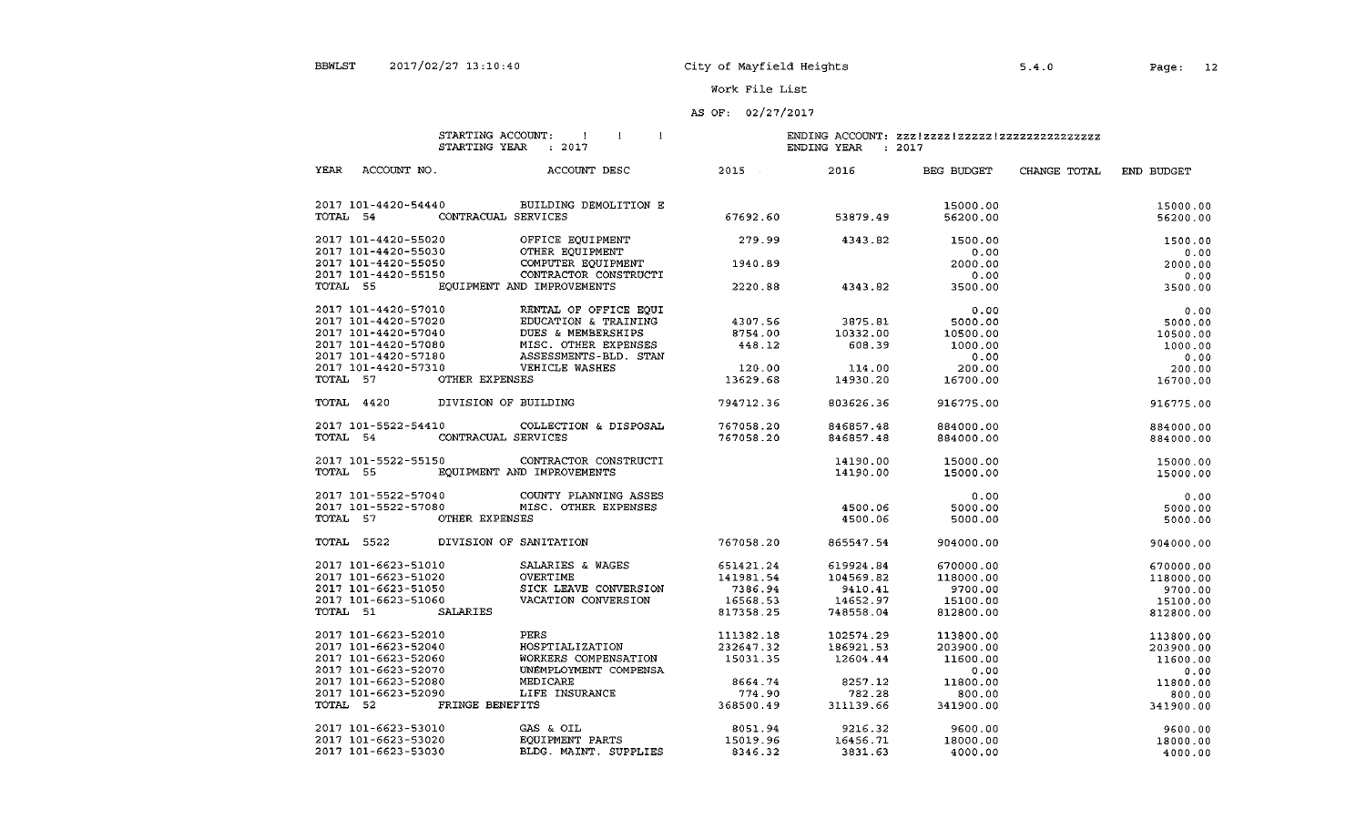YEAR ACCOUNT NO. ACCOUNT DESC

5.4. 0

BEG BUDGET CHANGE TOTAL END BUDGET

Work File List

2016

### AS OF: 02/27/2017

2015

#### STARTING ACCOUNT:  $\qquad$  | | | STARTING YEAR : 2017

| 2017 101-4420-54440             |                | BUILDING DEMOLITION E                     |           |                               | 15000.00  | 15000.00  |
|---------------------------------|----------------|-------------------------------------------|-----------|-------------------------------|-----------|-----------|
| TOTAL 54                        |                | CONTRACUAL SERVICES                       | 67692.60  | 53879.49                      | 56200.00  | 56200.00  |
| 2017 101-4420-55020             |                | OFFICE EOUIPMENT                          | 279.99    | 4343.82                       | 1500.00   | 1500.00   |
| 2017 101-4420-55030             |                |                                           |           |                               | 0.00      | 0.00      |
| 2017 101-4420-55050             |                | OTHER EQUIPMENT<br>COMPUTER EQUIPMENT     | 1940.89   |                               | 2000.00   | 2000.00   |
| 2017 101-4420-55150             |                | CONTRACTOR CONSTRUCTI                     |           |                               | 0.00      | 0.00      |
|                                 |                | TOTAL 55 EOUIPMENT AND IMPROVEMENTS       | 2220.88   | 4343.82                       | 3500.00   | 3500.00   |
| 2017 101-4420-57010             |                | RENTAL OF OFFICE EOUI                     |           |                               | 0.00      | 0.00      |
| 2017 101-4420-57020             |                | EDUCATION & TRAINING                      | 4307.56   | 3875.81                       | 5000.00   | 5000.00   |
| 2017 101-4420-57040             |                | DUES & MEMBERSHIPS                        | 8754.00   | 10332.00                      | 10500.00  | 10500.00  |
| 2017 101-4420-57080             |                | MISC. OTHER EXPENSES                      | 448.12    | 608.39                        | 1000.00   | 1000.00   |
| 2017 101-4420-57180             |                | ASSESSMENTS-BLD. STAN                     |           |                               | 0.00      | 0.00      |
| 2017 101-4420-57310             |                | VEHICLE WASHES                            | 120.00    | 114.00                        | 200.00    | 200.00    |
| TOTAL 57                        | OTHER EXPENSES |                                           | 13629.68  | 14930.20                      | 16700.00  | 16700.00  |
| TOTAL 4420 DIVISION OF BUILDING |                |                                           | 794712.36 | 803626.36                     | 916775.00 | 916775.00 |
|                                 |                | 2017 101-5522-54410 COLLECTION & DISPOSAL | 767058.20 | 846857.48                     | 884000.00 | 884000.00 |
| TOTAL 54                        |                | CONTRACUAL SERVICES                       | 767058.20 | 846857.48                     | 884000.00 | 884000.00 |
|                                 |                | 2017 101-5522-55150 CONTRACTOR CONSTRUCTI |           | 14190.00                      | 15000.00  | 15000.00  |
|                                 |                | TOTAL 55 EQUIPMENT AND IMPROVEMENTS       |           | 14190.00                      | 15000.00  | 15000.00  |
|                                 |                | 2017 101-5522-57040 COUNTY PLANNING ASSES |           |                               | 0.00      | 0.00      |
| 2017 101-5522-57080             |                | MISC. OTHER EXPENSES                      |           | 4500.06                       | 5000.00   | 5000.00   |
| TOTAL 57 OTHER EXPENSES         |                |                                           |           | 4500.06                       | 5000.00   | 5000.00   |
|                                 |                | TOTAL 5522 DIVISION OF SANITATION         |           | 767058.20 865547.54 904000.00 |           | 904000.00 |
| 2017 101-6623-51010             |                | SALARIES & WAGES                          | 651421.24 | 619924.84                     | 670000.00 | 670000.00 |
| 2017 101-6623-51020             |                | OVERTIME                                  | 141981.54 | 104569.82                     | 118000.00 | 118000.00 |
| 2017 101-6623-51050             |                | SICK LEAVE CONVERSION                     | 7386.94   | 9410.41                       | 9700.00   | 9700.00   |
| 2017 101-6623-51060             |                | VACATION CONVERSION                       | 16568.53  | 14652.97                      | 15100.00  | 15100.00  |
| TOTAL 51 SALARIES               |                |                                           | 817358.25 | 748558.04                     | 812800.00 | 812800.00 |
| 2017 101-6623-52010             |                | PERS                                      | 111382.18 | 102574.29                     | 113800.00 | 113800.00 |
| 2017 101-6623-52040             |                | HOSPTIALIZATION                           | 232647.32 | 186921.53                     | 203900.00 | 203900.00 |
| 2017 101-6623-52060             |                | WORKERS COMPENSATION                      | 15031.35  | 12604.44                      | 11600.00  | 11600.00  |
| 2017 101-6623-52070             |                | UNEMPLOYMENT COMPENSA                     |           |                               | 0.00      | 0.00      |
| 2017 101-6623-52080             |                | MEDICARE                                  | 8664.74   | 8257.12                       | 11800.00  | 11800.00  |
| 2017 101-6623-52090             |                | LIFE INSURANCE                            | 774.90    | 782.28                        | 800.00    | 800.00    |
| TOTAL 52 FRINGE BENEFITS        |                |                                           | 368500.49 | 311139.66                     | 341900.00 | 341900.00 |
| 2017 101-6623-53010             |                | GAS & OIL                                 | 8051.94   | 9216.32                       | 9600.00   | 9600.00   |
| 2017 101-6623-53020             |                | EQUIPMENT PARTS                           | 15019.96  | 16456.71                      | 18000.00  | 18000.00  |
| 2017 101-6623-53030             |                | BLDG. MAINT. SUPPLIES                     | 8346.32   | 3831.63                       | 4000.00   | 4000.00   |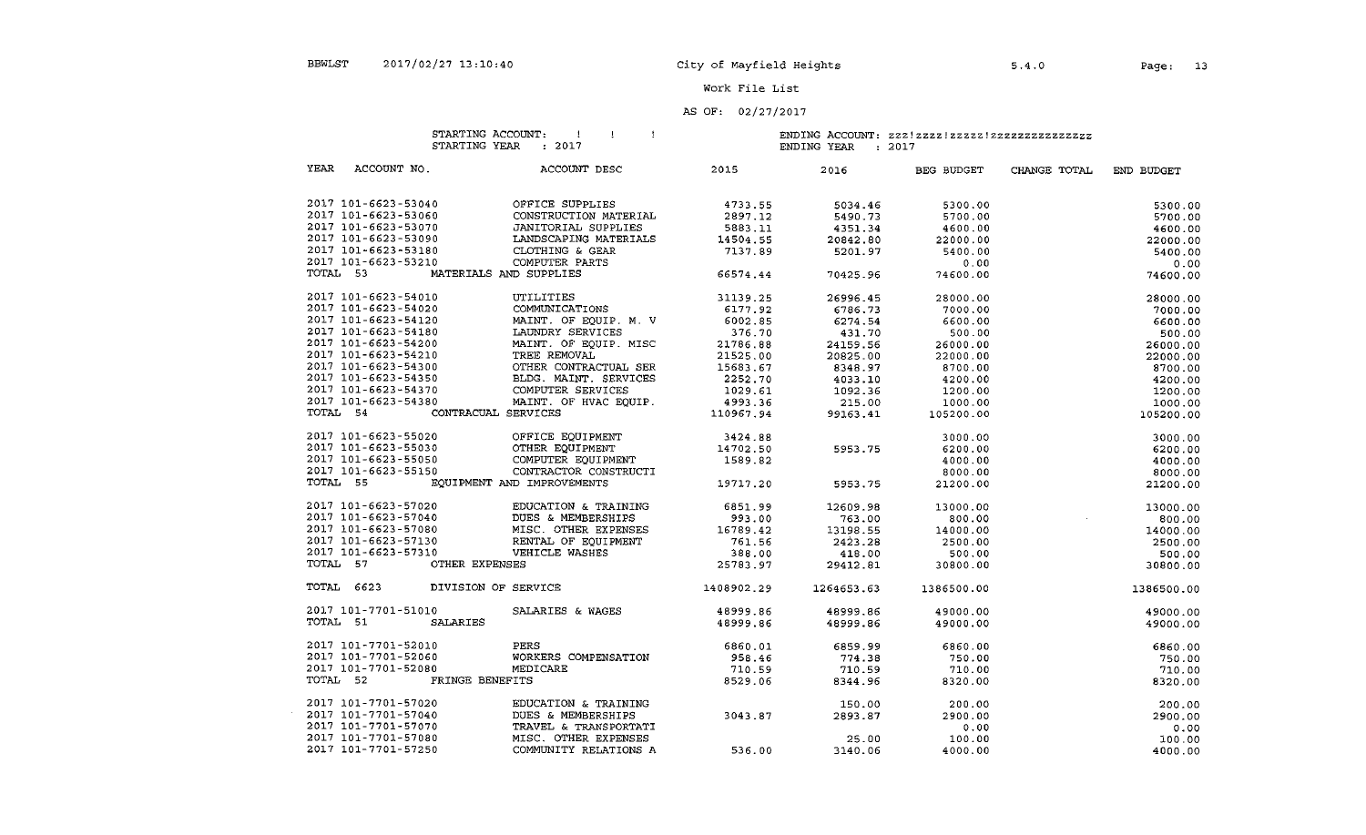### AS OF: 02/27/2017

## STARTING ACCOUNT:  $\qquad \qquad \vdots$   $\qquad \qquad \vdots$   $\qquad \qquad \vdots$  ENDING ACCOUNT: zzz!zzzz ! zzzzzzzzzzzzzzzz

## STARTING YEAR 2017 ENDING YEAR 2017

| <b>YEAR</b><br>ACCOUNT NO.      |                            | ACCOUNT DESC          | 2015       | 2016       | BEG BUDGET | CHANGE TOTAL | END BUDGET |
|---------------------------------|----------------------------|-----------------------|------------|------------|------------|--------------|------------|
| 2017 101-6623-53040             |                            | OFFICE SUPPLIES       | 4733.55    | 5034.46    | 5300.00    |              | 5300.00    |
| 2017 101-6623-53060             |                            | CONSTRUCTION MATERIAL | 2897.12    | 5490.73    | 5700.00    |              | 5700.00    |
| 2017 101-6623-53070             |                            | JANITORIAL SUPPLIES   | 5883.11    | 4351.34    | 4600.00    |              | 4600.00    |
| 2017 101-6623-53090             |                            | LANDSCAPING MATERIALS | 14504.55   | 20842.80   | 22000.00   |              | 22000.00   |
| 2017 101-6623-53180             |                            | CLOTHING & GEAR       | 7137.89    | 5201.97    | 5400.00    |              | 5400.00    |
| 2017 101-6623-53210             |                            | COMPUTER PARTS        |            |            | 0.00       |              | 0.00       |
| TOTAL 53                        | MATERIALS AND SUPPLIES     |                       | 66574.44   | 70425.96   | 74600.00   |              | 74600.00   |
| 2017 101-6623-54010             |                            | UTILITIES             | 31139.25   | 26996.45   | 28000.00   |              | 28000.00   |
| 2017 101-6623-54020             |                            | COMMUNICATIONS        | 6177.92    | 6786.73    | 7000.00    |              | 7000.00    |
| 2017 101-6623-54120             |                            | MAINT. OF EQUIP. M. V | 6002.85    | 6274.54    | 6600.00    |              | 6600.00    |
| 2017 101-6623-54180             |                            | LAUNDRY SERVICES      | 376.70     | 431.70     | 500.00     |              | 500.00     |
| 2017 101-6623-54200             |                            | MAINT. OF EQUIP. MISC | 21786.88   | 24159.56   | 26000.00   |              | 26000.00   |
| 2017 101-6623-54210             |                            | TREE REMOVAL          | 21525.00   | 20825.00   | 22000.00   |              | 22000.00   |
| 2017 101-6623-54300             |                            | OTHER CONTRACTUAL SER | 15683.67   | 8348.97    | 8700.00    |              | 8700.00    |
| 2017 101-6623-54350             |                            | BLDG. MAINT. SERVICES | 2252.70    | 4033.10    | 4200.00    |              | 4200.00    |
| 2017 101-6623-54370             |                            | COMPUTER SERVICES     | 1029.61    | 1092.36    | 1200.00    |              | 1200.00    |
| 2017 101-6623-54380             |                            | MAINT. OF HVAC EOUIP. | 4993.36    | 215.00     | 1000.00    |              | 1000.00    |
| TOTAL 54                        | CONTRACUAL SERVICES        |                       | 110967.94  | 99163.41   | 105200.00  |              | 105200.00  |
| 2017 101-6623-55020             |                            | OFFICE EQUIPMENT      | 3424.88    |            | 3000.00    |              | 3000.00    |
| 2017 101-6623-55030             |                            | OTHER EQUIPMENT       | 14702.50   | 5953.75    | 6200.00    |              | 6200.00    |
| 2017 101-6623-55050             |                            | COMPUTER EOUIPMENT    | 1589.82    |            | 4000.00    |              | 4000.00    |
| 2017 101-6623-55150<br>TOTAL 55 |                            | CONTRACTOR CONSTRUCTI |            |            | 8000.00    |              | 8000.00    |
|                                 | EQUIPMENT AND IMPROVEMENTS |                       | 19717.20   | 5953.75    | 21200.00   |              | 21200.00   |
| 2017 101-6623-57020             |                            | EDUCATION & TRAINING  | 6851.99    | 12609.98   | 13000.00   |              | 13000.00   |
| 2017 101-6623-57040             |                            | DUES & MEMBERSHIPS    | 993.00     | 763.00     | 800.00     |              | 800.00     |
| 2017 101-6623-57080             |                            | MISC. OTHER EXPENSES  | 16789.42   | 13198.55   | 14000.00   |              | 14000.00   |
| 2017 101-6623-57130             |                            | RENTAL OF EOUIPMENT   | 761.56     | 2423.28    | 2500.00    |              | 2500.00    |
| 2017 101-6623-57310             |                            | VEHICLE WASHES        | 388.00     | 418.00     | 500.00     |              | 500.00     |
| TOTAL 57                        | OTHER EXPENSES             |                       | 25783.97   | 29412.81   | 30800.00   |              | 30800.00   |
| TOTAL 6623                      | DIVISION OF SERVICE        |                       | 1408902.29 | 1264653.63 | 1386500.00 |              | 1386500.00 |
| 2017 101-7701-51010             |                            | SALARIES & WAGES      | 48999.86   | 48999.86   | 49000.00   |              | 49000.00   |
| TOTAL 51                        | SALARIES                   |                       | 48999.86   | 48999.86   | 49000.00   |              | 49000.00   |
| 2017 101-7701-52010             |                            | PERS                  | 6860.01    | 6859.99    | 6860.00    |              | 6860.00    |
| 2017 101-7701-52060             |                            | WORKERS COMPENSATION  | 958.46     | 774.38     | 750.00     |              | 750.00     |
| 2017 101-7701-52080             |                            | MEDICARE              | 710.59     | 710.59     | 710.00     |              | 710.00     |
| TOTAL 52                        | FRINGE BENEFITS            |                       | 8529.06    | 8344.96    | 8320.00    |              | 8320.00    |
| 2017 101-7701-57020             |                            | EDUCATION & TRAINING  |            | 150.00     | 200.00     |              | 200.00     |
| 2017 101-7701-57040             |                            | DUES & MEMBERSHIPS    | 3043.87    | 2893.87    | 2900.00    |              | 2900.00    |
| 2017 101-7701-57070             |                            | TRAVEL & TRANSPORTATI |            |            | 0.00       |              | 0.00       |
| 2017 101-7701-57080             |                            | MISC. OTHER EXPENSES  |            | 25.00      | 100.00     |              | 100.00     |
| 2017 101-7701-57250             |                            | COMMUNITY RELATIONS A | 536.00     | 3140.06    | 4000.00    |              | 4000.00    |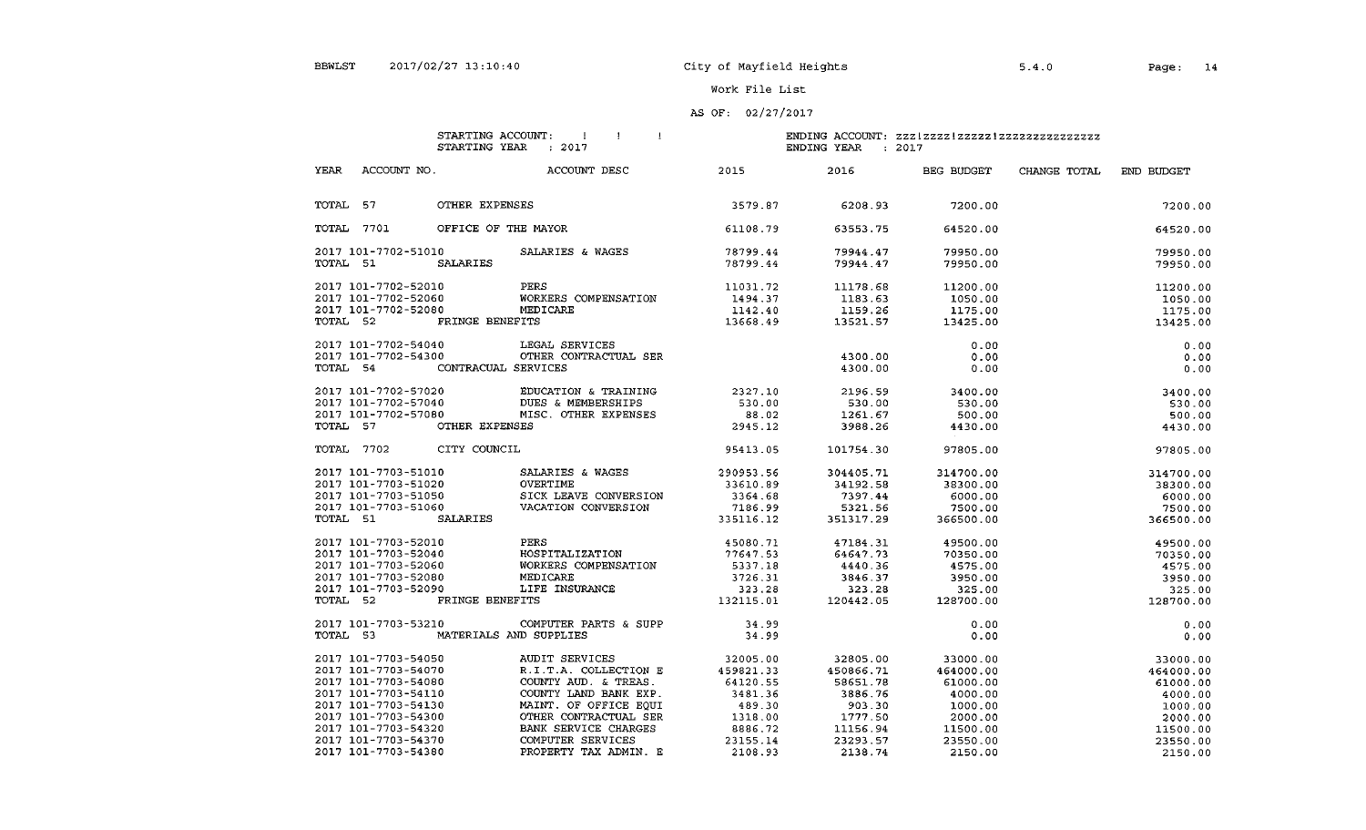7200.00 64520.00 79950.00 79950.00 11200.00 1050.00

#### work File List

### AS OF: 02/27/2017

STARTING ACCOUNT:  $\qquad$  !! STARTING YEAR : 2017

|          |                                                                   |                     | .                                    |                                                                                                 | -------<br>.                                                                                                                                                                                                                                                                                                                                                                                                                                                                                                      |                                      |              |                             |
|----------|-------------------------------------------------------------------|---------------------|--------------------------------------|-------------------------------------------------------------------------------------------------|-------------------------------------------------------------------------------------------------------------------------------------------------------------------------------------------------------------------------------------------------------------------------------------------------------------------------------------------------------------------------------------------------------------------------------------------------------------------------------------------------------------------|--------------------------------------|--------------|-----------------------------|
| YEAR     | ACCOUNT NO.                                                       |                     | ACCOUNT DESC                         | 2015                                                                                            | 2016                                                                                                                                                                                                                                                                                                                                                                                                                                                                                                              | BEG BUDGET                           | CHANGE TOTAL | END BUDGET                  |
| TOTAL 57 |                                                                   | OTHER EXPENSES      |                                      | 3579.87                                                                                         | 6208.93                                                                                                                                                                                                                                                                                                                                                                                                                                                                                                           | 7200.00                              |              | 7200.                       |
| TOTAL    | 7701                                                              | OFFICE OF THE MAYOR |                                      | 61108.79                                                                                        | 63553.75                                                                                                                                                                                                                                                                                                                                                                                                                                                                                                          | 64520.00                             |              | 64520                       |
| TOTAL 51 | 2017 101-7702-51010                                               | SALARIES            | SALARIES & WAGES                     | 78799.44<br>78799.44                                                                            | 79944.47<br>79944.47                                                                                                                                                                                                                                                                                                                                                                                                                                                                                              | 79950.00<br>79950.00                 |              | 79950<br>79950.             |
|          | 2017 101-7702-52010<br>2017 101-7702-52060<br>OG15 181 5500 FOOGO |                     | PERS<br>WORKERS COMPENSATION<br>MTDT | 11031.72<br>1494.37<br>$\begin{array}{c} \n\cdot & \cdot & \cdot & \cdot & \cdot \n\end{array}$ | 11178.68<br>1183.63<br>$\blacksquare$ $\blacksquare$ $\blacksquare$ $\blacksquare$ $\blacksquare$ $\blacksquare$ $\blacksquare$ $\blacksquare$ $\blacksquare$ $\blacksquare$ $\blacksquare$ $\blacksquare$ $\blacksquare$ $\blacksquare$ $\blacksquare$ $\blacksquare$ $\blacksquare$ $\blacksquare$ $\blacksquare$ $\blacksquare$ $\blacksquare$ $\blacksquare$ $\blacksquare$ $\blacksquare$ $\blacksquare$ $\blacksquare$ $\blacksquare$ $\blacksquare$ $\blacksquare$ $\blacksquare$ $\blacksquare$ $\blacks$ | 11200.00<br>1050.00<br>$1.777$ $0.2$ |              | 11200.<br>1050.<br>$\cdots$ |

| 2017 101-7702-52080                                                             | MEDICARE                                         | 1142.40                    | 1159.26 1175.00 |                 | 1175.00   |
|---------------------------------------------------------------------------------|--------------------------------------------------|----------------------------|-----------------|-----------------|-----------|
| TOTAL 52 FRINGE BENEFITS                                                        |                                                  | 13668.49 13521.57 13425.00 |                 |                 | 13425.00  |
|                                                                                 |                                                  |                            |                 |                 |           |
| 2017 101-7702-54040 LEGAL SERVICES<br>2017 101-7702-54300 OTHER CONTRACTUAL SER |                                                  |                            |                 | 0.00            | 0.00      |
|                                                                                 |                                                  |                            | 4300.00         | 0.00            | 0.00      |
| TOTAL 54 CONTRACUAL SERVICES                                                    |                                                  |                            | 4300.00         | 0.00            | 0.00      |
|                                                                                 | 2017 101-7702-57020 BDUCATION & TRAINING 2327.10 |                            |                 | 2196.59 3400.00 | 3400.00   |
| 2017 101-7702-57040 DUES & MEMBERSHIPS                                          |                                                  | 530.00                     | 530.00          | 530.00          | 530.00    |
|                                                                                 | 2017 101-7702-57080 MISC. OTHER EXPENSES 88.02   |                            |                 | 1261.67 500.00  | 500.00    |
| TOTAL 57 OTHER EXPENSES                                                         |                                                  | 2945.12                    | 3988.26         | 4430.00         | 4430.00   |
|                                                                                 |                                                  |                            |                 |                 |           |
| CITY COUNCIL<br>TOTAL 7702                                                      |                                                  | 95413.05                   | 101754.30       | 97805.00        | 97805.00  |
| 2017 101-7703-51010                                                             | SALARIES & WAGES                                 | 290953.56                  | 304405.71       | 314700.00       | 314700.00 |
| 2017 101-7703-51020                                                             | OVERTIME                                         | 33610.89                   | 34192.58        | 38300.00        | 38300.00  |
| 2017 101-7703-51050                                                             | SICK LEAVE CONVERSION                            | 3364.68                    | 7397.44         | 6000.00         | 6000.00   |
| 2017 101-7703-51060 VACATION CONVERSION                                         |                                                  | 7186.99                    | 5321.56         | 7500.00         | 7500.00   |
| TOTAL 51 SALARIES                                                               |                                                  | 335116.12                  | 351317.29       | 366500.00       | 366500.00 |
| 2017 101-7703-52010                                                             | PERS                                             | 45080.71                   | 47184.31        | 49500.00        | 49500.00  |
|                                                                                 | 2017 101-7703-52040 HOSPITALIZATION              | 77647.53                   | 64647.73        | 70350.00        | 70350.00  |
| 2017 101-7703-52060                                                             | WORKERS COMPENSATION 5337.18                     |                            | 4440.36         | 4575.00         | 4575.00   |
| 2017 101-7703-52080                                                             | MEDICARE                                         | 3726.31                    | 3846.37         | 3950.00         | 3950.00   |
| 2017 101-7703-52090                                                             | LIFE INSURANCE                                   |                            |                 |                 | 325.00    |
| TOTAL 52 FRINGE BENEFITS                                                        |                                                  | 323.28<br>132115.01        |                 |                 | 128700.00 |
|                                                                                 | 2017 101-7703-53210 COMPUTER PARTS & SUPP        |                            |                 |                 |           |
| TOTAL 53 MATERIALS AND SUPPLIES                                                 |                                                  | 34.99                      |                 | 0.00            | 0.00      |
|                                                                                 |                                                  | 34.99                      |                 | 0.00            | 0.00      |
| 2017 101-7703-54050                                                             | AUDIT SERVICES 60 32005.00 32805.00 33000.00     |                            |                 |                 | 33000.00  |
| 2017 101-7703-54070                                                             | R.I.T.A. COLLECTION E                            | 459821.33                  | 450866.71       | 464000.00       | 464000.00 |
| 2017 101-7703-54080                                                             | COUNTY AUD. & TREAS.                             | 64120.55                   | 58651.78        | 61000.00        | 61000.00  |
| 2017 101-7703-54110                                                             | COUNTY LAND BANK EXP.                            | 3481.36                    | 3886.76         | 4000.00         | 4000.00   |
| 2017 101-7703-54130                                                             | MAINT. OF OFFICE EQUI                            | 489.30                     | 903.30          | 1000.00         | 1000.00   |
| 2017 101-7703-54300                                                             | OTHER CONTRACTUAL SER                            | 1318.00                    | 1777.50         | 2000.00         | 2000.00   |
| 2017 101-7703-54320                                                             | BANK SERVICE CHARGES                             | 8886.72                    | 11156.94        | 11500.00        | 11500.00  |
| 2017 101-7703-54370                                                             | COMPUTER SERVICES                                | 23155.14                   | 23293.57        | 23550.00        | 23550.00  |
| 2017 101-7703-54380                                                             | PROPERTY TAX ADMIN. E                            | 2108.93                    | 2138.74         | 2150.00         | 2150.00   |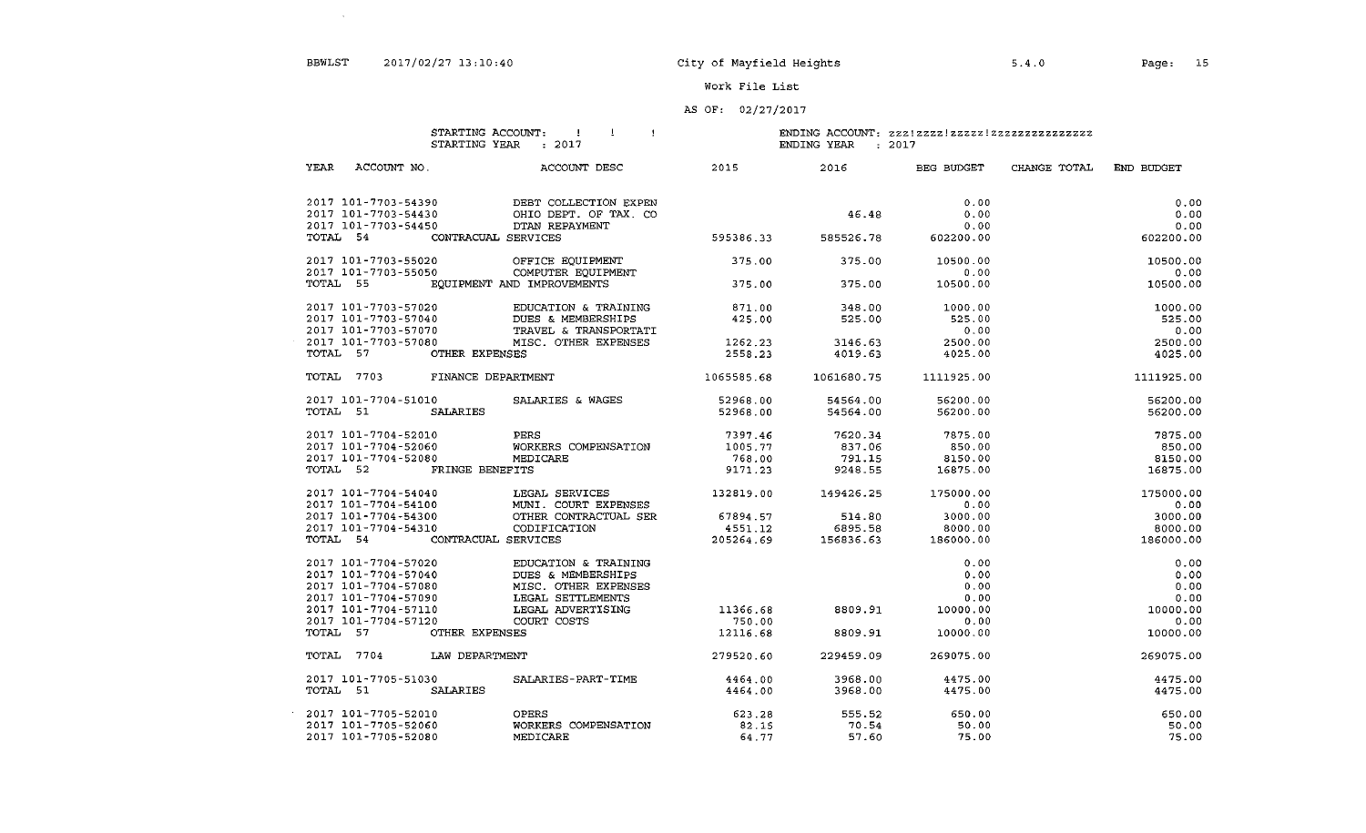$\sim$ 

### Work File List

### AS OF: 02/27/2017

#### STARTING ACCOUNT: STARTING YEAR : 2017

| YEAR<br>ACCOUNT NO                  |                | ACCOUNT DESC                                                                          | 2015                                  | 2016                               | BEG BUDGET                                        | CHANGE TOTAL | END BUDGET |
|-------------------------------------|----------------|---------------------------------------------------------------------------------------|---------------------------------------|------------------------------------|---------------------------------------------------|--------------|------------|
|                                     |                | 2017 101-7703-54390 DEBT COLLECTION EXPEN                                             |                                       |                                    | 0.00                                              |              | 0.00       |
| 2017 101-7703-54430                 |                | OHIO DEPT. OF TAX. CO<br>DTAN REPAYMENT                                               |                                       | 46.48                              | 0.00                                              |              | 0.00       |
| 2017 101-7703-54450                 |                |                                                                                       |                                       |                                    | 0.00                                              |              | 0.00       |
| TOTAL 54 CONTRACUAL SERVICES        |                |                                                                                       | 595386.33 585526.78                   |                                    | 602200.00                                         |              | 602200.00  |
|                                     |                | 2017 101-7703-55020 OFFICE EQUIPMENT                                                  | 375.00                                | 375.00                             | 10500.00                                          |              | 10500.00   |
| 2017 101-7703-55050                 |                | COMPUTER EQUIPMENT                                                                    |                                       |                                    | 0.00                                              |              | 0.00       |
| TOTAL 55 EQUIPMENT AND IMPROVEMENTS |                |                                                                                       | 375.00                                | 375.00                             | 10500.00                                          |              | 10500.00   |
| 2017 101-7703-57020                 |                | EDUCATION & TRAINING                                                                  | 871.00                                | 348.00                             | 1000.00                                           |              | 1000.00    |
|                                     |                | 2017 101-7703-57040 DUES & MEMBERSHIPS                                                | 425.00                                | 525.00                             | 525.00                                            |              | 525.00     |
|                                     |                | 2017 101-7703-57070 TRAVEL & TRANSPORTATI<br>2017 101-7703-57080 MISC. OTHER EXPENSES |                                       |                                    | 0.00                                              |              | 0.00       |
|                                     |                |                                                                                       | 1262.23                               | 3146.63                            | 2500.00                                           |              | 2500.00    |
| TOTAL 57                            | OTHER EXPENSES |                                                                                       | 2558.23                               | 4019.63                            | 4025.00                                           |              | 4025.00    |
|                                     |                | TOTAL 7703 FINANCE DEPARTMENT                                                         |                                       | 1065585.68  1061680.75  1111925.00 |                                                   |              | 1111925.00 |
|                                     |                | 2017 101-7704-51010 SALARIES & WAGES                                                  |                                       | 52968.00 54564.00                  | 56200.00                                          |              | 56200.00   |
| TOTAL 51 SALARIES                   |                |                                                                                       | 52968.00                              | 54564.00                           | 56200.00                                          |              | 56200.00   |
| 2017 101-7704-52010                 |                | PERS                                                                                  | 7397.46                               | 7620.34                            | 7875.00                                           |              | 7875.00    |
| 2017 101-7704-52060                 |                | WORKERS COMPENSATION                                                                  | 1005.77                               | 837.06                             | 850.00                                            |              | 850.00     |
| 2017 101-7704-52080 MEDICARE        |                |                                                                                       | 768.00                                | 791.15                             | 8150.00                                           |              | 8150.00    |
| TOTAL 52 FRINGE BENEFITS            |                |                                                                                       | 9171.23                               | 9248.55                            | 16875.00                                          |              | 16875.00   |
|                                     |                |                                                                                       |                                       |                                    |                                                   |              |            |
|                                     |                | 2017 101-7704-54040 LEGAL SERVICES                                                    |                                       |                                    | 175000.00                                         |              | 175000.00  |
|                                     |                | 2017 101-7704-54100 MUNI. COURT EXPENSES<br>2017 101-7704-54300 OTHER CONTRACTUAL SER |                                       |                                    | 0.00                                              |              | 0.00       |
|                                     |                |                                                                                       | 67894.57                              | 514.80                             | 3000.00                                           |              | 3000.00    |
| 2017 101-7704-54310                 |                | CODIFICATION                                                                          |                                       |                                    | 8000.00<br>6895.58 8000.00<br>156836.63 186000.00 |              | 8000.00    |
| TOTAL 54 CONTRACUAL SERVICES        |                |                                                                                       | $205264.69$<br>205264.69<br>156836.63 |                                    |                                                   |              | 186000.00  |
| 2017 101-7704-57020                 |                | EDUCATION & TRAINING                                                                  |                                       |                                    | 0.00                                              |              | 0.00       |
| 2017 101-7704-57040                 |                | DUES & MEMBERSHIPS                                                                    |                                       |                                    | 0.00                                              |              | 0.00       |
| 2017 101-7704-57080                 |                | DUES & PLETILLERENSES<br>MISC. OTHER EXPENSES                                         |                                       |                                    | 0.00                                              |              | 0.00       |
| 2017 101-7704-57090                 |                | LEGAL SETTLEMENTS<br>LEGAL ADVERTISING                                                |                                       |                                    | 0.00                                              |              | 0.00       |
| 2017 101-7704-57110                 |                |                                                                                       | 11366.68 8809.91                      |                                    | 10000.00                                          |              | 10000.00   |
| 2017 101-7704-57120                 |                | COURT COSTS                                                                           | 750.00                                |                                    | 0.00                                              |              | 0.00       |
| TOTAL 57                            | OTHER EXPENSES |                                                                                       | 12116.68                              | 8809.91                            | 10000.00                                          |              | 10000.00   |
| TOTAL 7704 LAW DEPARTMENT           |                |                                                                                       | 279520.60                             | 229459.09                          | 269075.00                                         |              | 269075.00  |
|                                     |                | 2017 101-7705-51030 SALARIES-PART-TIME                                                | 4464.00                               | 3968.00                            | 4475.00                                           |              | 4475.00    |
| TOTAL 51 SALARIES                   |                |                                                                                       | 4464.00                               | 3968.00                            | 4475.00                                           |              | 4475.00    |
| 2017 101-7705-52010                 |                | <b>OPERS</b>                                                                          | 623.28                                | 555.52                             | 650.00                                            |              | 650.00     |
| 2017 101-7705-52060                 |                | WORKERS COMPENSATION                                                                  | 82.15                                 | 70.54                              | 50.00                                             |              | 50.00      |
| 2017 101-7705-52080                 |                | MEDICARE                                                                              | 64.77                                 | 57.60                              | 75.00                                             |              | 75.00      |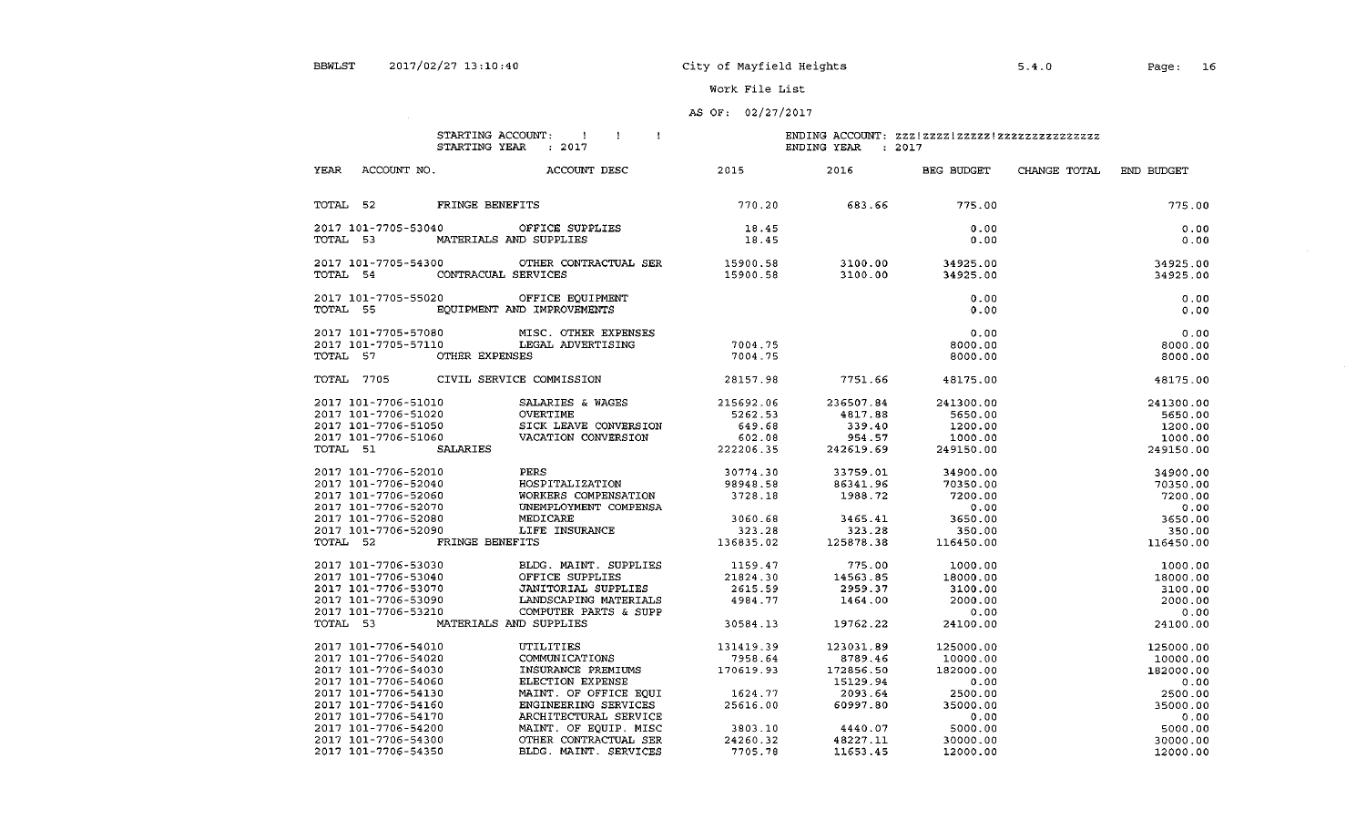### AS OF:  $02/27/2017$

### STARTING ACCOUNT:  $\qquad$   $\qquad$   $\qquad$   $\qquad$   $\qquad$   $\qquad$   $\qquad$   $\qquad$   $\qquad$   $\qquad$   $\qquad$   $\qquad$   $\qquad$   $\qquad$   $\qquad$   $\qquad$   $\qquad$   $\qquad$   $\qquad$   $\qquad$   $\qquad$   $\qquad$   $\qquad$   $\qquad$   $\qquad$   $\qquad$   $\qquad$   $\qquad$   $\qquad$   $\qquad$   $\qquad$   $\qquad$   $\qquad$   $\qquad$  STARTING YEAR : 2017

| YEAR     | ACCOUNT NO.         |                              | ACCOUNT DESC                                                                      | 2015                   | 2016                 | BEG BUDGET | CHANGE TOTAL | END BUDGET                                                                |
|----------|---------------------|------------------------------|-----------------------------------------------------------------------------------|------------------------|----------------------|------------|--------------|---------------------------------------------------------------------------|
| TOTAL 52 |                     | FRINGE BENEFITS              |                                                                                   | $770.20$ 683.66 775.00 |                      |            |              | 775.00                                                                    |
|          | 2017 101-7705-53040 |                              | OFFICE SUPPLIES                                                                   | 18.45                  |                      | 0.00       |              | 0.00                                                                      |
| TOTAL 53 |                     | MATERIALS AND SUPPLIES       |                                                                                   | 18.45                  |                      | 0.00       |              | 0.00                                                                      |
|          |                     |                              | 2017 101-7705-54300 OTHER CONTRACTUAL SER 15900.58                                |                        | $3100.00$ $34925.00$ |            |              | 34925.00                                                                  |
|          |                     | TOTAL 54 CONTRACUAL SERVICES |                                                                                   | 15900.58               | 3100.00              | 34925.00   |              | 34925.00                                                                  |
|          |                     |                              | 2017 101-7705-55020 OFFICE EQUIPMENT                                              |                        |                      | 0.00       |              | 0.00                                                                      |
|          | TOTAL 55            |                              | EQUIPMENT AND IMPROVEMENTS                                                        |                        |                      | 0.00       |              | 0.00                                                                      |
|          |                     |                              | 2017 101-7705-57080 MISC. OTHER EXPENSES<br>2017 101-7705-57110 LEGAL ADVERTISING |                        |                      | 0.00       |              | 0.00                                                                      |
|          |                     |                              |                                                                                   |                        | 7004.75              | 8000.00    |              | 8000.00                                                                   |
| TOTAL 57 |                     | OTHER EXPENSES               |                                                                                   | 7004.75                |                      | 8000.00    |              | 8000.00                                                                   |
|          |                     |                              | TOTAL 7705 CIVIL SERVICE COMMISSION                                               | 28157.98               | 7751.66 48175.00     |            |              | 48175.00                                                                  |
|          | 2017 101-7706-51010 |                              | SALARIES & WAGES                                                                  | 215692.06              | 236507.84            | 241300.00  |              | 241300.00                                                                 |
|          | 2017 101-7706-51020 |                              | OVERTIME                                                                          | 5262.53                | 4817.88              | 5650.00    |              | 5650.00                                                                   |
|          | 2017 101-7706-51050 |                              | SICK LEAVE CONVERSION                                                             | 649.68                 | 339.40               | 1200.00    |              | 1200.00                                                                   |
|          | 2017 101-7706-51060 |                              | VACATION CONVERSION                                                               | 602.08                 | 954.57               | 1000.00    |              | 1000.00                                                                   |
|          | TOTAL 51 SALARIES   |                              |                                                                                   | 222206.35              | 242619.69            | 249150.00  |              | 249150.00                                                                 |
|          | 2017 101-7706-52010 |                              | PERS                                                                              | 30774.30               | 33759.01             | 34900.00   |              | 34900.00                                                                  |
|          | 2017 101-7706-52040 |                              | HARD<br>HOSPITALIZATION                                                           | 98948.58               | 86341.96             | 70350.00   |              |                                                                           |
|          | 2017 101-7706-52060 |                              | WORKERS COMPENSATION                                                              | 3728.18                | 1988.72              | 7200.00    |              |                                                                           |
|          | 2017 101-7706-52070 |                              | UNEMPLOYMENT COMPENSA                                                             |                        |                      | 0.00       |              |                                                                           |
|          | 2017 101-7706-52080 |                              | MEDICARE                                                                          | 3060.68                | 3465.41              | 3650.00    |              |                                                                           |
|          | 2017 101-7706-52090 |                              | LIFE INSURANCE                                                                    | 323.28<br>136835.02    | 323.28               | 350.00     |              |                                                                           |
|          |                     | TOTAL 52 FRINGE BENEFITS     |                                                                                   |                        | 125878.38            | 116450.00  |              | $70350.00$<br>$7200.00$<br>$0.00$<br>$3650.00$<br>$350.00$<br>$116450.00$ |
|          |                     |                              | 2017 101-7706-53030 BLDG. MAINT. SUPPLIES 1159.47                                 |                        | 775.00               | 1000.00    |              | 1000.00                                                                   |
|          | 2017 101-7706-53040 |                              | OFFICE SUPPLIES                                                                   | 21824.30               | 14563.85             | 18000.00   |              | 18000.00                                                                  |
|          | 2017 101-7706-53070 |                              | JANITORIAL SUPPLIES                                                               | 2615.59                | 2959.37              | 3100.00    |              | 3100.00                                                                   |
|          | 2017 101-7706-53090 |                              | LANDSCAPING MATERIALS                                                             | 4984.77                | 1464.00              | 2000.00    |              | 2000.00                                                                   |
|          | 2017 101-7706-53210 |                              | COMPUTER PARTS & SUPP                                                             |                        |                      | 0.00       |              | 0.00                                                                      |
|          |                     |                              | TOTAL 53 MATERIALS AND SUPPLIES                                                   | 30584.13               | 19762.22             | 24100.00   |              | 24100.00                                                                  |
|          | 2017 101-7706-54010 |                              | UTILITIES                                                                         | 131419.39              | 123031.89            | 125000.00  |              | 125000.00                                                                 |
|          | 2017 101-7706-54020 |                              | COMMUNICATIONS                                                                    | 7958.64                | 8789.46              | 10000.00   |              | 10000.00                                                                  |
|          | 2017 101-7706-54030 |                              | INSURANCE PREMIUMS                                                                | 170619.93              | 172856.50            | 182000.00  |              | 182000.00                                                                 |
|          | 2017 101-7706-54060 |                              | ELECTION EXPENSE                                                                  |                        | 15129.94             | 0.00       |              | 0.00                                                                      |
|          | 2017 101-7706-54130 |                              | MAINT. OF OFFICE EQUI 1624.77                                                     |                        | 2093.64              | 2500.00    |              | 2500.00                                                                   |
|          | 2017 101-7706-54160 |                              | ENGINEERING SERVICES                                                              | 25616.00               | 60997.80             | 35000.00   |              | 35000.00                                                                  |
|          | 2017 101-7706-54170 |                              | ARCHITECTURAL SERVICE                                                             |                        |                      | 0.00       |              | 0.00                                                                      |
|          | 2017 101-7706-54200 |                              | MAINT. OF EQUIP. MISC                                                             | 3803.10                | 4440.07<br>11 12227  | 5000.00    |              | 5000.00                                                                   |
|          | 2017 101-7706-54300 |                              | OTHER CONTRACTUAL SER                                                             | 24260.32               | 48227.11             | 30000.00   |              | 30000.00                                                                  |
|          | 2017 101-7706-54350 |                              | BLDG. MAINT. SERVICES                                                             | 7705.78                | 11653.45             | 12000.00   |              | 12000.00                                                                  |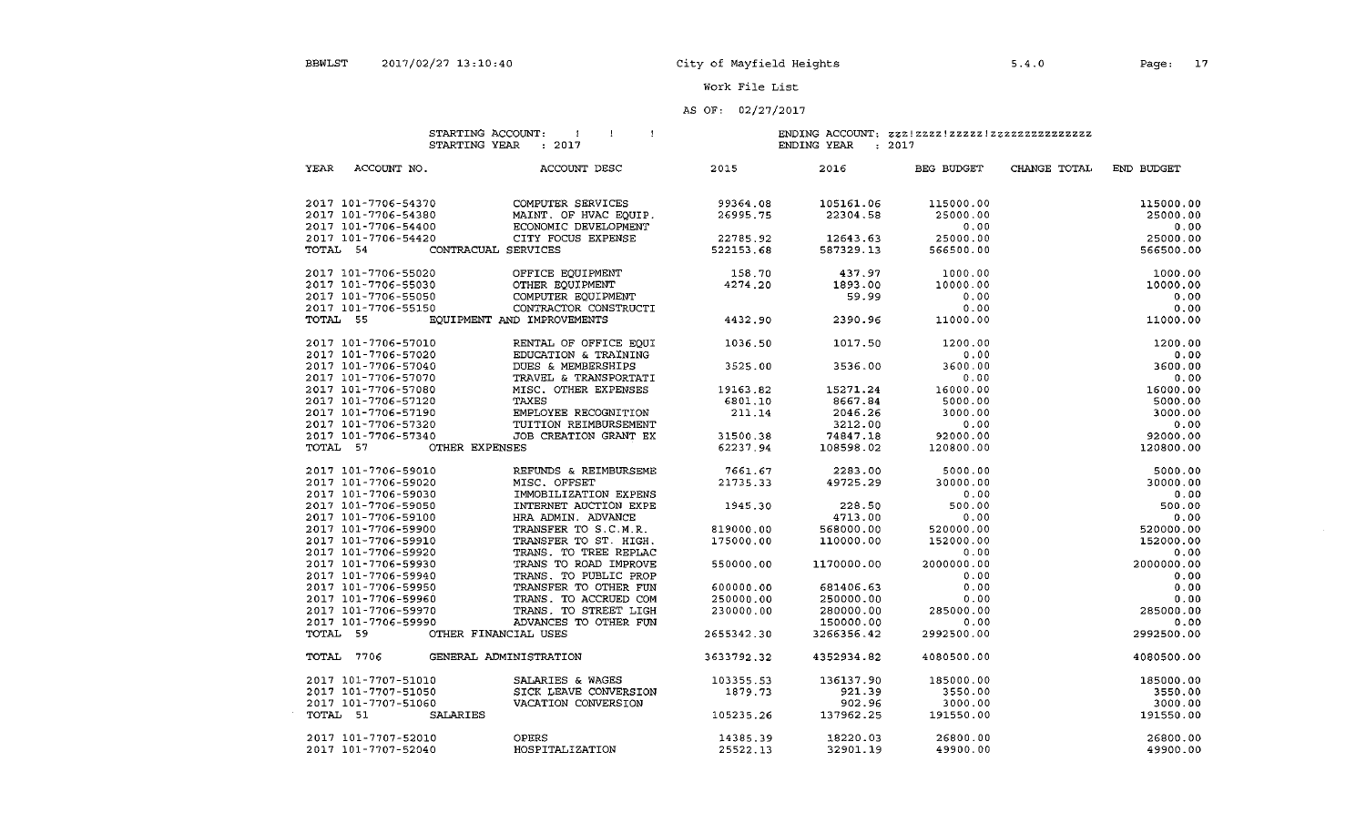### AS OF: 02/27/2017

#### $\sim 10^{-10}$  M  $_{\odot}$ STARTING ACCOUNT: :<br>STARTING YEAR : 2017

#### ENDING ACCOUNT: ENDING YEAR zzz!zzzz!zzzzz!zzzzzzzzzzzzzzz 2017

| <b>YEAR</b><br>ACCOUNT NO. | ACCOUNT DESC               | 2015       | 2016       | BEG BUDGET | CHANGE TOTAL | END BUDGET |
|----------------------------|----------------------------|------------|------------|------------|--------------|------------|
| 2017 101-7706-54370        | COMPUTER SERVICES          | 99364.08   | 105161.06  | 115000.00  |              | 115000.00  |
| 2017 101-7706-54380        | MAINT. OF HVAC EQUIP.      | 26995.75   | 22304.58   | 25000.00   |              | 25000.00   |
| 2017 101-7706-54400        | ECONOMIC DEVELOPMENT       |            |            | 0.00       |              | 0.00       |
| 2017 101-7706-54420        | CITY FOCUS EXPENSE         | 22785.92   | 12643.63   | 25000.00   |              | 25000.00   |
| TOTAL 54                   | CONTRACUAL SERVICES        | 522153.68  | 587329.13  | 566500.00  |              | 566500.00  |
|                            |                            |            |            |            |              |            |
| 2017 101-7706-55020        | OFFICE EQUIPMENT           | 158.70     | 437.97     | 1000.00    |              | 1000.00    |
| 2017 101-7706-55030        | OTHER EQUIPMENT            | 4274.20    | 1893.00    | 10000.00   |              | 10000.00   |
| 2017 101-7706-55050        | COMPUTER EQUIPMENT         |            | 59.99      | 0.00       |              | 0.00       |
| 2017 101-7706-55150        | CONTRACTOR CONSTRUCTI      |            |            | 0.00       |              | 0.00       |
| TOTAL 55                   | EQUIPMENT AND IMPROVEMENTS | 4432.90    | 2390.96    | 11000.00   |              | 11000.00   |
|                            |                            |            |            |            |              |            |
| 2017 101-7706-57010        | RENTAL OF OFFICE EQUI      | 1036.50    | 1017.50    | 1200.00    |              | 1200.00    |
| 2017 101-7706-57020        | EDUCATION & TRAINING       |            |            | 0.00       |              | 0.00       |
| 2017 101-7706-57040        | DUES & MEMBERSHIPS         | 3525.00    | 3536.00    | 3600.00    |              | 3600.00    |
| 2017 101-7706-57070        | TRAVEL & TRANSPORTATI      |            |            | 0.00       |              | 0.00       |
| 2017 101-7706-57080        | MISC. OTHER EXPENSES       | 19163.82   | 15271.24   | 16000.00   |              | 16000.00   |
| 2017 101-7706-57120        | TAXES                      | 6801.10    | 8667.84    | 5000.00    |              | 5000.00    |
| 2017 101-7706-57190        | EMPLOYEE RECOGNITION       | 211.14     | 2046.26    | 3000.00    |              | 3000.00    |
| 2017 101-7706-57320        | TUITION REIMBURSEMENT      |            | 3212.00    | 0.00       |              | 0.00       |
| 2017 101-7706-57340        | JOB CREATION GRANT EX      | 31500.38   | 74847.18   | 92000.00   |              | 92000.00   |
| TOTAL 57                   | OTHER EXPENSES             | 62237.94   | 108598.02  | 120800.00  |              | 120800.00  |
|                            |                            |            |            |            |              |            |
| 2017 101-7706-59010        | REFUNDS & REIMBURSEME      | 7661.67    | 2283.00    | 5000.00    |              | 5000.00    |
| 2017 101-7706-59020        | MISC. OFFSET               | 21735.33   | 49725.29   | 30000.00   |              | 30000.00   |
| 2017 101-7706-59030        | IMMOBILIZATION EXPENS      |            |            | 0.00       |              | 0.00       |
| 2017 101-7706-59050        | INTERNET AUCTION EXPE      | 1945.30    | 228.50     | 500.00     |              | 500.00     |
| 2017 101-7706-59100        | HRA ADMIN. ADVANCE         |            | 4713.00    | 0.00       |              | 0.00       |
| 2017 101-7706-59900        | TRANSFER TO S.C.M.R.       | 819000.00  | 568000.00  | 520000.00  |              | 520000.00  |
| 2017 101-7706-59910        | TRANSFER TO ST. HIGH.      | 175000.00  | 110000.00  | 152000.00  |              | 152000.00  |
| 2017 101-7706-59920        | TRANS. TO TREE REPLAC      |            |            | 0.00       |              | 0.00       |
| 2017 101-7706-59930        | TRANS TO ROAD IMPROVE      | 550000.00  | 1170000.00 | 2000000.00 |              | 2000000.00 |
| 2017 101-7706-59940        | TRANS. TO PUBLIC PROP      |            |            | 0.00       |              | 0.00       |
| 2017 101-7706-59950        | TRANSFER TO OTHER FUN      | 600000.00  | 681406.63  | 0.00       |              | 0.00       |
| 2017 101-7706-59960        | TRANS. TO ACCRUED COM      | 250000.00  | 250000.00  | 0.00       |              | 0.00       |
| 2017 101-7706-59970        | TRANS. TO STREET LIGH      | 230000.00  | 280000.00  | 285000.00  |              | 285000.00  |
| 2017 101-7706-59990        | ADVANCES TO OTHER FUN      |            | 150000.00  | 0.00       |              | 0.00       |
| TOTAL 59                   | OTHER FINANCIAL USES       | 2655342.30 | 3266356.42 | 2992500.00 |              | 2992500.00 |
| TOTAL 7706                 | GENERAL ADMINISTRATION     | 3633792.32 | 4352934.82 | 4080500.00 |              | 4080500.00 |
|                            |                            |            |            |            |              |            |
| 2017 101-7707-51010        | SALARIES & WAGES           | 103355.53  | 136137.90  | 185000.00  |              | 185000.00  |
| 2017 101-7707-51050        | SICK LEAVE CONVERSION      | 1879.73    | 921.39     | 3550.00    |              | 3550.00    |
| 2017 101-7707-51060        | VACATION CONVERSION        |            | 902.96     | 3000.00    |              | 3000.00    |
| TOTAL 51<br>SALARIES       |                            | 105235.26  | 137962.25  | 191550.00  |              | 191550.00  |
| 2017 101-7707-52010        | <b>OPERS</b>               | 14385.39   | 18220.03   | 26800.00   |              | 26800.00   |
| 2017 101-7707-52040        | HOSPITALIZATION            | 25522.13   | 32901.19   | 49900.00   |              | 49900.00   |
|                            |                            |            |            |            |              |            |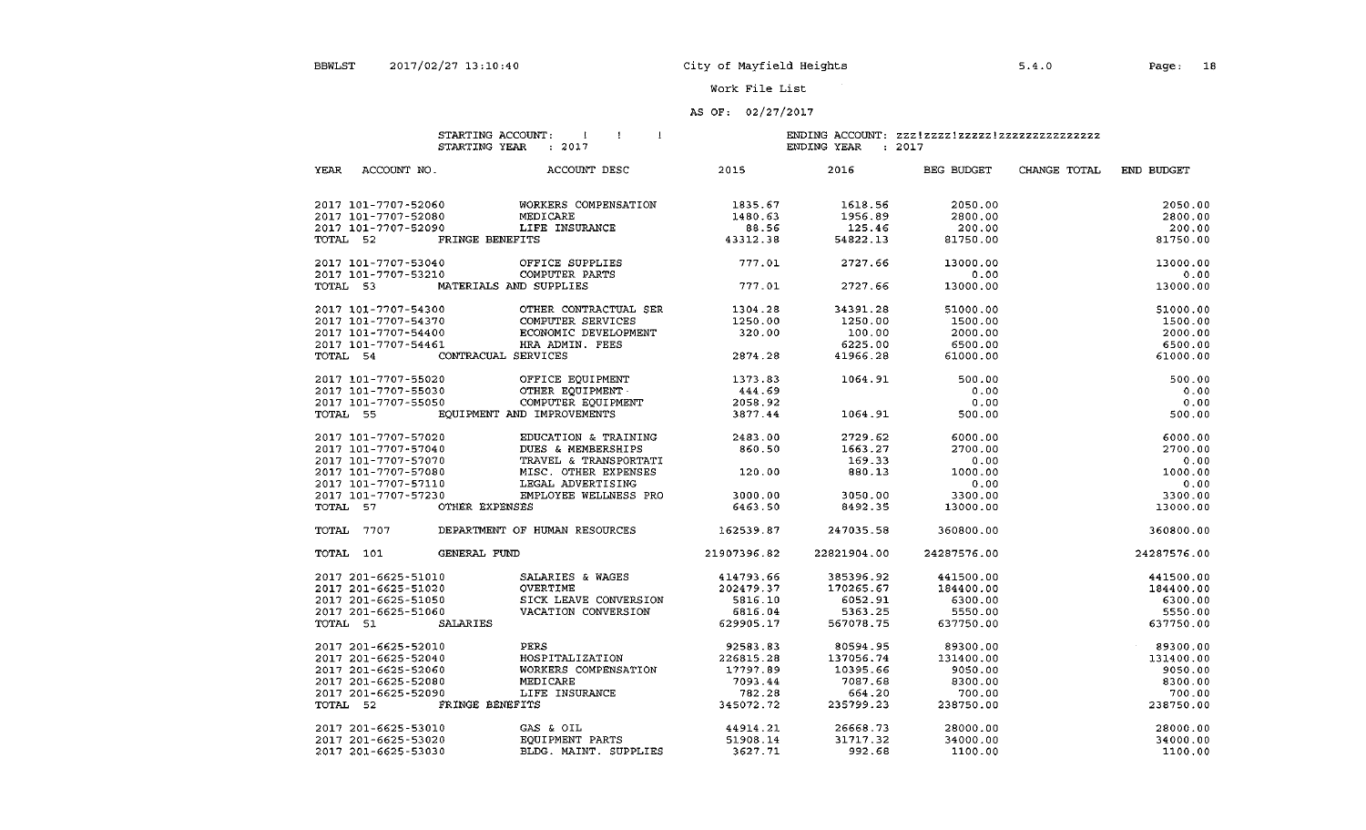### AS OF: 02/27/2017

#### STARTING ACCOUNT:  $\qquad$  !! STARTING YEAR : 2017

| YEAR<br>ACCOUNT NO.             |                     | ACCOUNT DESC                        | 2015        | 2016        | BEG BUDGET  | CHANGE TOTAL | END BUDGET  |
|---------------------------------|---------------------|-------------------------------------|-------------|-------------|-------------|--------------|-------------|
| 2017 101-7707-52060             |                     | WORKERS COMPENSATION                | 1835.67     | 1618.56     | 2050.00     |              | 2050.00     |
| 2017 101-7707-52080             |                     | MEDICARE                            | 1480.63     | 1956.89     | 2800.00     |              | 2800.00     |
| 2017 101-7707-52090             |                     | LIFE INSURANCE                      | 88.56       | 125.46      | 200.00      |              | 200.00      |
| TOTAL 52 FRINGE BENEFITS        |                     |                                     | 43312.38    | 54822.13    | 81750.00    |              | 81750.00    |
| 2017 101-7707-53040             |                     | OFFICE SUPPLIES                     | 777.01      | 2727.66     | 13000.00    |              | 13000.00    |
| 2017 101-7707-53210             |                     | COMPUTER PARTS                      |             |             | 0.00        |              | 0.00        |
| TOTAL 53 MATERIALS AND SUPPLIES |                     |                                     | 777.01      | 2727.66     | 13000.00    |              | 13000.00    |
| 2017 101-7707-54300             |                     | OTHER CONTRACTUAL SER               | 1304.28     | 34391.28    | 51000.00    |              | 51000.00    |
| 2017 101-7707-54370             |                     | COMPUTER SERVICES                   | 1250.00     | 1250.00     | 1500.00     |              | 1500.00     |
| 2017 101-7707-54400             |                     | ECONOMIC DEVELOPMENT                | 320.00      | 100.00      | 2000.00     |              | 2000.00     |
| 2017 101-7707-54461             |                     | HRA ADMIN. FEES                     |             | 6225.00     | 6500.00     |              | 6500.00     |
| TOTAL 54                        | CONTRACUAL SERVICES |                                     | 2874.28     | 41966.28    | 61000.00    |              | 61000.00    |
| 2017 101-7707-55020             |                     | OFFICE EQUIPMENT                    | 1373.83     | 1064.91     | 500.00      |              | 500.00      |
| 2017 101-7707-55030             |                     | OTHER EQUIPMENT                     | 444.69      |             | 0.00        |              | 0.00        |
| 2017 101-7707-55050             |                     | COMPUTER EOUIPMENT                  | 2058.92     |             | 0.00        |              | 0.00        |
|                                 |                     | TOTAL 55 EQUIPMENT AND IMPROVEMENTS | 3877.44     | 1064.91     | 500.00      |              | 500.00      |
| 2017 101-7707-57020             |                     | EDUCATION & TRAINING                | 2483.00     | 2729.62     | 6000.00     |              | 6000.00     |
| 2017 101-7707-57040             |                     | DUES & MEMBERSHIPS                  | 860.50      | 1663.27     | 2700.00     |              | 2700.00     |
| 2017 101-7707-57070             |                     | TRAVEL & TRANSPORTATI               |             | 169.33      | 0.00        |              | 0.00        |
| 2017 101-7707-57080             |                     | MISC. OTHER EXPENSES                | 120.00      | 880.13      | 1000.00     |              | 1000.00     |
| 2017 101-7707-57110             |                     | LEGAL ADVERTISING                   |             |             | 0.00        |              | 0.00        |
| 2017 101-7707-57230             |                     | EMPLOYEE WELLNESS PRO               | 3000.00     | 3050.00     | 3300.00     |              | 3300.00     |
| TOTAL 57                        | OTHER EXPENSES      |                                     | 6463.50     | 8492.35     | 13000.00    |              | 13000.00    |
| TOTAL 7707                      |                     | DEPARTMENT OF HUMAN RESOURCES       | 162539.87   | 247035.58   | 360800.00   |              | 360800.00   |
| TOTAL 101                       | GENERAL FUND        |                                     | 21907396.82 | 22821904.00 | 24287576.00 |              | 24287576.00 |
| 2017 201-6625-51010             |                     | SALARIES & WAGES                    | 414793.66   | 385396.92   | 441500.00   |              | 441500.00   |
| 2017 201-6625-51020             |                     | OVERTIME                            | 202479.37   | 170265.67   | 184400.00   |              | 184400.00   |
| 2017 201-6625-51050             |                     | SICK LEAVE CONVERSION               | 5816.10     | 6052.91     | 6300.00     |              | 6300.00     |
| 2017 201-6625-51060             |                     | VACATION CONVERSION                 | 6816.04     | 5363.25     | 5550.00     |              | 5550.00     |
| TOTAL 51                        | <b>SALARIES</b>     |                                     | 629905.17   | 567078.75   | 637750.00   |              | 637750.00   |
| 2017 201-6625-52010             |                     | PERS                                | 92583.83    | 80594.95    | 89300.00    |              | 89300.00    |
| 2017 201-6625-52040             |                     | HOSPITALIZATION                     | 226815.28   | 137056.74   | 131400.00   |              | 131400.00   |
| 2017 201-6625-52060             |                     | WORKERS COMPENSATION                | 17797.89    | 10395.66    | 9050.00     |              | 9050.00     |
| 2017 201-6625-52080             |                     | MEDICARE                            | 7093.44     | 7087.68     | 8300.00     |              | 8300.00     |
| 2017 201-6625-52090             |                     | LIFE INSURANCE                      | 782.28      | 664.20      | 700.00      |              | 700.00      |
| TOTAL 52                        | FRINGE BENEFITS     |                                     | 345072.72   | 235799.23   | 238750.00   |              | 238750.00   |
| 2017 201-6625-53010             |                     | GAS & OIL                           | 44914.21    | 26668.73    | 28000.00    |              | 28000.00    |
| 2017 201-6625-53020             |                     | EOUIPMENT PARTS                     | 51908.14    | 31717.32    | 34000.00    |              | 34000.00    |
| 2017 201-6625-53030             |                     | BLDG. MAINT. SUPPLIES               | 3627.71     | 992.68      | 1100.00     |              | 1100.00     |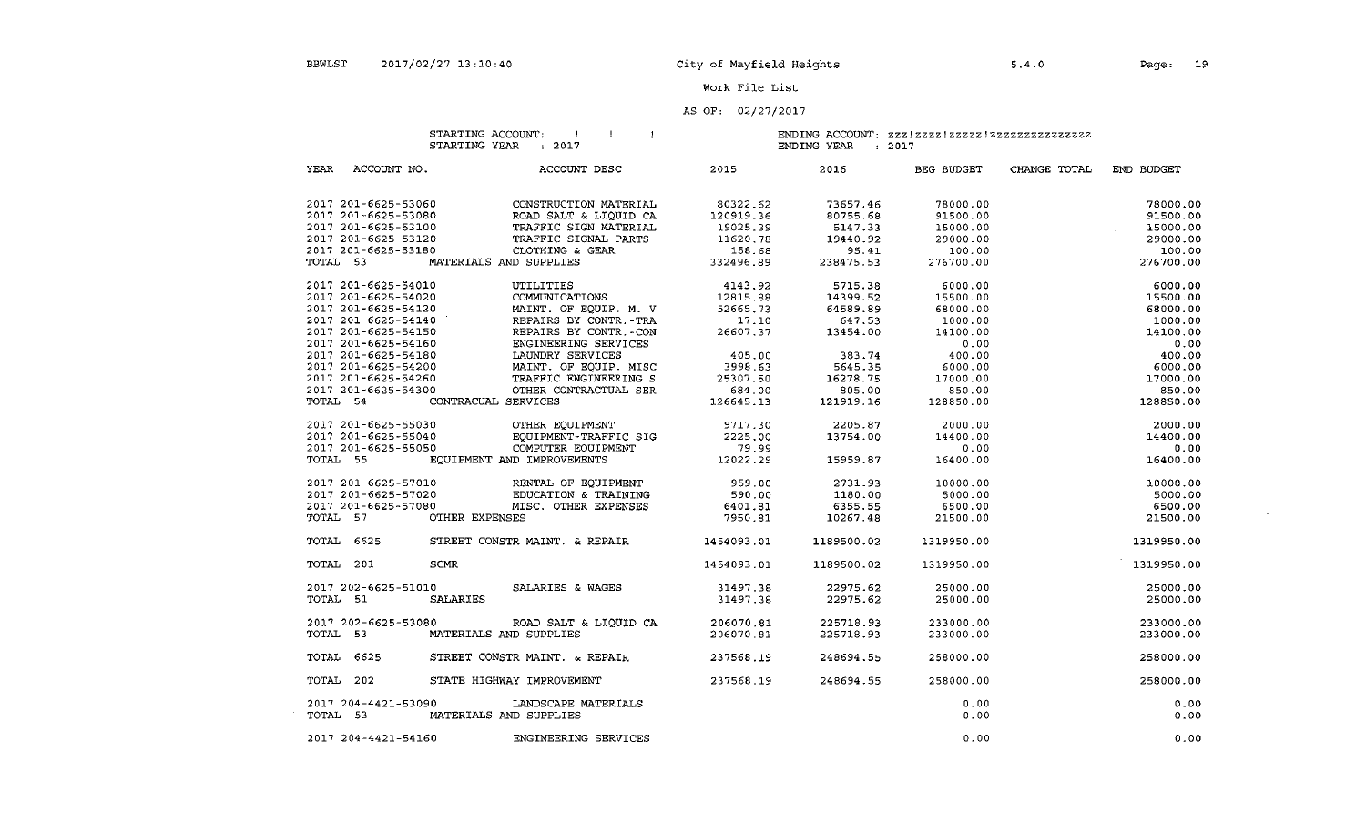$\Delta \phi$ 

Work File List

### AS OF: 02/27/2017

### STARTING ACCOUNT:  $\qquad$   $\qquad$   $\qquad$   $\qquad$   $\qquad$   $\qquad$   $\qquad$   $\qquad$   $\qquad$   $\qquad$   $\qquad$   $\qquad$   $\qquad$   $\qquad$   $\qquad$   $\qquad$   $\qquad$   $\qquad$   $\qquad$   $\qquad$   $\qquad$   $\qquad$   $\qquad$   $\qquad$   $\qquad$   $\qquad$   $\qquad$   $\qquad$   $\qquad$   $\qquad$   $\qquad$   $\qquad$   $\qquad$   $\qquad$  STARTING YEAR : 2017

#### ENDING ACCOUNT: ENDING YEAR zzz!zzzz!zzzzz!zzzzzzzzzzzzzzz 2017

| YEAR     | ACCOUNT NO.         |                     | ACCOUNT DESC                                                                        | 2015                | 2016       | BEG BUDGET | CHANGE TOTAL | END BUDGET |
|----------|---------------------|---------------------|-------------------------------------------------------------------------------------|---------------------|------------|------------|--------------|------------|
|          | 2017 201-6625-53060 |                     | CONSTRUCTION MATERIAL                                                               | 80322.62            | 73657.46   | 78000.00   |              | 78000.00   |
|          | 2017 201-6625-53080 |                     | ROAD SALT & LIQUID CA                                                               | 120919.36           | 80755.68   | 91500.00   |              | 91500.00   |
|          | 2017 201-6625-53100 |                     | TRAFFIC SIGN MATERIAL                                                               | 19025.39            | 5147.33    | 15000.00   |              | 15000.00   |
|          | 2017 201-6625-53120 |                     | TRAFFIC SIGNAL PARTS                                                                | 11620.78            | 19440.92   | 29000.00   |              | 29000.00   |
|          | 2017 201-6625-53180 |                     | CLOTHING & GEAR                                                                     | 158.68              | 95.41      | 100.00     |              | 100.00     |
| TOTAL 53 |                     |                     | MATERIALS AND SUPPLIES                                                              | 332496.89           | 238475.53  | 276700.00  |              | 276700.00  |
|          | 2017 201-6625-54010 |                     | UTILITIES                                                                           | 4143.92             | 5715.38    | 6000.00    |              | 6000.00    |
|          | 2017 201-6625-54020 |                     | COMMUNICATIONS                                                                      | 12815.88            | 14399.52   | 15500.00   |              | 15500.00   |
|          | 2017 201-6625-54120 |                     | MAINT. OF EQUIP. M. V                                                               | 52665.73            | 64589.89   | 68000.00   |              | 68000.00   |
|          | 2017 201-6625-54140 |                     | REPAIRS BY CONTR.-TRA                                                               | 17.10<br>26607.37   | 647.53     | 1000.00    |              | 1000.00    |
|          | 2017 201-6625-54150 |                     | REPAIRS BY CONTR. - CON                                                             | 26607.37            | 13454.00   | 14100.00   |              | 14100.00   |
|          | 2017 201-6625-54160 |                     | ENGINEERING SERVICES                                                                |                     |            | 0.00       |              | 0.00       |
|          | 2017 201-6625-54180 |                     | LAUNDRY SERVICES                                                                    | 405.00              | 383.74     | 400.00     |              | 400.00     |
|          | 2017 201-6625-54200 |                     | MAINT. OF EQUIP. MISC                                                               | 3998.63<br>25307.50 | 5645.35    | 6000.00    |              | 6000.00    |
|          | 2017 201-6625-54260 |                     | TRAFFIC ENGINEERING S                                                               | 25307.50            | 16278.75   | 17000.00   |              | 17000.00   |
|          | 2017 201-6625-54300 |                     | OTHER CONTRACTUAL SER                                                               | 684.00              | 805.00     | 850.00     |              | 850.00     |
| TOTAL 54 |                     | CONTRACUAL SERVICES |                                                                                     | 126645.13           | 121919.16  | 128850.00  |              | 128850.00  |
|          | 2017 201-6625-55030 |                     | OTHER EQUIPMENT                                                                     | 9717.30             | 2205.87    | 2000.00    |              | 2000.00    |
|          | 2017 201-6625-55040 |                     | EQUIPMENT-TRAFFIC SIG 2225.00                                                       |                     | 13754.00   | 14400.00   |              | 14400.00   |
|          | 2017 201-6625-55050 |                     | COMPUTER EQUIPMENT                                                                  | 79.99               |            | 0.00       |              | 0.00       |
|          | TOTAL 55            |                     | EQUIPMENT AND IMPROVEMENTS                                                          | 12022.29            | 15959.87   | 16400.00   |              | 16400.00   |
|          |                     |                     | 2017 201-6625-57010 RENTAL OF EQUIPMENT<br>2017 201-6625-57020 EDUCATION & TRAINING | 959.00              | 2731.93    | 10000.00   |              | 10000.00   |
|          |                     |                     |                                                                                     | 590.00              | 1180.00    | 5000.00    |              | 5000.00    |
|          |                     |                     | 2017 201-6625-57080 MISC. OTHER EXPENSES                                            | 6401.81             | 6355.55    | 6500.00    |              | 6500.00    |
|          | TOTAL 57            | OTHER EXPENSES      |                                                                                     | 7950.81             | 10267.48   | 21500.00   |              | 21500.00   |
|          | TOTAL 6625          |                     | STREET CONSTR MAINT. & REPAIR 1454093.01                                            |                     | 1189500.02 | 1319950.00 |              | 1319950.00 |
|          | TOTAL 201           | SCMR                |                                                                                     | 1454093.01          | 1189500.02 | 1319950.00 |              | 1319950.00 |
|          |                     |                     | 2017 202-6625-51010 SALARIES & WAGES                                                | 31497.38            | 22975.62   | 25000.00   |              | 25000.00   |
|          | TOTAL 51            | SALARIES            |                                                                                     | 31497.38            | 22975.62   | 25000.00   |              | 25000.00   |
|          |                     | 2017 202-6625-53080 | ROAD SALT & LIQUID CA                                                               | 206070.81           | 225718.93  | 233000.00  |              | 233000.00  |
| TOTAL 53 |                     |                     | MATERIALS AND SUPPLIES                                                              | 206070.81           | 225718.93  | 233000.00  |              | 233000.00  |
|          | TOTAL 6625          |                     | STREET CONSTR MAINT. & REPAIR                                                       | 237568.19           | 248694.55  | 258000.00  |              | 258000.00  |
|          | TOTAL 202           |                     | STATE HIGHWAY IMPROVEMENT                                                           | 237568.19           | 248694.55  | 258000.00  |              | 258000.00  |
|          |                     |                     | 2017 204-4421-53090 LANDSCAPE MATERIALS                                             |                     |            | 0.00       |              | 0.00       |
|          |                     |                     | TOTAL 53 MATERIALS AND SUPPLIES                                                     |                     |            | 0.00       |              | 0.00       |
|          |                     | 2017 204-4421-54160 | ENGINEERING SERVICES                                                                |                     |            | 0.00       |              | 0.00       |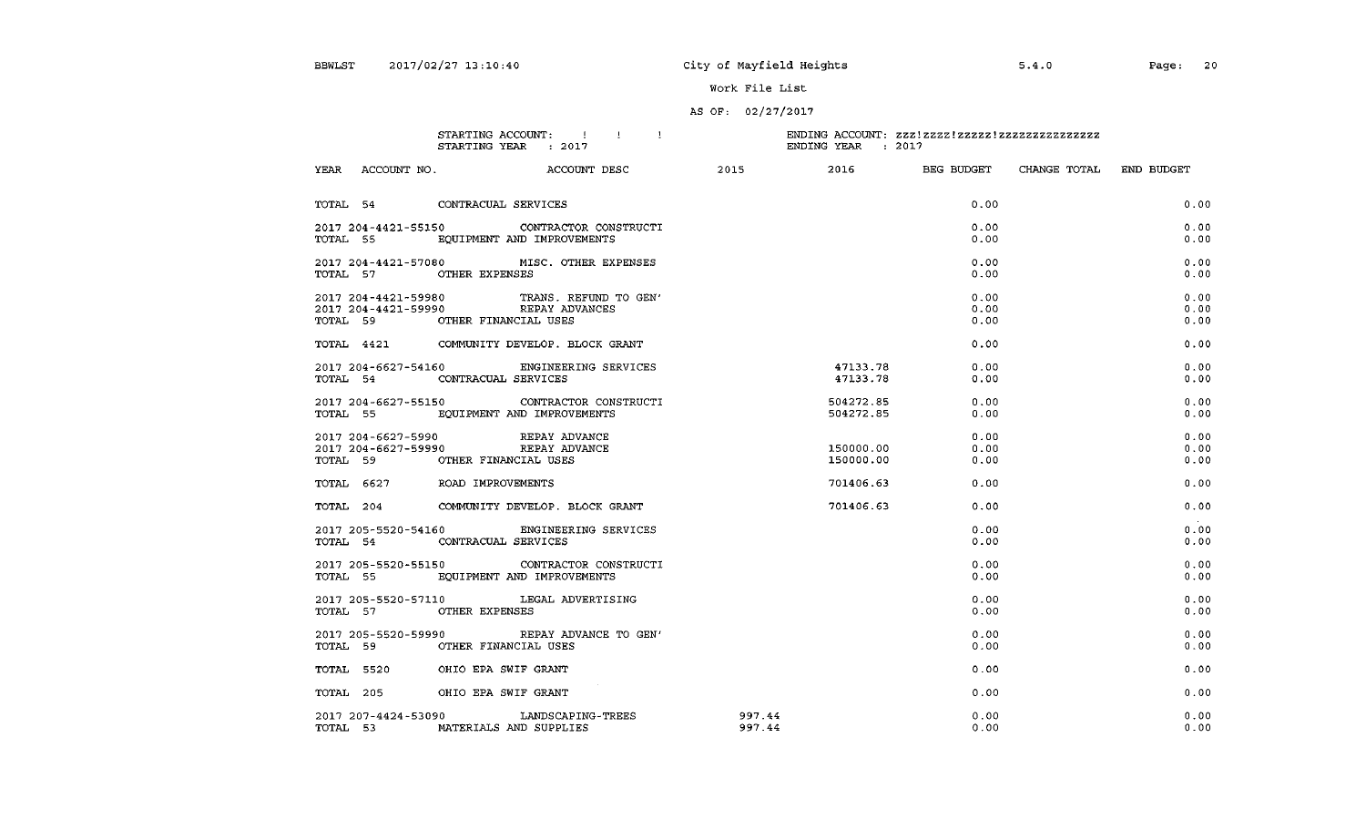### AS QF, 02/27/2017

#### STARTING ACCOUNT:  $\qquad \qquad 1 \qquad \qquad 1$ STARTING YEAR : 2017

|                                                                                                                                                                                                                             | YEAR ACCOUNT NO. ACCOUNT DESC                                                         | 2015             |                        | 2016 BEG BUDGET      | CHANGE TOTAL END BUDGET |                      |
|-----------------------------------------------------------------------------------------------------------------------------------------------------------------------------------------------------------------------------|---------------------------------------------------------------------------------------|------------------|------------------------|----------------------|-------------------------|----------------------|
| TOTAL 54 CONTRACUAL SERVICES                                                                                                                                                                                                |                                                                                       |                  |                        | 0.00                 |                         | 0.00                 |
|                                                                                                                                                                                                                             | 2017 204-4421-55150 CONTRACTOR CONSTRUCTI<br>TOTAL 55 EQUIPMENT AND IMPROVEMENTS      |                  |                        | 0.00<br>0.00         |                         | 0.00<br>0.00         |
| TOTAL 57 OTHER EXPENSES                                                                                                                                                                                                     | 2017 204-4421-57080 MISC. OTHER EXPENSES                                              |                  |                        | 0.00<br>0.00         |                         | 0.00<br>0.00         |
| TOTAL 59 OTHER FINANCIAL USES                                                                                                                                                                                               | $2017 204 - 4421 - 59980$ TRANS. REFUND TO GEN'<br>2017 204-4421-59990 REPAY ADVANCES |                  |                        | 0.00<br>0.00<br>0.00 |                         | 0.00<br>0.00<br>0.00 |
|                                                                                                                                                                                                                             | TOTAL 4421 COMMUNITY DEVELOP. BLOCK GRANT                                             |                  |                        | 0.00                 |                         | 0.00                 |
| TOTAL 54 CONTRACUAL SERVICES                                                                                                                                                                                                | 2017 204-6627-54160 ENGINEERING SERVICES                                              |                  | 47133.78<br>47133.78   | 0.00<br>0.00         |                         | 0.00<br>0.00         |
|                                                                                                                                                                                                                             | 2017 204-6627-55150 CONTRACTOR CONSTRUCTI<br>TOTAL 55 EQUIPMENT AND IMPROVEMENTS      |                  | 504272.85<br>504272.85 | 0.00<br>0.00         |                         | 0.00<br>0.00         |
| $\begin{array}{lll} \texttt{2017} & \texttt{204-6627-5990} & \texttt{REPAY} & \texttt{ADVANCE} \\ \texttt{2017} & \texttt{204-6627-59990} & \texttt{REPAY} & \texttt{ADVANCE} \end{array}$<br>TOTAL 59 OTHER FINANCIAL USES |                                                                                       |                  | 150000.00<br>150000.00 | 0.00<br>0.00<br>0.00 |                         | 0.00<br>0.00<br>0.00 |
| TOTAL 6627 ROAD IMPROVEMENTS                                                                                                                                                                                                |                                                                                       |                  | 701406.63              | 0.00                 |                         | 0.00                 |
|                                                                                                                                                                                                                             | TOTAL 204 COMMUNITY DEVELOP. BLOCK GRANT                                              |                  | 701406.63              | 0.00                 |                         | 0.00                 |
| TOTAL 54 CONTRACUAL SERVICES                                                                                                                                                                                                | 2017 205-5520-54160 ENGINEERING SERVICES                                              |                  |                        | 0.00<br>0.00         |                         | 0.00<br>0.00         |
|                                                                                                                                                                                                                             | 2017 205-5520-55150 CONTRACTOR CONSTRUCTI<br>TOTAL 55 EQUIPMENT AND IMPROVEMENTS      |                  |                        | 0.00<br>0.00         |                         | 0.00<br>0.00         |
| TOTAL 57 OTHER EXPENSES                                                                                                                                                                                                     | 2017 205-5520-57110 LEGAL ADVERTISING                                                 |                  |                        | 0.00<br>0.00         |                         | 0.00<br>0.00         |
| TOTAL 59 OTHER FINANCIAL USES                                                                                                                                                                                               | 2017 205-5520-59990 REPAY ADVANCE TO GEN'                                             |                  |                        | 0.00<br>0.00         |                         | 0.00<br>0.00         |
| TOTAL 5520 OHIO EPA SWIF GRANT                                                                                                                                                                                              |                                                                                       |                  |                        | 0.00                 |                         | 0.00                 |
| TOTAL 205 OHIO EPA SWIF GRANT                                                                                                                                                                                               |                                                                                       |                  |                        | 0.00                 |                         | 0.00                 |
|                                                                                                                                                                                                                             | 2017 207-4424-53090 LANDSCAPING-TREES<br>TOTAL 53 MATERIALS AND SUPPLIES              | 997.44<br>997.44 |                        | 0.00<br>0.00         |                         | 0.00<br>0.00         |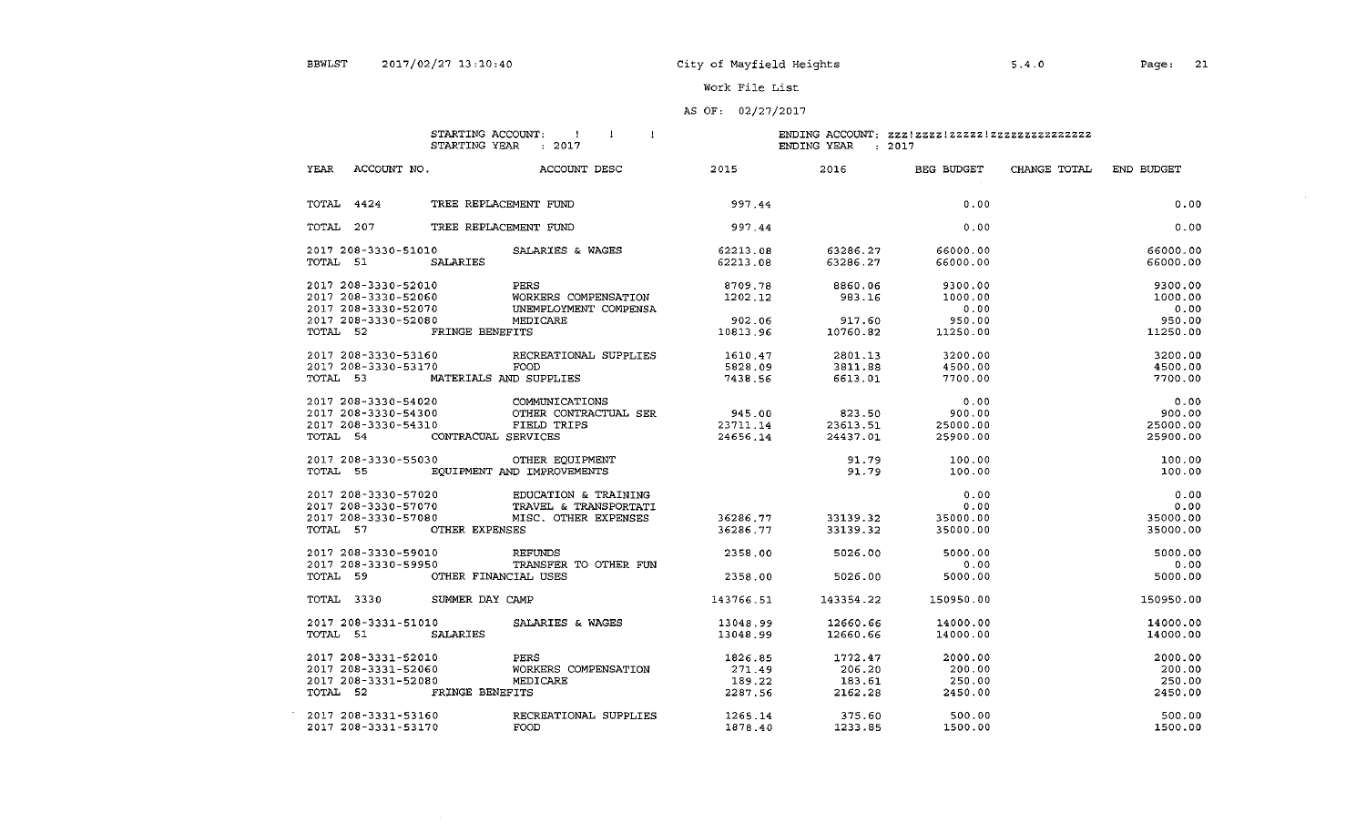$\sim 10^{-1}$ 

5.4.0

Work File List

### AS OF:  $02/27/2017$

 $\sim 1$  .  $\sim 1$ STARTING ACCOUNT: STARTING YEAR : 2017

| YEAR<br>ACCOUNT NO.           |                       | ACCOUNT DESC                                  | 2015                 | 2016                 | BEG BUDGET           | CHANGE TOTAL | END BUDGET |
|-------------------------------|-----------------------|-----------------------------------------------|----------------------|----------------------|----------------------|--------------|------------|
| TOTAL 4424                    | TREE REPLACEMENT FUND |                                               | 997.44               |                      | 0.00                 |              | 0.00       |
| TOTAL 207                     |                       | TREE REPLACEMENT FUND                         | 997.44               |                      | 0.00                 |              | 0.00       |
| 2017 208-3330-51010           |                       |                                               |                      |                      |                      |              | 66000.00   |
| TOTAL 51                      | SALARIES              | SALARIES & WAGES                              | 62213.08<br>62213.08 | 63286.27<br>63286.27 | 66000.00<br>66000.00 |              | 66000.00   |
|                               |                       |                                               |                      |                      |                      |              |            |
| 2017 208-3330-52010           |                       | PERS                                          | 8709.78              | 8860.06              | 9300.00              |              | 9300.00    |
| 2017 208-3330-52060           |                       | WORKERS COMPENSATION                          | 1202.12              | 983.16               | 1000.00              |              | 1000.00    |
| 2017 208-3330-52070           |                       | UNEMPLOYMENT COMPENSA                         |                      |                      | 0.00                 |              | 0.00       |
| 2017 208-3330-52080           |                       | MEDICARE                                      | 902.06               | 917.60               | 950.00               |              | 950.00     |
| TOTAL 52 FRINGE BENEFITS      |                       |                                               | 10813.96             | 10760.82             | 11250.00             |              | 11250.00   |
| 2017 208-3330-53160           |                       | RECREATIONAL SUPPLIES 1610.47                 |                      | 2801.13              | 3200.00              |              | 3200.00    |
| 2017 208-3330-53170           |                       | <b>FOOD</b>                                   | 5828.09              | 3811.88              | 4500.00              |              | 4500.00    |
| TOTAL 53                      |                       | MATERIALS AND SUPPLIES                        | 7438.56              | 6613.01              | 7700.00              |              | 7700.00    |
| 2017 208-3330-54020           |                       | COMMUNICATIONS                                |                      |                      | 0.00                 |              | 0.00       |
| 2017 208-3330-54300           |                       | OTHER CONTRACTUAL SER                         | 945.00               | 823.50               | 900.00               |              | 900.00     |
| 2017 208-3330-54310           |                       | FIELD TRIPS                                   | 23711.14             | 23613.51             | 25000.00             |              | 25000.00   |
| TOTAL 54 CONTRACUAL SERVICES  |                       |                                               | 24656.14             | 24437.01             | 25900.00             |              | 25900.00   |
| 2017 208-3330-55030           |                       | OTHER EQUIPMENT                               |                      | 91.79                | 100.00               |              | 100.00     |
| TOTAL 55                      |                       | EQUIPMENT AND IMPROVEMENTS                    |                      | 91.79                | 100.00               |              | 100.00     |
| 2017 208-3330-57020           |                       | EDUCATION & TRAINING                          |                      |                      | 0.00                 |              | 0.00       |
| 2017 208-3330-57070           |                       | TRAVEL & TRANSPORTATI                         |                      |                      | 0.00                 |              | 0.00       |
| 2017 208-3330-57080           |                       | TRAVEL & TRANSPORTATI<br>MISC. OTHER EXPENSES | 36286.77             | 33139.32             | 35000.00             |              | 35000.00   |
| TOTAL 57                      | OTHER EXPENSES        |                                               | 36286.77             | 33139.32             | 35000.00             |              | 35000.00   |
|                               |                       |                                               |                      |                      |                      |              |            |
| 2017 208-3330-59010           |                       | REFUNDS                                       | 2358.00              | 5026.00              | 5000.00              |              | 5000.00    |
| 2017 208-3330-59950           |                       | TRANSFER TO OTHER FUN                         |                      |                      | 0.00                 |              | 0.00       |
| TOTAL 59 OTHER FINANCIAL USES |                       |                                               | 2358.00              | 5026.00              | 5000.00              |              | 5000.00    |
| TOTAL 3330 SUMMER DAY CAMP    |                       |                                               | 143766.51            | 143354.22            | 150950.00            |              | 150950.00  |
| 2017 208-3331-51010           |                       | SALARIES & WAGES                              | 13048.99             | 12660.66             | 14000.00             |              | 14000.00   |
| TOTAL 51 SALARIES             |                       |                                               | 13048.99             | 12660.66             | 14000.00             |              | 14000.00   |
| 2017 208-3331-52010           |                       | PERS                                          | 1826.85              | 1772.47              | 2000.00              |              | 2000.00    |
| 2017 208-3331-52060           |                       | WORKERS COMPENSATION                          | 271.49               | 206.20               | 200.00               |              | 200.00     |
| 2017 208-3331-52080           |                       | MEDICARE                                      | 189.22               | 183.61               | 250.00               |              | 250.00     |
| TOTAL 52 FRINGE BENEFITS      |                       |                                               | 2287.56              | 2162.28              | 2450.00              |              | 2450.00    |
| 2017 208-3331-53160           |                       | RECREATIONAL SUPPLIES                         | 1265.14              |                      | 500.00               |              | 500.00     |
| 2017 208-3331-53170           |                       | FOOD                                          | 1878.40              | 375.60<br>1233.85    | 1500.00              |              | 1500.00    |
|                               |                       |                                               |                      |                      |                      |              |            |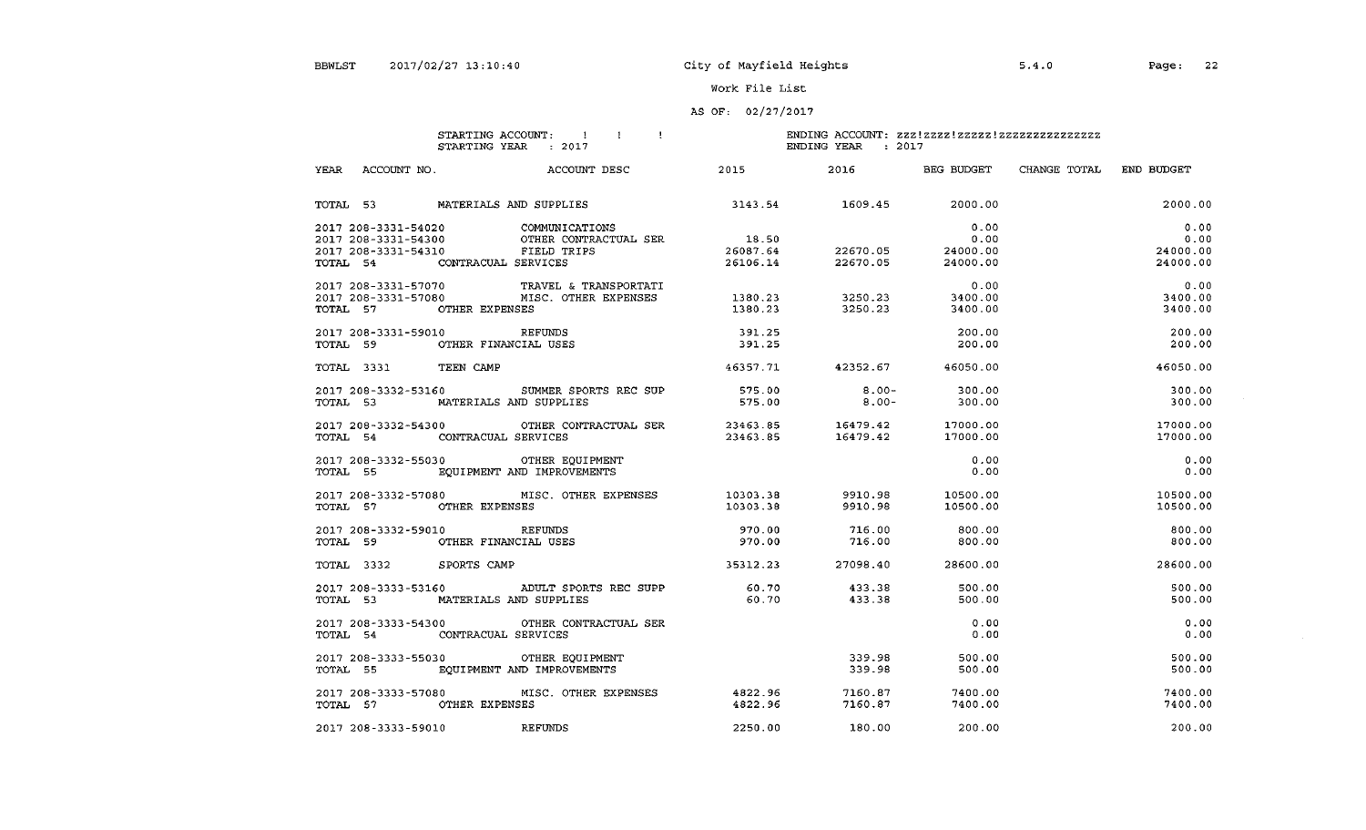$\sim 10^{-1}$ 

5.4.0

### work File List

### AS OF: 02/27/2017

STARTING ACCOUNT:  $1 \quad 1 \quad 1$ STARTING YEAR : 2017

| ACCOUNT NO.<br>YEAR     | ACCOUNT DESC                                                                                                                                                                     | 2015                       | 2016                               | BEG BUDGET      | CHANGE TOTAL | END BUDGET |
|-------------------------|----------------------------------------------------------------------------------------------------------------------------------------------------------------------------------|----------------------------|------------------------------------|-----------------|--------------|------------|
|                         | TOTAL 53 MATERIALS AND SUPPLIES                                                                                                                                                  | 3143.54 1609.45 2000.00    |                                    |                 |              | 2000.00    |
|                         |                                                                                                                                                                                  |                            |                                    | 0.00            |              | 0.00       |
|                         |                                                                                                                                                                                  |                            |                                    |                 |              | 0.00       |
|                         |                                                                                                                                                                                  |                            | $22670.05$<br>22670.05<br>24000.00 |                 |              | 24000.00   |
|                         |                                                                                                                                                                                  |                            | 22670.05                           | 24000.00        |              | 24000.00   |
| 2017 208-3331-57070     | TRAVEL & TRANSPORTATI                                                                                                                                                            |                            |                                    | 0.00            |              | 0.00       |
|                         | 2017 208-3331-57080 MISC. OTHER EXPENSES 1380.23                                                                                                                                 |                            | $3250.23$ $3400.00$                |                 |              | 3400.00    |
| TOTAL 57                | OTHER EXPENSES                                                                                                                                                                   | 1380.23                    | 3250.23                            | 3400.00         |              | 3400.00    |
|                         | 2017 208-3331-59010 REFUNDS                                                                                                                                                      | 391.25                     |                                    | 200.00          |              | 200.00     |
|                         | TOTAL 59 OTHER FINANCIAL USES                                                                                                                                                    | 391.25                     |                                    | 200.00          |              | 200.00     |
| TOTAL 3331 TEEN CAMP    |                                                                                                                                                                                  |                            | 46357.71 42352.67 46050.00         |                 |              | 46050.00   |
|                         | 2017 208-3332-53160 SUMMER SPORTS REC SUP 575.00                                                                                                                                 |                            |                                    | $8.00 - 300.00$ |              | 300.00     |
|                         | TOTAL 53 MATERIALS AND SUPPLIES                                                                                                                                                  | 575.00                     |                                    | $8.00 - 300.00$ |              | 300.00     |
|                         |                                                                                                                                                                                  |                            |                                    |                 |              |            |
|                         | $\begin{array}{cccc} 2017 & 208 - 3332 - 54300 \\ 54 & \text{CONTRACUAL} & \text{SER} \\ 16479.42 & \text{CONTRACUAL} & \text{SER} \\ 16479.42 & \text{17000.00} \\ \end{array}$ |                            |                                    |                 |              | 17000.00   |
|                         |                                                                                                                                                                                  |                            |                                    |                 |              | 17000.00   |
|                         | 2017 208-3332-55030 OTHER EQUIPMENT                                                                                                                                              |                            |                                    | 0.00            |              | 0.00       |
|                         | TOTAL 55 EQUIPMENT AND IMPROVEMENTS                                                                                                                                              |                            |                                    | 0.00            |              | 0.00       |
|                         | 2017 208-3332-57080 MISC. OTHER EXPENSES 10303.38 9910.98 10500.00                                                                                                               |                            |                                    |                 |              | 10500.00   |
| TOTAL 57                | OTHER EXPENSES                                                                                                                                                                   | 10303.38                   | 9910.98                            | 10500.00        |              | 10500.00   |
|                         | 2017  208-3332-59010  REFUNDS                                                                                                                                                    | 970.00                     |                                    | 800.00          |              | 800.00     |
|                         | TOTAL 59 OTHER FINANCIAL USES                                                                                                                                                    | 970.00                     | 716.00<br>716.00                   | 800.00          |              | 800.00     |
|                         |                                                                                                                                                                                  |                            |                                    |                 |              |            |
| TOTAL 3332 SPORTS CAMP  |                                                                                                                                                                                  | 35312.23 27098.40 28600.00 |                                    |                 |              | 28600.00   |
|                         | 2017 208-3333-53160 ADULT SPORTS REC SUPP 60.70 433.38                                                                                                                           |                            |                                    | 500.00          |              | 500.00     |
|                         | TOTAL 53 MATERIALS AND SUPPLIES                                                                                                                                                  | 60.70                      | 433.38                             | 500.00          |              | 500.00     |
|                         | 2017 208-3333-54300 OTHER CONTRACTUAL SER                                                                                                                                        |                            |                                    | 0.00            |              | 0.00       |
|                         | TOTAL 54 CONTRACUAL SERVICES                                                                                                                                                     |                            |                                    | 0.00            |              | 0.00       |
|                         | 2017 208-3333-55030 OTHER EQUIPMENT                                                                                                                                              |                            | 339.98                             | 500.00          |              | 500.00     |
|                         | TOTAL 55 EQUIPMENT AND IMPROVEMENTS                                                                                                                                              |                            | 339 98                             | 500.00          |              | 500.00     |
|                         |                                                                                                                                                                                  |                            |                                    |                 |              |            |
|                         | 2017 208-3333-57080 MISC. OTHER EXPENSES                                                                                                                                         | 4822.96                    | 7160.87                            | 7400.00         |              | 7400.00    |
| TOTAL 57 OTHER EXPENSES |                                                                                                                                                                                  | 4822.96                    | 7160.87                            | 7400.00         |              | 7400.00    |
| 2017 208-3333-59010     | <b>EXERCITE REFUNDS</b>                                                                                                                                                          | 2250.00                    | 180.00                             | 200.00          |              | 200.00     |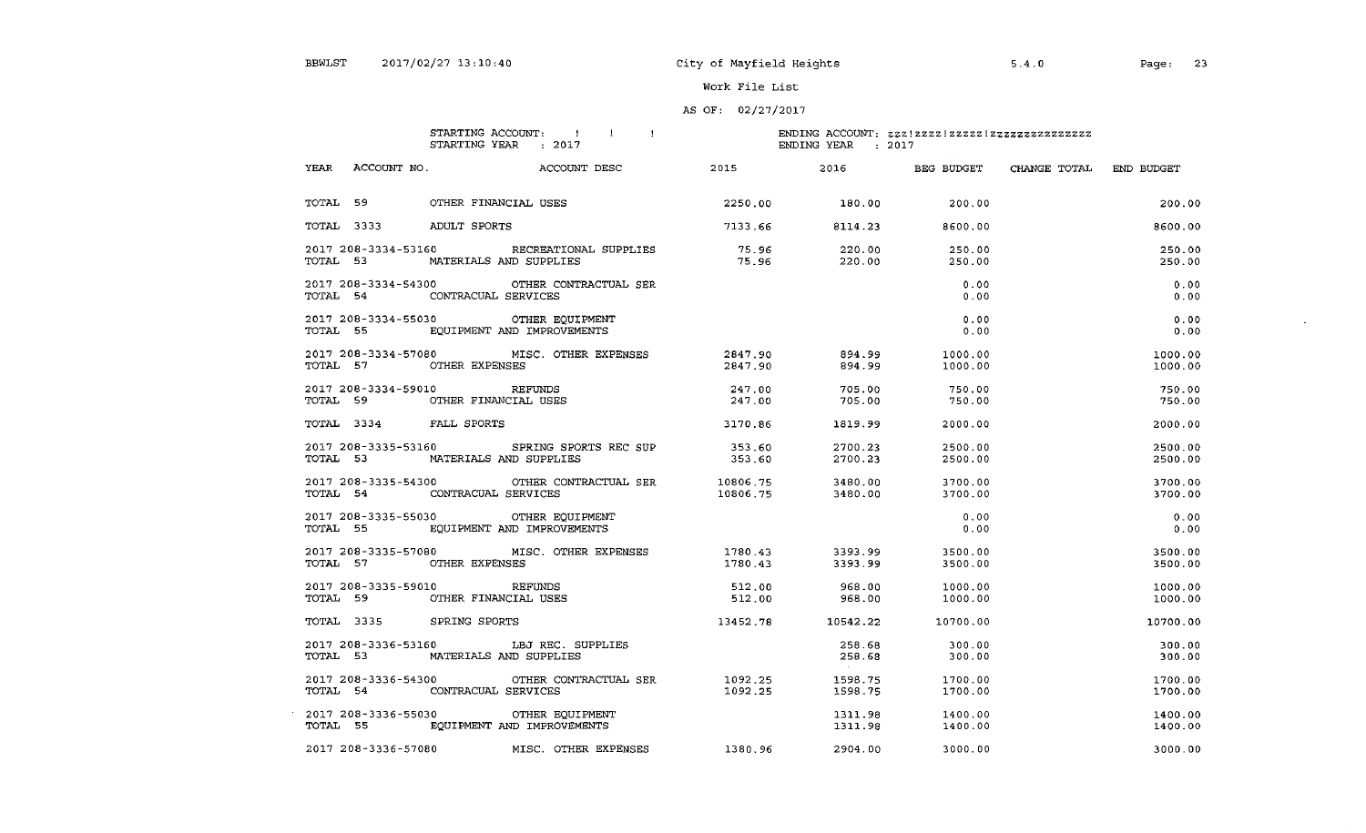$\sim$ 

Work File List

### AS OF: 02/27/2017

STARTING ACCOUNT:  $\qquad$  !!! STARTING YEAR : 2017

| YEAR     | ACCOUNT NO                                                   | ACCOUNT DESC                                                                 | 2015              | 2016 7                         | BEG BUDGET         | CHANGE TOTAL | END BUDGET         |
|----------|--------------------------------------------------------------|------------------------------------------------------------------------------|-------------------|--------------------------------|--------------------|--------------|--------------------|
|          | TOTAL 59 OTHER FINANCIAL USES                                |                                                                              | $2250.00$ 180.00  |                                | 200.00             |              | 200.00             |
|          | TOTAL 3333 ADULT SPORTS                                      |                                                                              | 7133.66 8114.23   |                                | 8600.00            |              | 8600.00            |
| TOTAL 53 |                                                              | 2017 208-3334-53160 RECREATIONAL SUPPLIES<br>MATERIALS AND SUPPLIES          | 75.96<br>75.96    | 220.00<br>220.00               | 250.00<br>250.00   |              | 250.00<br>250.00   |
| TOTAL 54 | CONTRACUAL SERVICES                                          | 2017 208-3334-54300 OTHER CONTRACTUAL SER                                    |                   |                                | 0.00<br>0.00       |              | 0.00<br>0.00       |
|          |                                                              | 2017 208-3334-55030 OTHER EQUIPMENT<br>TOTAL 55 EQUIPMENT AND IMPROVEMENTS   |                   |                                | 0.00<br>0.00       |              | 0.00<br>0.00       |
|          | TOTAL 57 OTHER EXPENSES                                      | 2017 208-3334-57080 MISC. OTHER EXPENSES 2847.90 894.99 1000.00              | 2847.90           | 894.99                         | 1000.00            |              | 1000.00<br>1000.00 |
|          | 2017 208-3334-59010 REFUNDS<br>TOTAL 59 OTHER FINANCIAL USES |                                                                              | 247.00<br>247.00  | 705.00<br>705.00               | 750.00<br>750.00   |              | 750.00<br>750.00   |
|          | TOTAL 3334 FALL SPORTS                                       |                                                                              | 3170.86           | 1819.99                        | 2000.00            |              | 2000.00            |
|          |                                                              | 2017 208-3335-53160 SPRING SPORTS REC SUP<br>TOTAL 53 MATERIALS AND SUPPLIES | 353.60<br>353.60  | 2700.23<br>2700.23             | 2500.00<br>2500.00 |              | 2500.00<br>2500.00 |
|          | TOTAL 54 CONTRACUAL SERVICES                                 | 2017 208-3335-54300 OTHER CONTRACTUAL SER 10806.75                           | 10806.75          | 3480.00<br>3480.00             | 3700.00<br>3700.00 |              | 3700.00<br>3700.00 |
|          |                                                              | 2017 208-3335-55030 OTHER EQUIPMENT<br>TOTAL 55 EQUIPMENT AND IMPROVEMENTS   |                   |                                | 0.00<br>0.00       |              | 0.00<br>0.00       |
|          | TOTAL 57 OTHER EXPENSES                                      | 2017 208-3335-57080 MISC. OTHER EXPENSES                                     |                   |                                |                    |              | 3500.00<br>3500.00 |
|          | 2017 208-3335-59010 REFUNDS<br>TOTAL 59 OTHER FINANCIAL USES |                                                                              |                   | 512.00 968.00<br>512.00 968.00 | 1000.00<br>1000.00 |              | 1000.00<br>1000.00 |
|          | TOTAL 3335 SPRING SPORTS                                     |                                                                              | 13452.78 10542.22 |                                | 10700.00           |              | 10700.00           |
|          |                                                              | 2017 208-3336-53160 LBJ REC. SUPPLIES<br>TOTAL 53 MATERIALS AND SUPPLIES     |                   | 258.68<br>258.68               | 300.00<br>300.00   |              | 300.00<br>300.00   |
| TOTAL 54 | 2017 208-3336-54300<br>CONTRACUAL SERVICES                   | OTHER CONTRACTUAL SER 1092.25 1598.75                                        | 1092.25           | 1598.75                        | 1700.00<br>1700.00 |              | 1700.00<br>1700.00 |
|          |                                                              | 2017 208-3336-55030 OTHER EQUIPMENT<br>TOTAL 55 EQUIPMENT AND IMPROVEMENTS   |                   | 1311.98<br>1311.98             | 1400.00<br>1400.00 |              | 1400.00<br>1400.00 |
|          |                                                              | 2017 208-3336-57080 MISC. OTHER EXPENSES                                     | 1380.96           | 2904.00                        | 3000.00            |              | 3000.00            |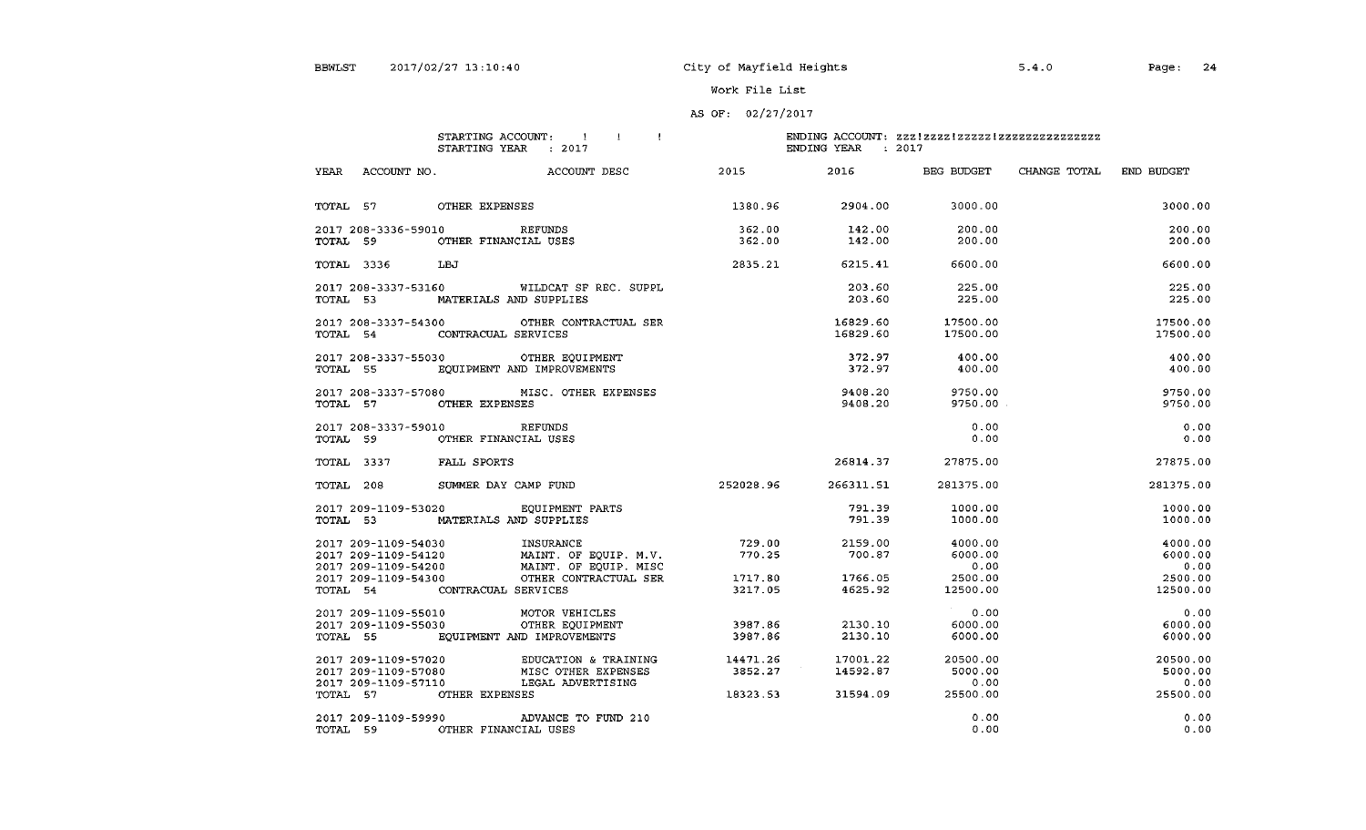Page: 24

### Work File List

### AS OF: 02/27/2017

STARTING ACCOUNT:  $\qquad$   $\qquad$   $\qquad$   $\qquad$   $\qquad$   $\qquad$   $\qquad$   $\qquad$   $\qquad$   $\qquad$   $\qquad$   $\qquad$   $\qquad$   $\qquad$   $\qquad$   $\qquad$   $\qquad$   $\qquad$   $\qquad$   $\qquad$   $\qquad$   $\qquad$   $\qquad$   $\qquad$   $\qquad$   $\qquad$   $\qquad$   $\qquad$   $\qquad$   $\qquad$   $\qquad$   $\qquad$   $\qquad$   $\qquad$  STARTING YEAR : 2017

| YEAR<br>ACCOUNT NO.                                                        |                                                     | ACCOUNT DESC                                                                                                                                                              | 2015 — 100                      |                      | 2016 BEG BUDGET                                    | CHANGE TOTAL | END BUDGET                              |
|----------------------------------------------------------------------------|-----------------------------------------------------|---------------------------------------------------------------------------------------------------------------------------------------------------------------------------|---------------------------------|----------------------|----------------------------------------------------|--------------|-----------------------------------------|
| TOTAL 57 OTHER EXPENSES                                                    |                                                     |                                                                                                                                                                           | 1380.96 2904.00                 |                      | 3000.00                                            |              | 3000.00                                 |
| TOTAL 59                                                                   | 2017 208-3336-59010 REFUNDS<br>OTHER FINANCIAL USES |                                                                                                                                                                           | 362.00<br>362.00                | 142.00<br>142.00     | 200.00<br>200.00                                   |              | 200.00<br>200.00                        |
| TOTAL 3336 LBJ                                                             |                                                     |                                                                                                                                                                           | 2835.21                         | 6215.41              | 6600.00                                            |              | 6600.00                                 |
| TOTAL 53 MATERIALS AND SUPPLIES                                            |                                                     | 2017 208-3337-53160 WILDCAT SF REC. SUPPL                                                                                                                                 |                                 | 203.60<br>203.60     | 225.00<br>225.00                                   |              | 225.00<br>225.00                        |
|                                                                            |                                                     | 2017 208-3337-54300 OTHER CONTRACTUAL SER                                                                                                                                 |                                 | 16829.60             | 17500.00                                           |              | 17500.00                                |
| TOTAL 54                                                                   | CONTRACUAL SERVICES                                 |                                                                                                                                                                           |                                 | 16829.60             | 17500.00                                           |              | 17500.00                                |
| 2017 208-3337-55030 OTHER EQUIPMENT<br>TOTAL 55 EQUIPMENT AND IMPROVEMENTS |                                                     |                                                                                                                                                                           |                                 | 372.97               | 400.00<br>372.97 400.00                            |              | 400.00<br>400.00                        |
|                                                                            | TOTAL 57 OTHER EXPENSES                             | 2017 208-3337-57080 MISC. OTHER EXPENSES                                                                                                                                  |                                 | 9408.20              | 9408.20 9750.00<br>9750.00                         |              | 9750.00<br>9750.00                      |
| 2017 208-3337-59010 REFUNDS<br>TOTAL 59 OTHER FINANCIAL USES               |                                                     |                                                                                                                                                                           |                                 |                      | 0.00<br>0.00                                       |              | 0.00<br>0.00                            |
| TOTAL 3337 FALL SPORTS                                                     |                                                     |                                                                                                                                                                           |                                 |                      | 26814.37 27875.00                                  |              | 27875.00                                |
|                                                                            |                                                     | TOTAL 208 SUMMER DAY CAMP FUND                                                                                                                                            |                                 | 252028.96 266311.51  | 281375.00                                          |              | 281375.00                               |
| 2017 209-1109-53020 EQUIPMENT PARTS<br>TOTAL 53                            | MATERIALS AND SUPPLIES                              |                                                                                                                                                                           |                                 | 791.39<br>791.39     | 1000.00<br>1000.00                                 |              | 1000.00<br>1000.00                      |
|                                                                            |                                                     | 2017 209-1109-54030<br>2017 209-1109-54120 MAINT. OF EQUIP. M.V. 770.25<br>2017 209-1109-54200 MAINT. OF EQUIP. MISC<br>2017 209-1109-54300 OTHER CONTRACTUAL SER 1717.80 | 729.00 200<br>1717.80           | 2159.00<br>700.87    | 4000.00<br>6000.00<br>0.00<br>1766.05 2500.00      |              | 4000.00<br>6000.00<br>0.00<br>2500.00   |
| TOTAL 54 CONTRACUAL SERVICES                                               |                                                     |                                                                                                                                                                           | 3217.05                         | 4625.92              | 12500.00                                           |              | 12500.00                                |
|                                                                            |                                                     | 2017 209-1109-55010 MOTOR VEHICLES<br>2017 209-1109-55030 OTHER EQUIPMENT 2017 209-1109-55030<br>TOTAL 55 EQUIPMENT AND IMPROVEMENTS                                      | 3987.86                         | 2130.10<br>2130.10   | $\sim$ 0.00<br>6000.00<br>6000.00                  |              | 0.00<br>6000.00<br>6000.00              |
| 2017 209-1109-57020<br>TOTAL 57 OTHER EXPENSES                             |                                                     | EDUCATION & TRAINING<br>2017 209-1109-57080<br>2017 209-1109-57080<br>2017 209-1109-57110 LEGAL ADVERTISING                                                               | 14471.26<br>3852.27<br>18323.53 | 17001.22<br>14592.87 | 20500.00<br>5000.00<br>0.00<br>$31594.09$ 25500.00 |              | 20500.00<br>5000.00<br>0.00<br>25500.00 |
| 2017 209-1109-59990<br>TOTAL 59 OTHER FINANCIAL USES                       |                                                     | ADVANCE TO FUND 210                                                                                                                                                       |                                 |                      | 0.00<br>0.00                                       |              | 0.00<br>0.00                            |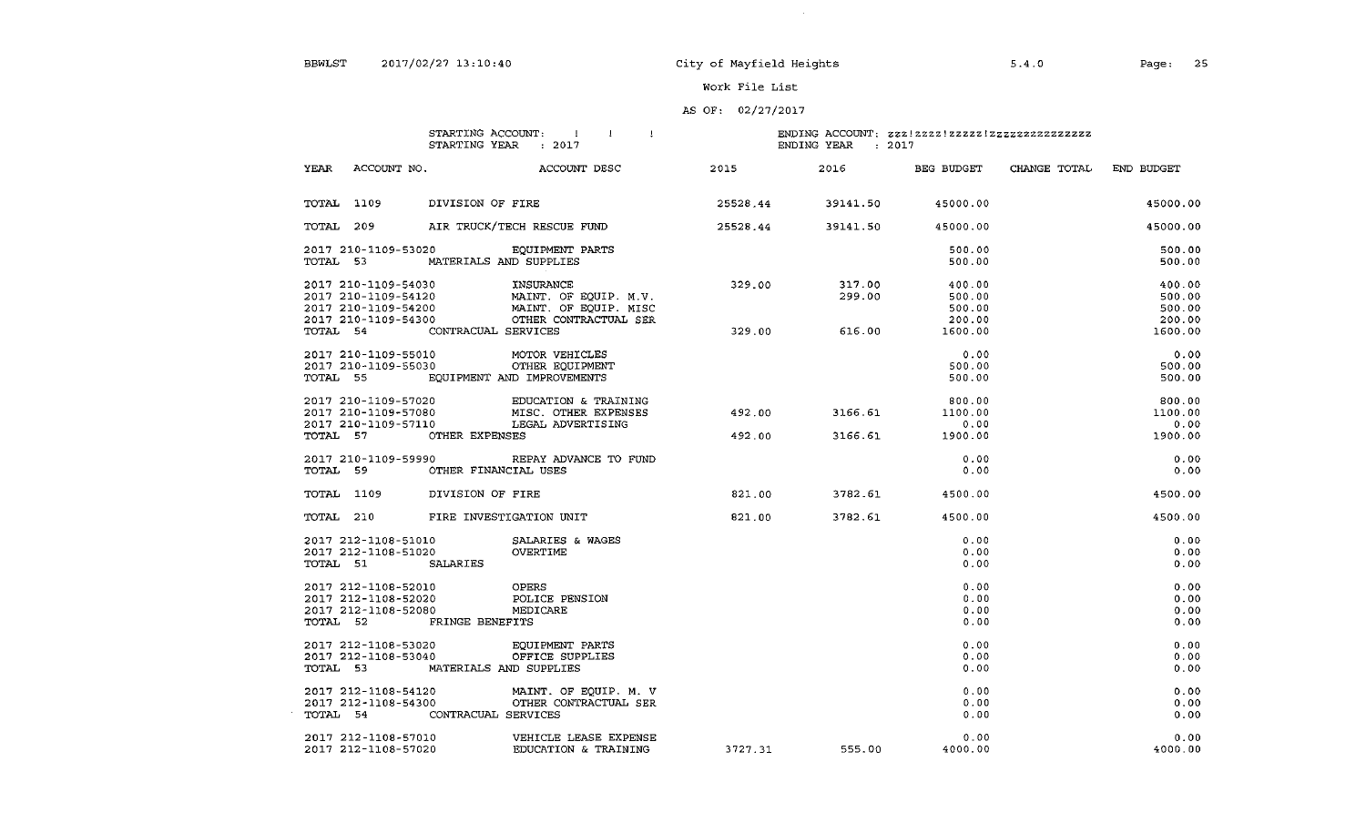### AS OF:  $02/27/2017$

#### STARTING ACCOUNT:  $\qquad$   $\qquad$   $\qquad$   $\qquad$   $\qquad$   $\qquad$   $\qquad$   $\qquad$   $\qquad$   $\qquad$   $\qquad$   $\qquad$   $\qquad$   $\qquad$   $\qquad$   $\qquad$   $\qquad$   $\qquad$   $\qquad$   $\qquad$   $\qquad$   $\qquad$   $\qquad$   $\qquad$   $\qquad$   $\qquad$   $\qquad$   $\qquad$   $\qquad$   $\qquad$   $\qquad$   $\qquad$   $\qquad$   $\qquad$  STARTING YEAR : 2017

| <b>YEAR</b> | ACCOUNT NO.         |                                 | <b>ACCOUNT DESC</b>                                                                                                               | 2015 10:00:00 | 2016                       | BEG BUDGET | CHANGE TOTAL | END BUDGET |
|-------------|---------------------|---------------------------------|-----------------------------------------------------------------------------------------------------------------------------------|---------------|----------------------------|------------|--------------|------------|
|             |                     | TOTAL 1109 DIVISION OF FIRE     |                                                                                                                                   |               | 25528.44 39141.50 45000.00 |            |              | 45000.00   |
|             |                     |                                 |                                                                                                                                   |               |                            |            |              | 45000.00   |
|             |                     |                                 | 2017 210-1109-53020 EQUIPMENT PARTS                                                                                               |               |                            | 500.00     |              | 500.00     |
|             |                     | TOTAL 53 MATERIALS AND SUPPLIES |                                                                                                                                   |               |                            | 500.00     |              | 500.00     |
|             |                     | 2017 210-1109-54030 INSURANCE   |                                                                                                                                   | 329.00        | 317.00                     | 400.00     |              | 400.00     |
|             |                     |                                 |                                                                                                                                   |               | 299.00                     | 500.00     |              | 500.00     |
|             |                     |                                 |                                                                                                                                   |               |                            | 500.00     |              | 500.00     |
|             |                     |                                 | 2017 210-1109-54120 MAINT OF EQUIP. M.V.<br>2017 210-1109-54200 MAINT OF EQUIP. MISC<br>2017 210-1109-54300 OTHER CONTRACTUAL SER |               |                            | 200.00     |              | 200.00     |
|             |                     | TOTAL 54 CONTRACUAL SERVICES    |                                                                                                                                   |               | $329.00$ 616.00            | 1600.00    |              | 1600.00    |
|             |                     |                                 | 2017 210-1109-55010 MOTOR VEHICLES                                                                                                |               |                            | 0.00       |              | 0.00       |
|             |                     |                                 | 2017 210-1109-55030 OTHER EQUIPMENT                                                                                               |               |                            | 500.00     |              | 500.00     |
|             |                     |                                 | TOTAL 55 EQUIPMENT AND IMPROVEMENTS                                                                                               |               |                            | 500.00     |              | 500.00     |
|             |                     |                                 | 2017 210-1109-57020 EDUCATION & TRAINING<br>2017 210-1109-57080 MISC. OTHER EXPENSES<br>2017 210-1109-57110 LEGAL ADVERTISING     |               | $492.00$ $3166.61$ 1       | 800.00     |              | 800.00     |
|             |                     |                                 |                                                                                                                                   |               |                            | 1100.00    |              | 1100.00    |
|             |                     |                                 |                                                                                                                                   |               |                            | 0.00       |              | 0.00       |
|             |                     | TOTAL 57 OTHER EXPENSES         |                                                                                                                                   |               | 492.00 3166.61 1900.00     |            |              | 1900.00    |
|             |                     |                                 | 2017 210-1109-59990 REPAY ADVANCE TO FUND                                                                                         |               |                            | 0.00       |              | 0.00       |
|             |                     | TOTAL 59 OTHER FINANCIAL USES   |                                                                                                                                   |               |                            | 0.00       |              | 0.00       |
|             |                     | TOTAL 1109 DIVISION OF FIRE     |                                                                                                                                   |               | 821.00 3782.61 4500.00     |            |              | 4500.00    |
|             |                     |                                 | TOTAL 210 FIRE INVESTIGATION UNIT                                                                                                 |               | 821.00 3782.61 4500.00     |            |              | 4500.00    |
|             |                     |                                 | 2017 212-1108-51010 SALARIES & WAGES                                                                                              |               |                            | 0.00       |              | 0.00       |
|             |                     | 2017 212-1108-51020 OVERTIME    |                                                                                                                                   |               |                            | 0.00       |              | 0.00       |
|             |                     | TOTAL 51 SALARIES               |                                                                                                                                   |               |                            | 0.00       |              | 0.00       |
|             | 2017 212-1108-52010 |                                 | OPERS                                                                                                                             |               |                            | 0.00       |              | 0.00       |
|             |                     |                                 | 2017 212-1108-52020 POLICE PENSION<br>2017 212-1108-52080 MEDICARE                                                                |               |                            | 0.00       |              | 0.00       |
|             |                     |                                 |                                                                                                                                   |               |                            | 0.00       |              | 0.00       |
|             |                     | TOTAL 52 FRINGE BENEFITS        |                                                                                                                                   |               |                            | 0.00       |              | 0.00       |
|             |                     |                                 | 2017 212-1108-53020 EQUIPMENT PARTS<br>2017 212-1108-53040 OFFICE SUPPLIES                                                        |               |                            | 0.00       |              | 0.00       |
|             |                     |                                 |                                                                                                                                   |               |                            | 0.00       |              | 0.00       |
|             |                     | TOTAL 53 MATERIALS AND SUPPLIES |                                                                                                                                   |               |                            | 0.00       |              | 0.00       |
|             |                     |                                 | 2017 212-1108-54120 MAINT. OF EQUIP. M. V                                                                                         |               |                            | 0.00       |              | 0.00       |
|             |                     |                                 | 2017 212-1108-54300 OTHER CONTRACTUAL SER                                                                                         |               |                            | 0.00       |              | 0.00       |
|             |                     | TOTAL 54 CONTRACUAL SERVICES    |                                                                                                                                   |               |                            | 0.00       |              | 0.00       |
|             |                     |                                 | 2017 212-1108-57010    VEHICLE LEASE EXPENSE                                                                                      |               |                            | 0.00       |              | 0.00       |
|             | 2017 212-1108-57020 |                                 | EDUCATION & TRAINING                                                                                                              | 3727.31       | 555.00                     | 4000.00    |              | 4000.00    |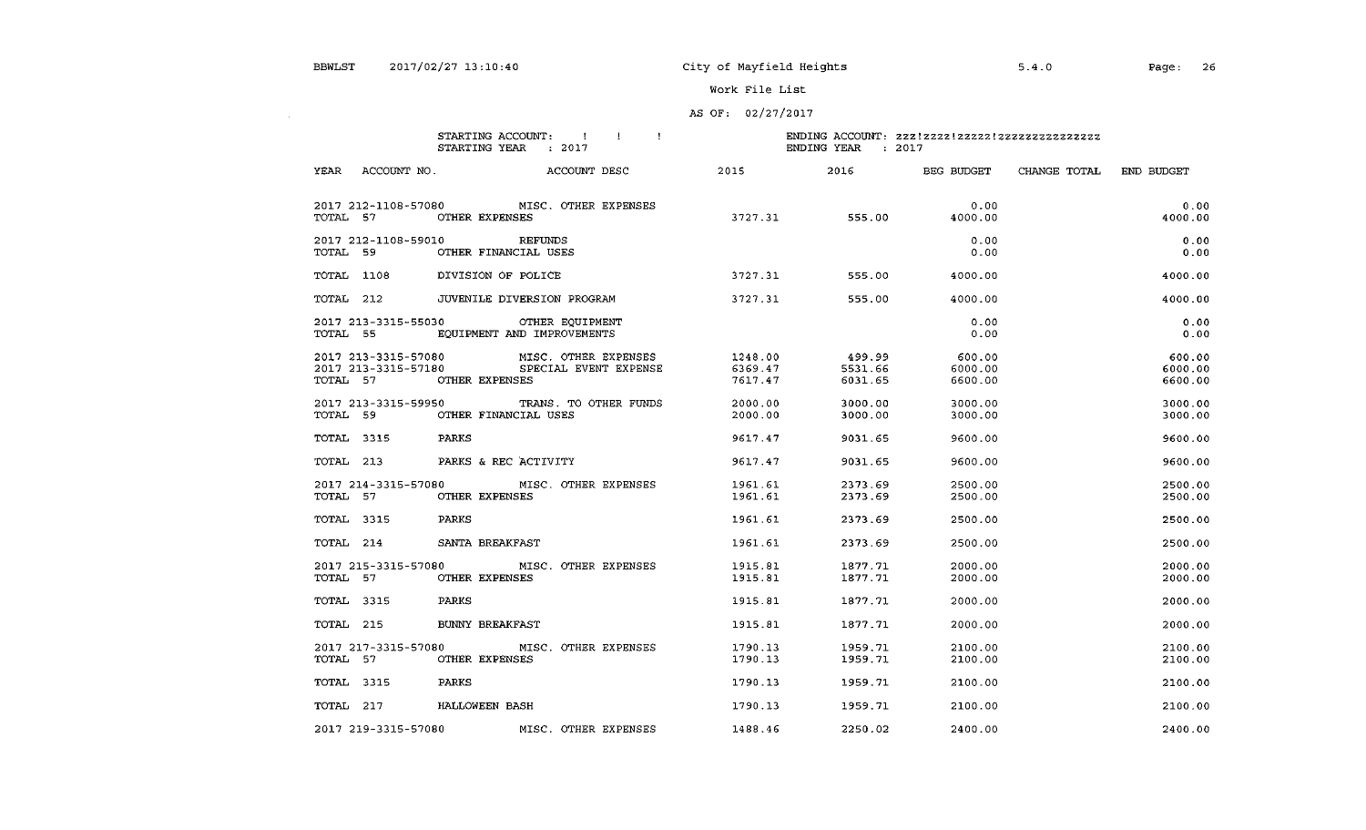$\sim 10^{-1}$ 

Work File List

### AS OF: 02/27/2017

#### STARTING ACCOUNT:  $\qquad \qquad \vdots$ STARTING YEAR : 2017

| YEAR      | ACCOUNT NO.         | ACCOUNT DESC                                                      | 2015    | 2016           | BEG BUDGET      | CHANGE TOTAL | END BUDGET      |
|-----------|---------------------|-------------------------------------------------------------------|---------|----------------|-----------------|--------------|-----------------|
| TOTAL 57  | 2017 212-1108-57080 | MISC. OTHER EXPENSES<br>OTHER EXPENSES                            |         | 3727.31 555.00 | 0.00<br>4000.00 |              | 0.00<br>4000.00 |
| TOTAL 59  | 2017 212-1108-59010 | REFUNDS<br>OTHER FINANCIAL USES                                   |         |                | 0.00<br>0.00    |              | 0.00<br>0.00    |
|           |                     |                                                                   |         |                |                 |              |                 |
|           | TOTAL 1108          | DIVISION OF POLICE                                                | 3727.31 | 555.00         | 4000.00         |              | 4000.00         |
| TOTAL 212 |                     | JUVENILE DIVERSION PROGRAM                                        | 3727.31 | 555.00         | 4000.00         |              | 4000.00         |
| TOTAL 55  |                     | 2017 213-3315-55030 OTHER EQUIPMENT<br>EQUIPMENT AND IMPROVEMENTS |         |                | 0.00<br>0.00    |              | 0.00<br>0.00    |
|           |                     |                                                                   |         |                |                 |              |                 |
|           | 2017 213-3315-57080 | MISC. OTHER EXPENSES                                              | 1248.00 | 499.99         | 600.00          |              | 600.00          |
|           |                     | 2017 213-3315-57180 SPECIAL EVENT EXPENSE                         | 6369.47 | 5531.66        | 6000.00         |              | 6000.00         |
| TOTAL 57  |                     | OTHER EXPENSES                                                    | 7617.47 | 6031.65        | 6600.00         |              | 6600.00         |
|           | 2017 213-3315-59950 | TRANS, TO OTHER FUNDS                                             | 2000.00 | 3000.00        | 3000.00         |              | 3000.00         |
| TOTAL 59  |                     | OTHER FINANCIAL USES                                              | 2000.00 | 3000.00        | 3000.00         |              | 3000.00         |
|           | TOTAL 3315          | PARKS                                                             | 9617.47 | 9031.65        | 9600.00         |              | 9600.00         |
| TOTAL 213 |                     | PARKS & REC ACTIVITY                                              | 9617.47 | 9031.65        | 9600.00         |              | 9600.00         |
|           |                     | 2017 214-3315-57080 MISC. OTHER EXPENSES                          | 1961.61 | 2373.69        | 2500.00         |              | 2500.00         |
| TOTAL 57  |                     | OTHER EXPENSES                                                    | 1961.61 | 2373.69        | 2500.00         |              | 2500.00         |
|           |                     |                                                                   |         |                |                 |              |                 |
|           | TOTAL 3315          | PARKS                                                             | 1961.61 | 2373.69        | 2500.00         |              | 2500.00         |
| TOTAL 214 |                     | SANTA BREAKFAST                                                   | 1961.61 | 2373.69        | 2500.00         |              | 2500.00         |
|           | 2017 215-3315-57080 | MISC. OTHER EXPENSES                                              | 1915.81 | 1877.71        | 2000.00         |              | 2000.00         |
| TOTAL 57  |                     | OTHER EXPENSES                                                    | 1915.81 | 1877.71        | 2000.00         |              | 2000.00         |
|           | TOTAL 3315          | PARKS                                                             | 1915.81 | 1877.71        | 2000.00         |              | 2000.00         |
| TOTAL 215 |                     | <b>BUNNY BREAKFAST</b>                                            | 1915.81 | 1877.71        | 2000.00         |              | 2000.00         |
|           | 2017 217-3315-57080 | MISC. OTHER EXPENSES                                              | 1790.13 | 1959.71        | 2100.00         |              | 2100.00         |
| TOTAL 57  |                     | OTHER EXPENSES                                                    | 1790.13 | 1959.71        | 2100.00         |              | 2100.00         |
|           | TOTAL 3315          | PARKS                                                             | 1790.13 | 1959.71        | 2100.00         |              | 2100.00         |
| TOTAL 217 |                     | HALLOWEEN BASH                                                    | 1790.13 | 1959.71        | 2100.00         |              | 2100.00         |
|           | 2017 219-3315-57080 | MISC. OTHER EXPENSES                                              | 1488.46 | 2250.02        | 2400.00         |              | 2400.00         |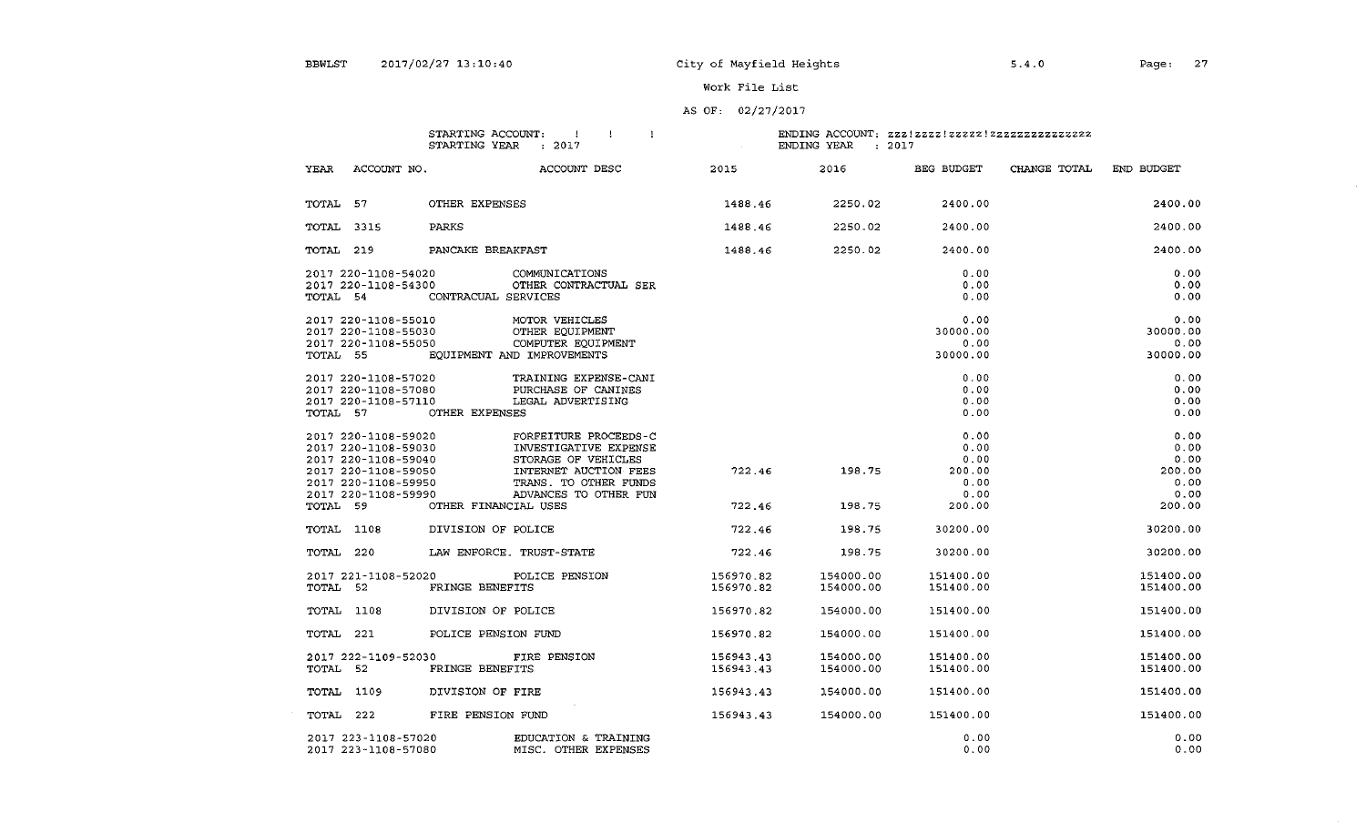### AS QF, 02/27/2017

 $\label{eq:2} \frac{1}{2} \int_{\mathbb{R}^3} \frac{1}{\sqrt{2}} \, \mathrm{d} \mu \, \mathrm{d} \mu \, \mathrm{d} \mu \, \mathrm{d} \mu \, \mathrm{d} \mu \, \mathrm{d} \mu \, \mathrm{d} \mu \, \mathrm{d} \mu \, \mathrm{d} \mu \, \mathrm{d} \mu \, \mathrm{d} \mu \, \mathrm{d} \mu \, \mathrm{d} \mu \, \mathrm{d} \mu \, \mathrm{d} \mu \, \mathrm{d} \mu \, \mathrm{d} \mu \, \mathrm{d} \mu \, \mathrm{d} \mu \, \mathrm{d} \mu \, \mathrm$ 

STARTING ACCOUNT: 1<br>STARTING YEAR : 2017

| YEAR       | ACCOUNT NO.                                                                                                                            |                                            | ACCOUNT DESC                                                                                                                                     | 2015                   | 2016                   | BEG BUDGET                                     | CHANGE TOTAL | END BUDGET                                     |
|------------|----------------------------------------------------------------------------------------------------------------------------------------|--------------------------------------------|--------------------------------------------------------------------------------------------------------------------------------------------------|------------------------|------------------------|------------------------------------------------|--------------|------------------------------------------------|
| TOTAL 57   |                                                                                                                                        | OTHER EXPENSES                             |                                                                                                                                                  |                        | 1488.46 2250.02        | 2400.00                                        |              | 2400.00                                        |
| TOTAL 3315 |                                                                                                                                        | PARKS                                      |                                                                                                                                                  | 1488.46                | 2250.02                | 2400.00                                        |              | 2400.00                                        |
| TOTAL 219  |                                                                                                                                        | PANCAKE BREAKFAST                          |                                                                                                                                                  | 1488.46                | 2250.02                | 2400.00                                        |              | 2400.00                                        |
| TOTAL 54   | 2017 220-1108-54020                                                                                                                    | 2017 220-1108-54300<br>CONTRACUAL SERVICES | COMMUNICATIONS<br>OTHER CONTRACTUAL SER                                                                                                          |                        |                        | 0.00<br>0.00<br>0.00                           |              | 0.00<br>0.00<br>0.00                           |
|            | 2017 220-1108-55010<br>TOTAL 55                                                                                                        | 2017 220-1108-55030<br>2017 220-1108-55050 | MOTOR VEHICLES<br>OTHER EOUIPMENT<br>COMPUTER EQUIPMENT<br>EQUIPMENT AND IMPROVEMENTS                                                            |                        |                        | 0.00<br>30000.00<br>0.00<br>30000.00           |              | 0.00<br>30000.00<br>0.00<br>30000.00           |
|            | 2017 220-1108-57020<br>2017 220-1108-57080<br>2017 220-1108-57110                                                                      | TOTAL 57 OTHER EXPENSES                    | TRAINING EXPENSE-CANI<br>PURCHASE OF CANINES<br>LEGAL ADVERTISING                                                                                |                        |                        | 0.00<br>0.00<br>0.00<br>0.00                   |              | 0.00<br>0.00<br>0.00<br>0.00                   |
|            | 2017 220-1108-59020<br>2017 220-1108-59030<br>2017 220-1108-59040<br>2017 220-1108-59050<br>2017 220-1108-59950<br>2017 220-1108-59990 |                                            | FORFEITURE PROCEEDS-C<br>INVESTIGATIVE EXPENSE<br>STORAGE OF VEHICLES<br>INTERNET AUCTION FEES<br>TRANS. TO OTHER FUNDS<br>ADVANCES TO OTHER FUN | 722.46                 | 198.75                 | 0.00<br>0.00<br>0.00<br>200.00<br>0.00<br>0.00 |              | 0.00<br>0.00<br>0.00<br>200.00<br>0.00<br>0.00 |
| TOTAL 59   |                                                                                                                                        | OTHER FINANCIAL USES                       |                                                                                                                                                  | 722.46                 | 198.75                 | 200.00                                         |              | 200.00                                         |
| TOTAL 1108 |                                                                                                                                        | DIVISION OF POLICE                         |                                                                                                                                                  | 722.46                 | 198.75                 | 30200.00                                       |              | 30200.00                                       |
| TOTAL 220  |                                                                                                                                        |                                            | LAW ENFORCE. TRUST-STATE                                                                                                                         | 722.46                 | 198.75                 | 30200.00                                       |              | 30200.00                                       |
| TOTAL 52   |                                                                                                                                        | FRINGE BENEFITS                            | 2017 221-1108-52020 POLICE PENSION                                                                                                               | 156970.82<br>156970.82 | 154000.00<br>154000.00 | 151400.00<br>151400.00                         |              | 151400.00<br>151400.00                         |
| TOTAL 1108 |                                                                                                                                        | DIVISION OF POLICE                         |                                                                                                                                                  | 156970.82              | 154000.00              | 151400.00                                      |              | 151400.00                                      |
| TOTAL 221  |                                                                                                                                        | POLICE PENSION FUND                        |                                                                                                                                                  | 156970.82              | 154000.00              | 151400.00                                      |              | 151400.00                                      |
| TOTAL 52   |                                                                                                                                        | FRINGE BENEFITS                            | 2017 222-1109-52030 FIRE PENSION                                                                                                                 | 156943.43<br>156943.43 | 154000.00<br>154000.00 | 151400.00<br>151400.00                         |              | 151400.00<br>151400.00                         |
| TOTAL 1109 |                                                                                                                                        | DIVISION OF FIRE                           |                                                                                                                                                  | 156943.43              | 154000.00              | 151400.00                                      |              | 151400.00                                      |
| TOTAL 222  |                                                                                                                                        | FIRE PENSION FUND                          |                                                                                                                                                  | 156943.43              | 154000.00              | 151400.00                                      |              | 151400.00                                      |
|            | 2017 223-1108-57020<br>2017 223-1108-57080                                                                                             |                                            | EDUCATION & TRAINING<br>MISC. OTHER EXPENSES                                                                                                     |                        |                        | 0.00<br>0.00                                   |              | 0.00<br>0.00                                   |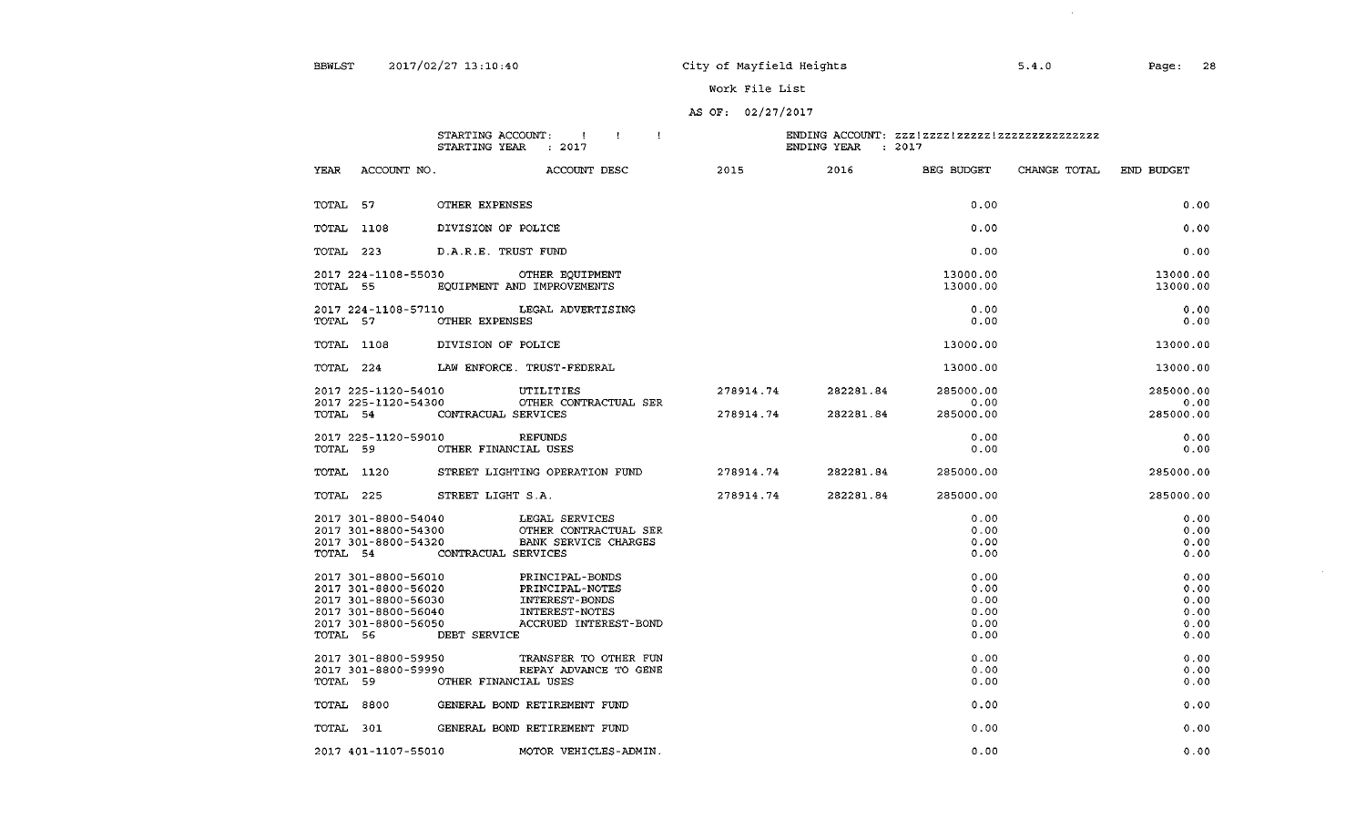$\sim 10^{-1}$ 

Page: 28

### Work File List

#### AS OF, 02/27/2017

#### STARTING ACCOUNT:  $\qquad$  :  $\qquad$  : STARTING YEAR : 2017

| YEAR     | ACCOUNT NO.                                |                                                                                            | ACCOUNT DESC                                                                                            | 2015 | 2016                                       | BEG BUDGET                                   | CHANGE TOTAL | END BUDGET                                   |
|----------|--------------------------------------------|--------------------------------------------------------------------------------------------|---------------------------------------------------------------------------------------------------------|------|--------------------------------------------|----------------------------------------------|--------------|----------------------------------------------|
| TOTAL 57 |                                            | OTHER EXPENSES                                                                             |                                                                                                         |      |                                            | 0.00                                         |              | 0.00                                         |
|          | TOTAL 1108                                 | DIVISION OF POLICE                                                                         |                                                                                                         |      |                                            | 0.00                                         |              | 0.00                                         |
|          | TOTAL 223                                  | D.A.R.E. TRUST FUND                                                                        |                                                                                                         |      |                                            | 0.00                                         |              | 0.00                                         |
|          |                                            |                                                                                            | 2017 224-1108-55030 OTHER EQUIPMENT<br>TOTAL 55 EQUIPMENT AND IMPROVEMENTS                              |      |                                            | 13000.00<br>13000.00                         |              | 13000.00<br>13000.00                         |
|          | TOTAL 57                                   | OTHER EXPENSES                                                                             | 2017 224-1108-57110 LEGAL ADVERTISING                                                                   |      |                                            | 0.00<br>0.00                                 |              | 0.00<br>0.00                                 |
|          | TOTAL 1108                                 | DIVISION OF POLICE                                                                         |                                                                                                         |      |                                            | 13000.00                                     |              | 13000.00                                     |
|          |                                            |                                                                                            | TOTAL 224 LAW ENFORCE. TRUST-FEDERAL                                                                    |      |                                            | 13000.00                                     |              | 13000.00                                     |
|          |                                            | 2017 225-1120-54010 UTILITIES<br>TOTAL 54 CONTRACUAL SERVICES                              | 2017 225-1120-54300 OTHER CONTRACTUAL SER                                                               |      | 278914.74 282281.84<br>278914.74 282281.84 | 285000.00<br>0.00<br>285000.00               |              | 285000.00<br>0.00<br>285000.00               |
|          |                                            | 2017 225-1120-59010<br>TOTAL 59 OTHER FINANCIAL USES                                       | REFUNDS                                                                                                 |      |                                            | 0.00<br>0.00                                 |              | 0.00<br>0.00                                 |
|          | TOTAL 1120                                 |                                                                                            |                                                                                                         |      |                                            | 285000.00                                    |              | 285000.00                                    |
|          |                                            | TOTAL 225 STREET LIGHT S.A.                                                                |                                                                                                         |      | 278914.74 282281.84                        | 285000.00                                    |              | 285000.00                                    |
|          | 2017 301-8800-54320                        | TOTAL 54 CONTRACUAL SERVICES                                                               | 2017 301-8800-54040 LEGAL SERVICES<br>2017 301-8800-54300 OTHER CONTRACTUAL SER<br>BANK SERVICE CHARGES |      |                                            | 0.00<br>0.00<br>0.00<br>0.00                 |              | 0.00<br>0.00<br>0.00<br>0.00                 |
|          | 2017 301-8800-56030<br>2017 301-8800-56040 | 2017 301-8800-56010<br>2017 301-8800-56020<br>2017 301-8800-56050<br>TOTAL 56 DEBT SERVICE | PRINCIPAL-BONDS<br>PRINCIPAL-NOTES<br>INTEREST-BONDS<br><b>INTEREST-NOTES</b><br>ACCRUED INTEREST-BOND  |      |                                            | 0.00<br>0.00<br>0.00<br>0.00<br>0.00<br>0.00 |              | 0.00<br>0.00<br>0.00<br>0.00<br>0.00<br>0.00 |
|          |                                            | 2017 301-8800-59950<br>2017 301-8800-59990<br>TOTAL 59 OTHER FINANCIAL USES                | TRANSFER TO OTHER FUN<br>REPAY ADVANCE TO GENE                                                          |      |                                            | 0.00<br>0.00<br>0.00                         |              | 0.00<br>0.00<br>0.00                         |
|          | TOTAL 8800                                 |                                                                                            | GENERAL BOND RETIREMENT FUND                                                                            |      |                                            | 0.00                                         |              | 0.00                                         |
|          |                                            |                                                                                            | TOTAL 301 GENERAL BOND RETIREMENT FUND                                                                  |      |                                            | 0.00                                         |              | 0.00                                         |
|          |                                            |                                                                                            | 2017 401-1107-55010 MOTOR VEHICLES-ADMIN.                                                               |      |                                            | 0.00                                         |              | 0.00                                         |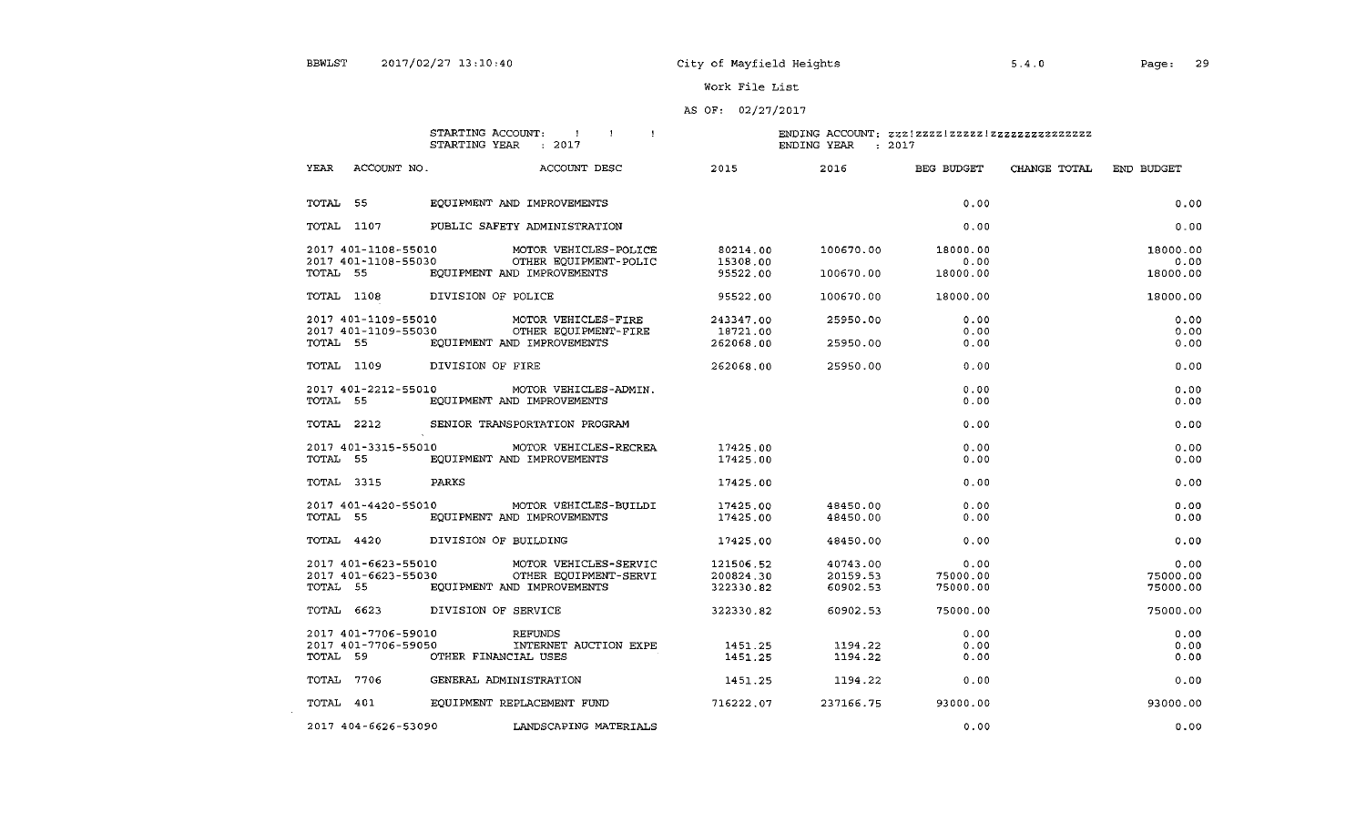$\sim 100$ 

### Work File List

### AS OF: 02/27/2017

|             |                     | STARTING ACCOUNT:<br>STARTING YEAR | $\sim$ 1<br>$\sim$ 1.<br><b>Contractor</b><br>$\therefore$ 2017                        |                       | ENDING YEAR          | ENDING ACCOUNT: zz2!zzzz1zzzzzzzzzzzzzzzzzzzzz<br>$-2017$ |                         |                  |
|-------------|---------------------|------------------------------------|----------------------------------------------------------------------------------------|-----------------------|----------------------|-----------------------------------------------------------|-------------------------|------------------|
| <b>YEAR</b> | ACCOUNT NO.         |                                    | ACCOUNT DESC                                                                           |                       | 2015 2016 BEG BUDGET |                                                           | CHANGE TOTAL END BUDGET |                  |
| TOTAL 55    |                     |                                    | EQUIPMENT AND IMPROVEMENTS                                                             |                       |                      | 0.00                                                      |                         | 0.00             |
| TOTAL 1107  |                     |                                    | PUBLIC SAFETY ADMINISTRATION                                                           |                       |                      | 0.00                                                      |                         | 0.00             |
|             |                     |                                    | 2017 401-1108-55010 MOTOR VEHICLES-POLICE<br>2017 401-1108-55030 OTHER EQUIPMENT-POLIC | 80214.00<br>15308.00  | 100670.00            | 18000.00<br>0.00                                          |                         | 18000.00<br>0.00 |
| TOTAL 55    |                     |                                    | EQUIPMENT AND IMPROVEMENTS                                                             | 95522.00              | 100670.00            | 18000.00                                                  |                         | 18000.00         |
| TOTAL 1108  |                     | DIVISION OF POLICE                 |                                                                                        | 95522.00              | 100670.00            | 18000.00                                                  |                         | 18000.00         |
|             |                     |                                    | 2017 401-1109-55010 MOTOR VEHICLES-FIRE<br>2017 401-1109-55030 OTHER EQUIPMENT-FIRE    | 243347.00<br>18721.00 | 25950.00             | 0.00<br>0.00                                              |                         | 0.00<br>0.00     |
| TOTAL 55    |                     |                                    | EQUIPMENT AND IMPROVEMENTS                                                             | 262068.00             | 25950.00             | 0.00                                                      |                         | 0.00             |
|             |                     | TOTAL 1109 DIVISION OF FIRE        |                                                                                        | 262068.00             | 25950.00             | 0.00                                                      |                         | 0.00             |
|             |                     |                                    | 2017 401-2212-55010 MOTOR VEHICLES-ADMIN.                                              |                       |                      | 0.00                                                      |                         | 0.00             |
| TOTAL 55    |                     |                                    | EQUIPMENT AND IMPROVEMENTS                                                             |                       |                      | 0.00                                                      |                         | 0.00             |
| TOTAL 2212  |                     |                                    | SENIOR TRANSPORTATION PROGRAM                                                          |                       |                      | 0.00                                                      |                         | 0.00             |
|             |                     |                                    | 2017 401-3315-55010 MOTOR VEHICLES-RECREA                                              | 17425.00              |                      | 0.00                                                      |                         | 0.00             |
| TOTAL 55    |                     |                                    | EQUIPMENT AND IMPROVEMENTS                                                             | 17425.00              |                      | 0.00                                                      |                         | 0.00             |
| TOTAL 3315  |                     | PARKS                              |                                                                                        | 17425.00              |                      | 0.00                                                      |                         | 0.00             |
|             |                     |                                    | 2017 401-4420-55010 MOTOR VEHICLES-BUILDI                                              | 17425.00              | 48450.00             | 0.00                                                      |                         | 0.00             |
| TOTAL 55    |                     |                                    | EQUIPMENT AND IMPROVEMENTS                                                             | 17425.00              | 48450.00             | 0.00                                                      |                         | 0.00             |
| TOTAL 4420  |                     | DIVISION OF BUILDING               |                                                                                        | 17425.00              | 48450.00             | 0.00                                                      |                         | 0.00             |
|             |                     |                                    | 2017 401-6623-55010 MOTOR VEHICLES-SERVIC                                              | 121506.52             | 40743.00             | 0.00                                                      |                         | 0.00             |
|             |                     |                                    | 2017 401-6623-55030 OTHER EQUIPMENT-SERVI                                              | 200824.30             | 20159.53             | 75000.00                                                  |                         | 75000.00         |
| TOTAL 55    |                     |                                    | EOUIPMENT AND IMPROVEMENTS                                                             | 322330.82             | 60902.53             | 75000.00                                                  |                         | 75000.00         |
|             |                     | TOTAL 6623 DIVISION OF SERVICE     |                                                                                        | 322330.82             | 60902.53             | 75000.00                                                  |                         | 75000.00         |
|             |                     | 2017 401-7706-59010 REFUNDS        |                                                                                        |                       |                      | 0.00                                                      |                         | 0.00             |
|             | 2017 401-7706-59050 |                                    | INTERNET AUCTION EXPE                                                                  | 1451.25               | 1194.22              | 0.00                                                      |                         | 0.00             |
| TOTAL 59    |                     | OTHER FINANCIAL USES               |                                                                                        | 1451.25               | 1194.22              | 0.00                                                      |                         | 0.00             |
| TOTAL 7706  |                     |                                    | GENERAL ADMINISTRATION                                                                 | 1451.25               | 1194.22              | 0.00                                                      |                         | 0.00             |
| TOTAL 401   |                     |                                    | EQUIPMENT REPLACEMENT FUND                                                             | 716222.07             | 237166.75            | 93000.00                                                  |                         | 93000.00         |
|             | 2017 404-6626-53090 |                                    | LANDSCAPING MATERIALS                                                                  |                       |                      | 0.00                                                      |                         | 0.00             |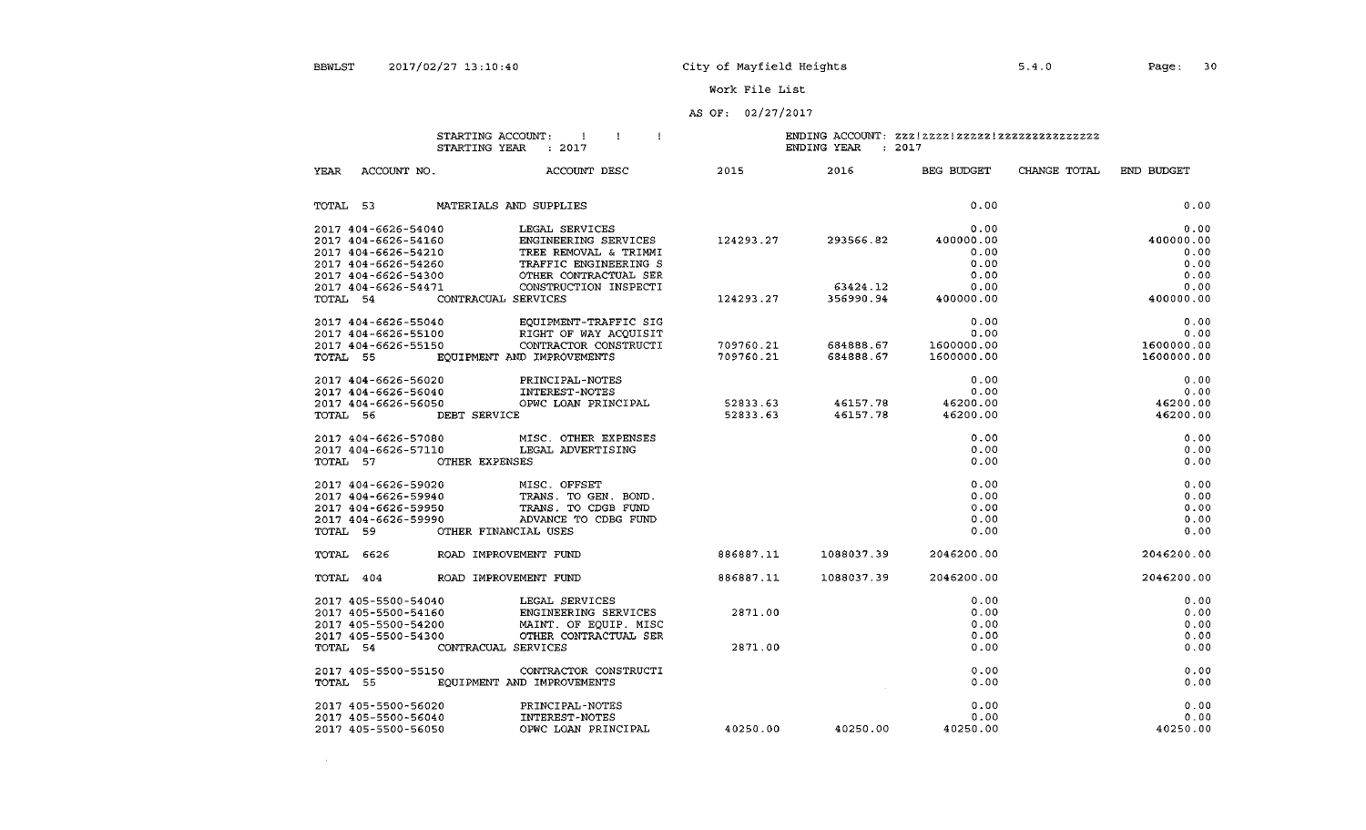$\mathcal{L}_{\rm{max}}$  and  $\mathcal{L}_{\rm{max}}$ 

Page: 30

Work File List

### AS OF:  $02/27/2017$

STARTING ACCOUNT:  $1 \quad 1 \quad 1$ STARTING YEAR : 2017

| ACCOUNT NO.<br>YEAR                | ACCOUNT DESC               | 2015                          | 2016                | BEG BUDGET            | CHANGE TOTAL | END BUDGET |
|------------------------------------|----------------------------|-------------------------------|---------------------|-----------------------|--------------|------------|
| MATERIALS AND SUPPLIES<br>TOTAL 53 |                            |                               |                     | 0.00                  |              | 0.00       |
| 2017 404-6626-54040                | LEGAL SERVICES             |                               |                     | 0.00                  |              | 0.00       |
| 2017 404-6626-54160                | ENGINEERING SERVICES       | 124293.27 293566.82 400000.00 |                     |                       |              | 400000.00  |
| 2017 404-6626-54210                | TREE REMOVAL & TRIMMI      |                               |                     | 0.00                  |              | 0.00       |
| 2017 404-6626-54260                | TRAFFIC ENGINEERING S      |                               |                     | 0.00                  |              | 0.00       |
| 2017 404-6626-54300                | OTHER CONTRACTUAL SER      |                               |                     | 0.00                  |              | 0.00       |
| 2017 404-6626-54471                | CONSTRUCTION INSPECTI      |                               | 63424.12            | 0.00                  |              | 0.00       |
| TOTAL 54                           | CONTRACUAL SERVICES        | 124293.27                     | 356990.94           | 400000.00             |              | 400000.00  |
| 2017 404-6626-55040                | EQUIPMENT-TRAFFIC SIG      |                               |                     | 0.00                  |              | 0.00       |
| 2017 404-6626-55100                | RIGHT OF WAY ACQUISIT      |                               |                     | 0.00                  |              | 0.00       |
| 2017 404-6626-55150                | CONTRACTOR CONSTRUCTI      |                               | 709760.21 684888.67 | 1600000.00            |              | 1600000.00 |
| TOTAL 55                           | EQUIPMENT AND IMPROVEMENTS | 709760.21                     | 684888.67           | 1600000.00            |              | 1600000.00 |
| 2017 404-6626-56020                | PRINCIPAL-NOTES            |                               |                     | 0.00                  |              | 0.00       |
| 2017 404-6626-56040                | <b>INTEREST-NOTES</b>      |                               |                     | 0.00                  |              | 0.00       |
| 2017 404-6626-56050                | OPWC LOAN PRINCIPAL        |                               |                     |                       |              | 46200.00   |
| TOTAL 56<br>DEBT SERVICE           |                            |                               |                     |                       |              | 46200.00   |
| 2017 404-6626-57080                | MISC. OTHER EXPENSES       |                               |                     | 0.00                  |              | 0.00       |
| 2017 404-6626-57110                | LEGAL ADVERTISING          |                               |                     | 0.00                  |              | 0.00       |
| TOTAL 57<br>OTHER EXPENSES         |                            |                               |                     | 0.00                  |              | 0.00       |
| 2017 404-6626-59020                | MISC. OFFSET               |                               |                     | 0.00                  |              | 0.00       |
| 2017 404-6626-59940                | TRANS. TO GEN. BOND.       |                               |                     | 0.00                  |              | 0.00       |
| 2017 404-6626-59950                | TRANS. TO CDGB FUND        |                               |                     | 0.00                  |              | 0.00       |
| 2017 404-6626-59990                | ADVANCE TO CDBG FUND       |                               |                     | 0.00                  |              | 0.00       |
| TOTAL 59                           | OTHER FINANCIAL USES       |                               |                     | 0.00                  |              | 0.00       |
| TOTAL 6626                         | ROAD IMPROVEMENT FUND      | 886887.11                     |                     | 1088037.39 2046200.00 |              | 2046200.00 |
| TOTAL 404                          | ROAD IMPROVEMENT FUND      | 886887.11                     | 1088037.39          | 2046200.00            |              | 2046200.00 |
| 2017 405-5500-54040                | LEGAL SERVICES             |                               |                     | 0.00                  |              | 0.00       |
| 2017 405-5500-54160                | ENGINEERING SERVICES       | 2871.00                       |                     | 0.00                  |              | 0.00       |
| 2017 405-5500-54200                | MAINT. OF EQUIP. MISC      |                               |                     | 0.00                  |              | 0.00       |
| 2017 405-5500-54300                | OTHER CONTRACTUAL SER      |                               |                     | 0.00                  |              | 0.00       |
| TOTAL 54 CONTRACUAL SERVICES       |                            | 2871.00                       |                     | 0.00                  |              | 0.00       |
| 2017 405-5500-55150                | CONTRACTOR CONSTRUCTI      |                               |                     | 0.00                  |              | 0.00       |
| TOTAL 55                           | EQUIPMENT AND IMPROVEMENTS |                               |                     | 0.00                  |              | 0.00       |
| 2017 405-5500-56020                | PRINCIPAL-NOTES            |                               |                     | 0.00                  |              | 0.00       |
| 2017 405-5500-56040                | INTEREST-NOTES             |                               |                     | 0.00                  |              | 0.00       |
| 2017 405-5500-56050                | OPWC LOAN PRINCIPAL        | 40250.00                      | 40250.00            | 40250.00              |              | 40250.00   |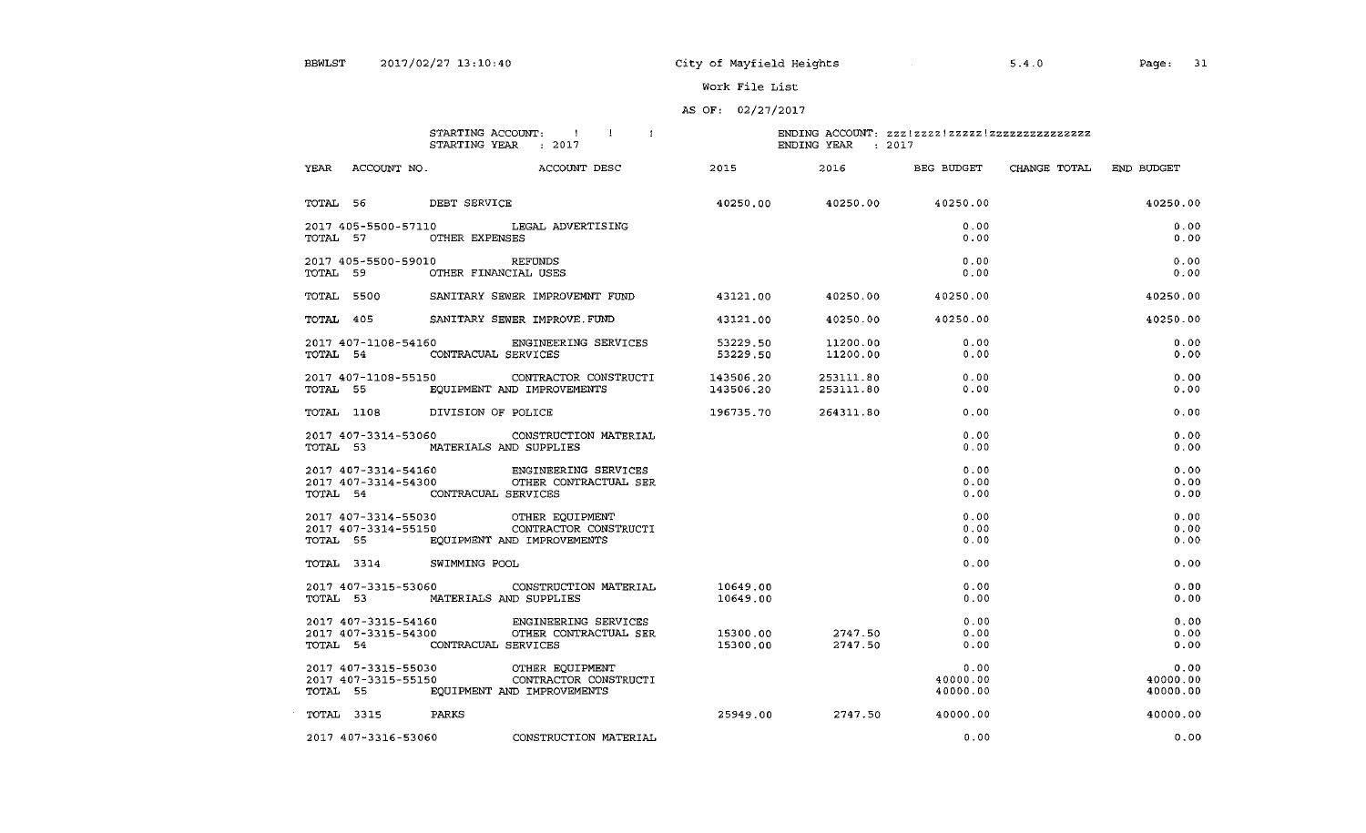### AS OF: 02/27/2017

#### STARTING ACCOUNT:  $\qquad$  !!! STARTING YEAR : 2017

| YEAR |                                 | ACCOUNT NO. ACCOUNT DESC                                                                  | 2015                             |                           | 2016 BEG BUDGET   | CHANGE TOTAL END BUDGET |          |
|------|---------------------------------|-------------------------------------------------------------------------------------------|----------------------------------|---------------------------|-------------------|-------------------------|----------|
|      | TOTAL 56 DEBT SERVICE           |                                                                                           | $40250.00$ $40250.00$ $40250.00$ |                           |                   |                         | 40250.00 |
|      |                                 | 2017 405-5500-57110 LEGAL ADVERTISING                                                     |                                  |                           | 0.00              |                         | 0.00     |
|      | TOTAL 57 OTHER EXPENSES         |                                                                                           |                                  |                           | 0.00              |                         | 0.00     |
|      | 2017 405-5500-59010 REFUNDS     |                                                                                           |                                  |                           | 0.00              |                         | 0.00     |
|      | TOTAL 59 OTHER FINANCIAL USES   |                                                                                           |                                  |                           | 0.00              |                         | 0.00     |
|      |                                 | TOTAL 5500 SANITARY SEWER IMPROVEMNT FUND 43121.00 40250.00 40250.00                      |                                  |                           |                   |                         | 40250.00 |
|      |                                 | TOTAL 405 SANITARY SEWER IMPROVE FUND 43121.00                                            |                                  |                           | 40250.00 40250.00 |                         | 40250.00 |
|      |                                 | 2017 407-1108-54160 ENGINEERING SERVICES                                                  | 53229.50                         |                           | 0.00              |                         | 0.00     |
|      | TOTAL 54 CONTRACUAL SERVICES    |                                                                                           | 53229.50                         | 11200.00<br>11200.00      | 0.00              |                         | 0.00     |
|      |                                 | 2017 407-1108-55150 CONTRACTOR CONSTRUCTI 143506.20                                       |                                  | 253111.80                 | 0.00              |                         | 0.00     |
|      |                                 | TOTAL 55 EQUIPMENT AND IMPROVEMENTS                                                       |                                  | 143506.20 253111.80       | 0.00              |                         | 0.00     |
|      |                                 | TOTAL 1108 DIVISION OF POLICE                                                             | 196735.70 264311.80              |                           | 0.00              |                         | 0.00     |
|      |                                 | 2017 407-3314-53060 CONSTRUCTION MATERIAL                                                 |                                  |                           | 0.00              |                         | 0.00     |
|      | TOTAL 53 MATERIALS AND SUPPLIES |                                                                                           |                                  |                           | 0.00              |                         | 0.00     |
|      |                                 |                                                                                           |                                  |                           | 0.00              |                         | 0.00     |
|      |                                 |                                                                                           |                                  |                           | 0.00              |                         | 0.00     |
|      | TOTAL 54 CONTRACUAL SERVICES    |                                                                                           |                                  |                           | 0.00              |                         | 0.00     |
|      |                                 |                                                                                           |                                  |                           | 0.00              |                         | 0.00     |
|      |                                 |                                                                                           |                                  |                           | 0.00              |                         | 0.00     |
|      |                                 | TOTAL 55 EQUIPMENT AND IMPROVEMENTS                                                       |                                  |                           | 0.00              |                         | 0.00     |
|      | TOTAL 3314 SWIMMING POOL        |                                                                                           |                                  |                           | 0.00              |                         | 0.00     |
|      |                                 | 2017 407-3315-53060 CONSTRUCTION MATERIAL 10649.00                                        |                                  |                           | 0.00              |                         | 0.00     |
|      |                                 | TOTAL 53 MATERIALS AND SUPPLIES                                                           | 10649.00                         |                           | 0.00              |                         | 0.00     |
|      |                                 | 2017  407-3315-54160  ENGINEERING SERVICES<br>2017  407-3315-54300  OTHER CONTRACTUAL SER |                                  |                           | 0.00              |                         | 0.00     |
|      |                                 |                                                                                           |                                  | 15300.00 2747.50          | 0.00              |                         | 0.00     |
|      |                                 | TOTAL 54 CONTRACUAL SERVICES                                                              | 15300.00                         | 2747.50                   | $\overline{0.00}$ |                         | 0.00     |
|      |                                 |                                                                                           |                                  |                           | 0.00              |                         | 0.00     |
|      |                                 |                                                                                           |                                  |                           | 40000.00          |                         | 40000.00 |
|      |                                 | TOTAL 55 EQUIPMENT AND IMPROVEMENTS                                                       |                                  |                           | 40000.00          |                         | 40000.00 |
|      | TOTAL 3315 PARKS                |                                                                                           |                                  | 25949.00 2747.50 40000.00 |                   |                         | 40000.00 |
|      | 2017 407-3316-53060             | CONSTRUCTION MATERIAL                                                                     |                                  |                           | 0.00              |                         | 0.00     |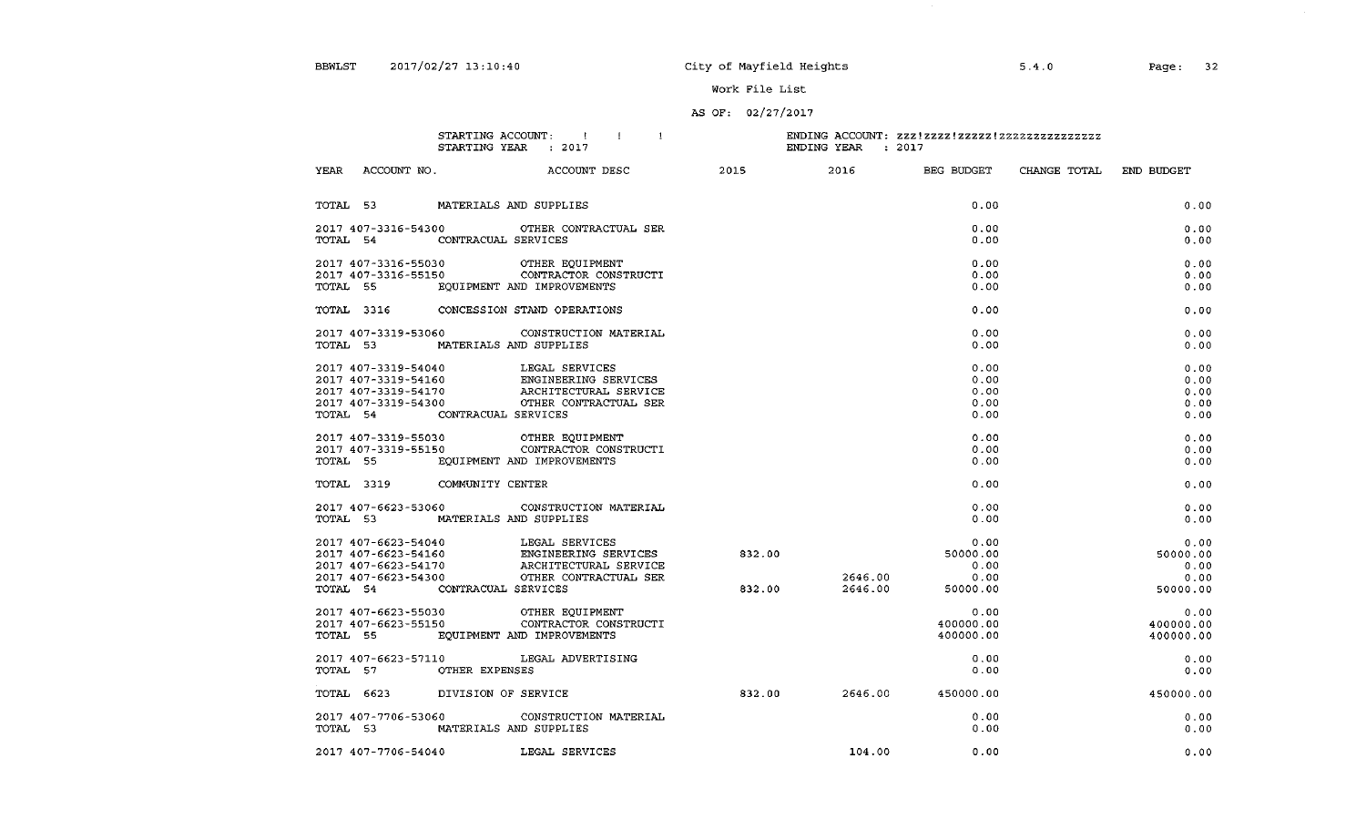5.4.0

Page: 32

Work File List

### AS OF: 02/27/2017

#### STARTING ACCOUNT:  $\qquad$   $\qquad$   $\qquad$   $\qquad$   $\qquad$   $\qquad$   $\qquad$   $\qquad$   $\qquad$   $\qquad$   $\qquad$   $\qquad$   $\qquad$   $\qquad$   $\qquad$   $\qquad$   $\qquad$   $\qquad$   $\qquad$   $\qquad$   $\qquad$   $\qquad$   $\qquad$   $\qquad$   $\qquad$   $\qquad$   $\qquad$   $\qquad$   $\qquad$   $\qquad$   $\qquad$   $\qquad$   $\qquad$   $\qquad$  STARTING YEAR : 2017

| YEAR<br>ACCOUNT NO.                 | ACCOUNT DESC                                    | 2015   | 2016              | BEG BUDGET       | CHANGE TOTAL | END BUDGET |
|-------------------------------------|-------------------------------------------------|--------|-------------------|------------------|--------------|------------|
| TOTAL 53 MATERIALS AND SUPPLIES     |                                                 |        |                   | 0.00             |              | 0.00       |
|                                     | 2017 407-3316-54300 OTHER CONTRACTUAL SER       |        |                   | 0.00             |              | 0.00       |
| TOTAL 54 CONTRACUAL SERVICES        |                                                 |        |                   | 0.00             |              | 0.00       |
| 2017 407-3316-55030                 | OTHER EQUIPMENT                                 |        |                   | 0.00             |              | 0.00       |
|                                     | 2017 407-3316-55150 CONTRACTOR CONSTRUCTI       |        |                   | 0.00             |              | 0.00       |
| TOTAL 55 EQUIPMENT AND IMPROVEMENTS |                                                 |        |                   | 0.00             |              | 0.00       |
|                                     | TOTAL 3316 CONCESSION STAND OPERATIONS          |        |                   | 0.00             |              | 0.00       |
|                                     | 2017 407-3319-53060 CONSTRUCTION MATERIAL       |        |                   | 0.00             |              | 0.00       |
| TOTAL 53                            | MATERIALS AND SUPPLIES                          |        |                   | 0.00             |              | 0.00       |
| 2017 407-3319-54040                 | LEGAL SERVICES                                  |        |                   | 0.00             |              | 0.00       |
|                                     | 2017 407-3319-54160 ENGINEERING SERVICES        |        |                   | 0.00             |              | 0.00       |
| 2017 407-3319-54170                 | ARCHITECTURAL SERVICE                           |        |                   | 0.00             |              | 0.00       |
|                                     | 2017 407-3319-54300 OTHER CONTRACTUAL SER       |        |                   | 0.00             |              | 0.00       |
| TOTAL 54 CONTRACUAL SERVICES        |                                                 |        |                   | 0.00             |              | 0.00       |
|                                     | 2017 407-3319-55030 OTHER EQUIPMENT             |        |                   | 0.00             |              | 0.00       |
|                                     | 2017 407-3319-55150 CONTRACTOR CONSTRUCTI       |        |                   | 0.00             |              | 0.00       |
|                                     | TOTAL 55 EOUIPMENT AND IMPROVEMENTS             |        |                   | 0.00             |              | 0.00       |
| TOTAL 3319 COMMUNITY CENTER         |                                                 |        |                   | 0.00             |              | 0.00       |
|                                     | 2017 407-6623-53060 CONSTRUCTION MATERIAL       |        |                   | 0.00             |              | 0.00       |
| TOTAL 53                            | MATERIALS AND SUPPLIES                          |        |                   | 0.00             |              | 0.00       |
| 2017 407-6623-54040                 | LEGAL SERVICES                                  |        |                   | 0.00             |              | 0.00       |
|                                     | 2017 407-6623-54160 ENGINEERING SERVICES 832.00 |        |                   | 50000.00         |              | 50000.00   |
| 2017 407-6623-54170                 | ARCHITECTURAL SERVICE                           |        |                   | 0.00             |              | 0.00       |
| 2017 407-6623-54300                 | OTHER CONTRACTUAL SER                           |        | 2646.00           | 0.00<br>50000.00 |              | 0.00       |
| TOTAL 54 CONTRACUAL SERVICES        |                                                 | 832.00 | 2646.00           |                  |              | 50000.00   |
|                                     | 2017 407-6623-55030 OTHER EQUIPMENT             |        |                   | 0.00             |              | 0.00       |
| 2017 407-6623-55150                 | CONTRACTOR CONSTRUCTI                           |        |                   | 400000.00        |              | 400000.00  |
| TOTAL 55 EQUIPMENT AND IMPROVEMENTS |                                                 |        |                   | 400000.00        |              | 400000.00  |
| 2017 407-6623-57110                 | LEGAL ADVERTISING                               |        |                   | 0.00             |              | 0.00       |
| TOTAL 57 OTHER EXPENSES             |                                                 |        |                   | 0.00             |              | 0.00       |
| TOTAL 6623 DIVISION OF SERVICE      |                                                 | 832.00 | 2646.00 450000.00 |                  |              | 450000.00  |
|                                     | 2017 407-7706-53060 CONSTRUCTION MATERIAL       |        |                   | 0.00             |              | 0.00       |
| TOTAL 53 MATERIALS AND SUPPLIES     |                                                 |        |                   | 0.00             |              | 0.00       |
| 2017 407-7706-54040                 | LEGAL SERVICES                                  |        | 104.00            | 0.00             |              | 0.00       |
|                                     |                                                 |        |                   |                  |              |            |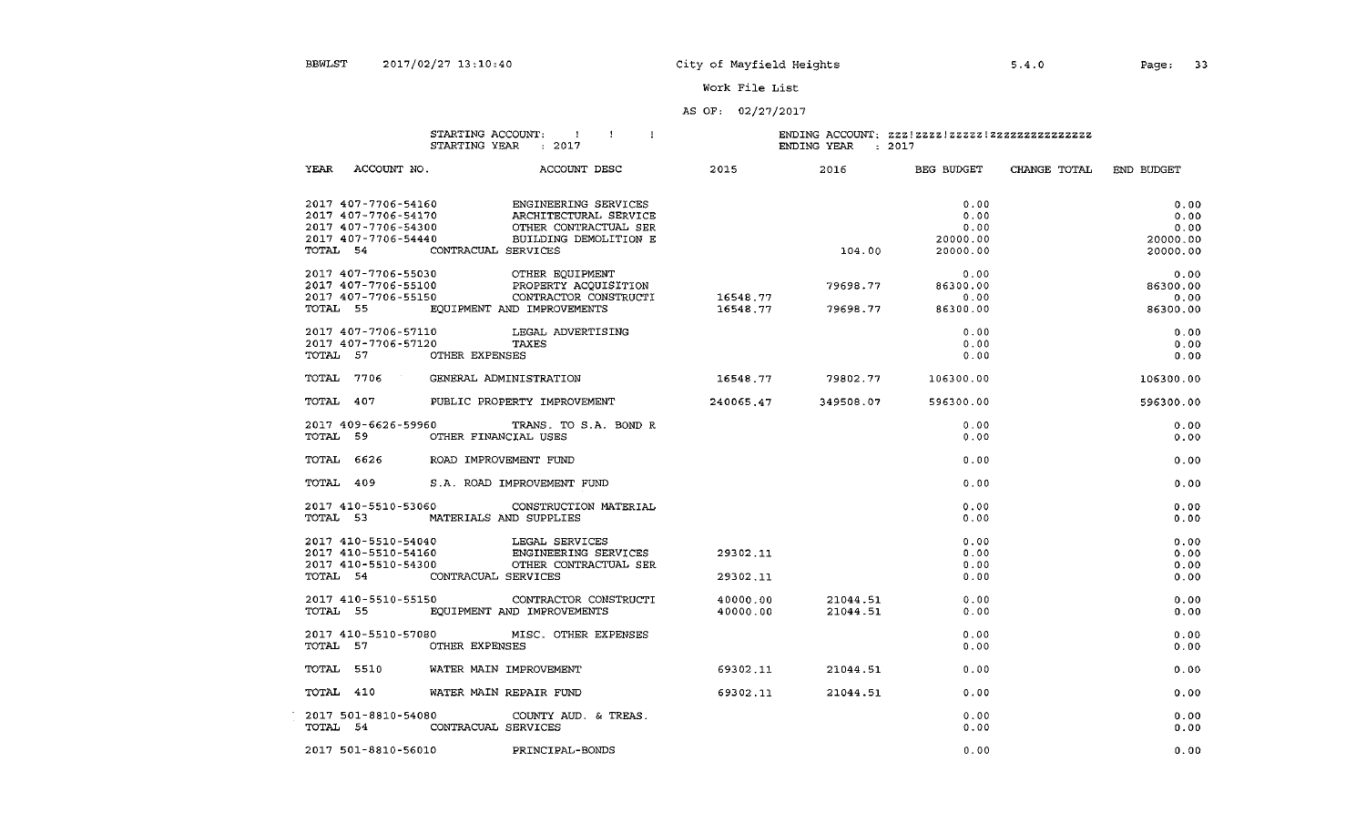2017 501-8810-56010 PRINCIPAL-BONDS

0.00

0.00

Work File List

### AS OF:  $02/27/2017$

|                                                                                               | ENDING ACCOUNT: 222!2222!22222.2222222222222222 |                                              |                                  |  |                                      |
|-----------------------------------------------------------------------------------------------|-------------------------------------------------|----------------------------------------------|----------------------------------|--|--------------------------------------|
| <b>YEAR</b> ACCOUNT NO. ACCOUNT DESC 2015 2016 BEG BUDGET CHANGE TOTAL END BUDGET             |                                                 |                                              |                                  |  |                                      |
| 2017 407-7706-54300 OTHER CONTRACTUAL SER<br>2017 407-7706-54440 BUILDING DEMOLITION E        |                                                 | 104.00                                       | 0.00<br>0.00<br>0.00<br>20000.00 |  | 0.00<br>0.00<br>0.00<br>20000.00     |
| TOTAL 54 CONTRACUAL SERVICES                                                                  |                                                 |                                              | 20000.00                         |  | 20000.00                             |
| 2017 407-7706-55030 OTHER EQUIPMENT<br>TOTAL 55 EQUIPMENT AND IMPROVEMENTS                    |                                                 | 79698.77<br>$16548.77$ $79698.77$ $86300.00$ | 0.00<br>86300.00<br>0.00         |  | 0.00<br>86300.00<br>0.00<br>86300.00 |
| 2017 407-7706-57110 LEGAL ADVERTISING<br>2017 407-7706-57120 TAXES<br>TOTAL 57 OTHER EXPENSES |                                                 |                                              | 0.00<br>0.00<br>0.00             |  | 0.00<br>0.00<br>0.00                 |
| TOTAL 7706 GENERAL ADMINISTRATION 16548.77 29802.77 106300.00                                 |                                                 |                                              |                                  |  | 106300.00                            |
| TOTAL 407 PUBLIC PROPERTY IMPROVEMENT 240065.47 349508.07 596300.00                           |                                                 |                                              |                                  |  | 596300.00                            |
| 2017 409-6626-59960 TRANS. TO S.A. BOND R<br>TOTAL 59 OTHER FINANCIAL USES                    |                                                 |                                              | 0.00<br>0.00                     |  | 0.00<br>0.00                         |
| TOTAL 6626 ROAD IMPROVEMENT FUND                                                              |                                                 |                                              | 0.00                             |  | 0.00                                 |
| TOTAL 409 S.A. ROAD IMPROVEMENT FUND                                                          |                                                 |                                              | 0.00                             |  | 0.00                                 |
| 2017 410-5510-53060 CONSTRUCTION MATERIAL<br>TOTAL 53 MATERIALS AND SUPPLIES                  |                                                 |                                              | 0.00<br>0.00                     |  | 0.00<br>0.00                         |
| 2017 410-5510-54040 LEGAL SERVICES<br>TOTAL 54 CONTRACUAL SERVICES                            | 29302.11<br>29302.11                            |                                              | 0.00<br>0.00<br>0.00<br>0.00     |  | 0.00<br>0.00<br>0.00<br>0.00         |
| TOTAL 55 EQUIPMENT AND IMPROVEMENTS                                                           |                                                 |                                              | 0.00<br>0.00                     |  | 0.00<br>0.00                         |
| 2017 410-5510-57080 MISC. OTHER EXPENSES<br>TOTAL 57 OTHER EXPENSES                           |                                                 |                                              | 0.00<br>0.00                     |  | 0.00<br>0.00                         |
| TOTAL 5510 WATER MAIN IMPROVEMENT 69302.11 21044.51                                           |                                                 |                                              | 0.00                             |  | 0.00                                 |
| TOTAL 410 WATER MAIN REPAIR FUND                                                              |                                                 | 69302.11 21044.51                            | 0.00                             |  | 0.00                                 |
| 2017 501-8810-54080 COUNTY AUD. & TREAS.<br>TOTAL 54 CONTRACUAL SERVICES                      |                                                 |                                              | 0.00<br>0.00                     |  | 0.00<br>0.00                         |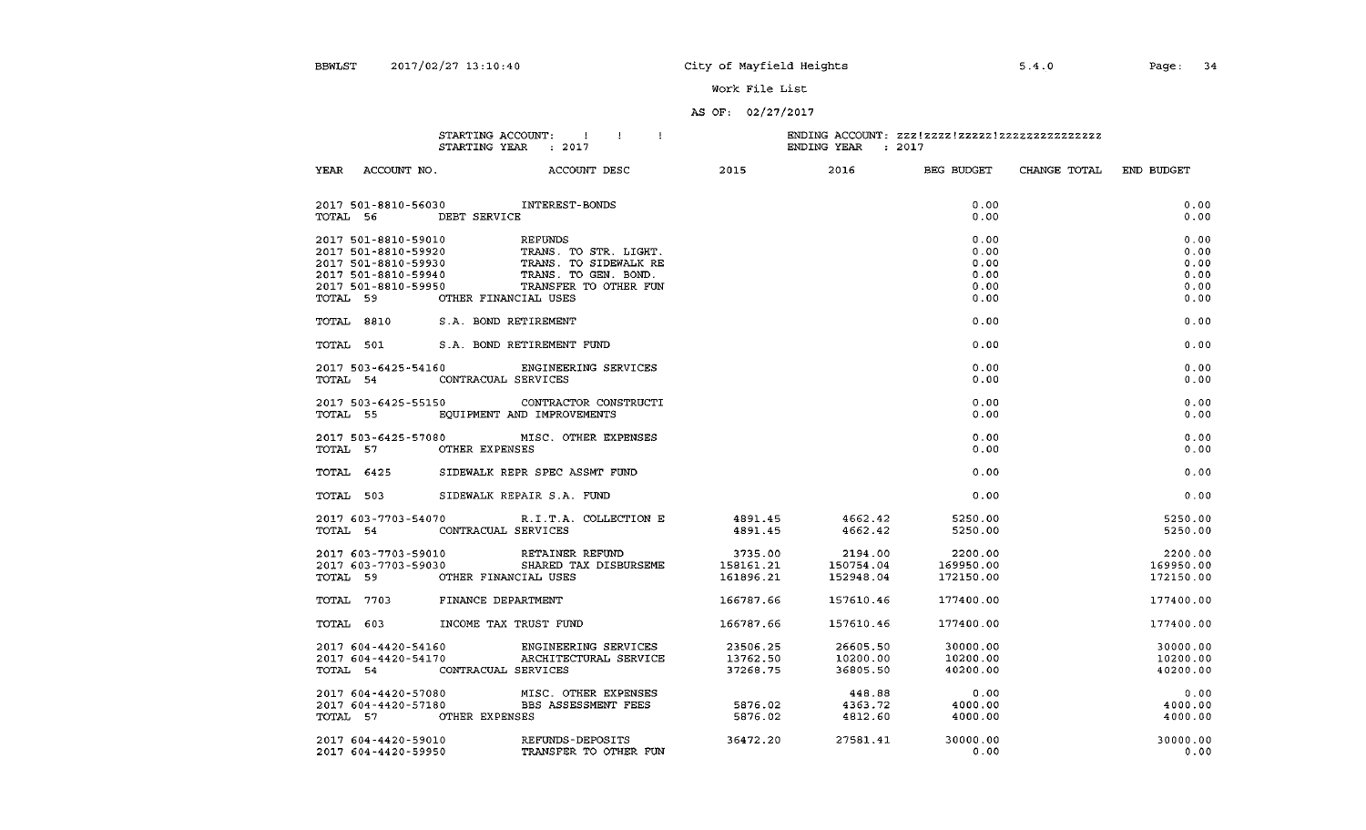YEAR ACCOUNT NO. ACCOUNT DESC

2015 2016

BEG BUDGET CHANGE TOTAL END BUDGET

Work File List

#### AS OF: 02/27/2017

#### STARTING ACCOUNT:  $\qquad$  !!! STARTING YEAR : 2017

|                                            | 2017 501-8810-56030 INTEREST-BONDS                                                                                                               |                    |                         | 0.00              | 0.00      |
|--------------------------------------------|--------------------------------------------------------------------------------------------------------------------------------------------------|--------------------|-------------------------|-------------------|-----------|
| TOTAL 56                                   | DEBT SERVICE                                                                                                                                     |                    |                         | 0.00              | 0.00      |
| 2017 501-8810-59010                        | REFUNDS                                                                                                                                          |                    |                         | 0.00              | 0.00      |
|                                            |                                                                                                                                                  |                    |                         | 0.00              | 0.00      |
| zui7 501-8810-59920<br>2017 501-8810-59930 | TRANS. TO STR. LIGHI.<br>TRANS. TO SIDEWALK RE                                                                                                   |                    |                         | 0.00              | 0.00      |
|                                            | TRANS. TO GEN. BOND.                                                                                                                             |                    |                         | 0.00              | 0.00      |
| 2017 501-8810-59940<br>2017 501-8810-59950 | TRANSFER TO OTHER FUN                                                                                                                            |                    |                         | 0.00              | 0.00      |
|                                            | TOTAL 59 OTHER FINANCIAL USES                                                                                                                    |                    |                         | 0.00              | 0.00      |
|                                            |                                                                                                                                                  |                    |                         |                   |           |
|                                            | TOTAL 8810 S.A. BOND RETIREMENT                                                                                                                  |                    |                         | 0.00              | 0.00      |
|                                            | TOTAL 501 S.A. BOND RETIREMENT FUND                                                                                                              |                    |                         | 0.00              | 0.00      |
|                                            | 2017 503-6425-54160 ENGINEERING SERVICES                                                                                                         |                    |                         | 0.00              | 0.00      |
|                                            | TOTAL 54 CONTRACUAL SERVICES                                                                                                                     |                    |                         | 0.00              | 0.00      |
|                                            | 2017 503-6425-55150 CONTRACTOR CONSTRUCTI                                                                                                        |                    |                         | 0.00              | 0.00      |
|                                            | TOTAL 55 EOUIPMENT AND IMPROVEMENTS                                                                                                              |                    |                         | 0.00              | 0.00      |
|                                            |                                                                                                                                                  |                    |                         |                   |           |
|                                            | 2017 503-6425-57080 MISC. OTHER EXPENSES                                                                                                         |                    |                         | 0.00              | 0.00      |
| TOTAL 57                                   | OTHER EXPENSES                                                                                                                                   |                    |                         | 0.00              | 0.00      |
|                                            | TOTAL 6425 SIDEWALK REPR SPEC ASSMT FUND                                                                                                         |                    |                         | 0.00              | 0.00      |
|                                            | TOTAL 503 SIDEWALK REPAIR S.A. FUND                                                                                                              |                    |                         | 0.00              | 0.00      |
|                                            | 2017 603-7703-54070 R.I.T.A. COLLECTION E                                                                                                        |                    | 4891.45 4662.42 5250.00 |                   | 5250.00   |
|                                            | TOTAL 54 CONTRACUAL SERVICES                                                                                                                     |                    | 4891.45 4662.42 5250.00 |                   | 5250.00   |
|                                            |                                                                                                                                                  |                    |                         |                   |           |
|                                            |                                                                                                                                                  |                    |                         |                   | 2200.00   |
|                                            |                                                                                                                                                  |                    |                         |                   | 169950.00 |
|                                            | TOTAL 59 OTHER FINANCIAL USES                                                                                                                    | 161896.21          | 152948.04               | 172150.00         | 172150.00 |
|                                            | TOTAL 7703 FINANCE DEPARTMENT                                                                                                                    | 166787.66          | 157610.46               | 177400.00         | 177400.00 |
|                                            | TOTAL 603 INCOME TAX TRUST FUND                                                                                                                  | 166787.66          | 157610.46               | 177400.00         | 177400.00 |
|                                            |                                                                                                                                                  |                    |                         |                   |           |
|                                            |                                                                                                                                                  |                    |                         | 26605.50 30000.00 | 30000.00  |
|                                            | 2017 604-4420-54160 ENGINEERING SERVICES 23506.25<br>2017 604-4420-54170 ARCHITECTURAL SERVICE 13762.50<br>13762.50 CONTRACUAL SERVICES 37268.75 |                    | 10200.00                | 10200.00          | 10200.00  |
|                                            | TOTAL 54 CONTRACUAL SERVICES                                                                                                                     |                    | 36805.50                | 40200.00          | 40200.00  |
| 2017 604-4420-57080                        | MISC. OTHER EXPENSES                                                                                                                             |                    |                         | 448.88 0.00       | 0.00      |
|                                            | 2017 604-4420-57180 BBS ASSESSMENT FEES                                                                                                          |                    | 4363.72                 | 4000.00           | 4000.00   |
| TOTAL 57 OTHER EXPENSES                    |                                                                                                                                                  | 5876.02<br>5876.02 | 4812.60                 | 4000.00           | 4000.00   |
| 2017 604-4420-59010                        | REFUNDS-DEPOSITS 36472.20                                                                                                                        |                    | 27581.41                | 30000.00          | 30000.00  |
| 2017 604-4420-59950                        | TRANSFER TO OTHER FUN                                                                                                                            |                    |                         | 0.00              | 0.00      |
|                                            |                                                                                                                                                  |                    |                         |                   |           |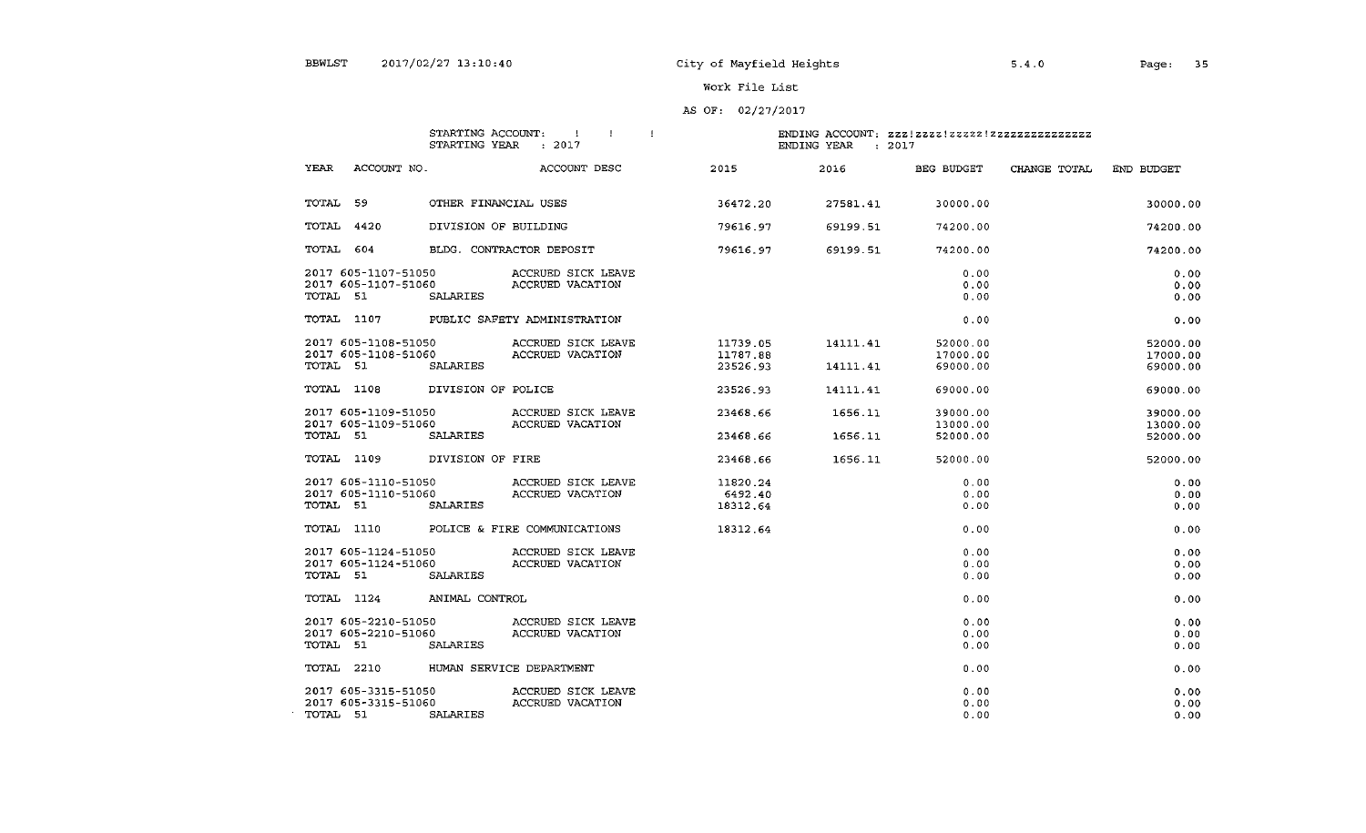5.4. 0

work File List

### AS OF, 02/27/2017

| STARTING ACCOUNT: |  |        | - |
|-------------------|--|--------|---|
| STARTING YEAR     |  | : 2017 |   |

|                    | ENDING ACCOUNT: zzz!zzzz!zzzzz!zzzzzzzzzzzzzzzz |
|--------------------|-------------------------------------------------|
| ENDING YEAR : 2017 |                                                 |

| YEAR<br>ACCOUNT NO                  |                 | ACCOUNT DESC                            | 2015      | 2016             | BEG BUDGET | CHANGE TOTAL | END BUDGET |
|-------------------------------------|-----------------|-----------------------------------------|-----------|------------------|------------|--------------|------------|
| TOTAL 59                            |                 | OTHER FINANCIAL USES                    | 36472, 20 | 27581.41         | 30000.00   |              | 30000.00   |
| TOTAL 4420                          |                 | DIVISION OF BUILDING                    | 79616.97  | 69199.51         | 74200.00   |              | 74200.00   |
| TOTAL 604 BLDG. CONTRACTOR DEPOSIT  |                 |                                         | 79616.97  | 69199.51         | 74200.00   |              | 74200.00   |
|                                     |                 | 2017 605-1107-51050 ACCRUED SICK LEAVE  |           |                  | 0.00       |              | 0.00       |
|                                     |                 | 2017 605-1107-51060 ACCRUED VACATION    |           |                  | 0.00       |              | 0.00       |
| TOTAL 51                            | <b>SALARIES</b> |                                         |           |                  | 0.00       |              | 0.00       |
|                                     |                 | TOTAL 1107 PUBLIC SAFETY ADMINISTRATION |           |                  | 0.00       |              | 0.00       |
|                                     |                 |                                         | 11739.05  | 14111.41         | 52000.00   |              | 52000.00   |
|                                     |                 |                                         | 11787.88  |                  | 17000.00   |              | 17000.00   |
| TOTAL 51                            | SALARIES        |                                         | 23526.93  | 14111.41         | 69000.00   |              | 69000.00   |
| TOTAL 1108 DIVISION OF POLICE       |                 |                                         | 23526.93  | 14111.41         | 69000.00   |              | 69000.00   |
|                                     |                 | 2017 605-1109-51050 ACCRUED SICK LEAVE  | 23468.66  | 1656.11          | 39000.00   |              | 39000.00   |
|                                     |                 | 2017 605-1109-51060 ACCRUED VACATION    |           |                  | 13000.00   |              | 13000.00   |
| TOTAL 51                            | SALARIES        |                                         | 23468.66  | 1656.11          | 52000.00   |              | 52000.00   |
| TOTAL 1109 DIVISION OF FIRE         |                 |                                         |           | 23468.66 1656.11 | 52000.00   |              | 52000.00   |
|                                     |                 | 2017 605-1110-51050 ACCRUED SICK LEAVE  | 11820.24  |                  | 0.00       |              | 0.00       |
|                                     |                 | 2017 605-1110-51060 ACCRUED VACATION    | 6492.40   |                  | 0.00       |              | 0.00       |
| TOTAL 51                            | SALARIES        |                                         | 18312.64  |                  | 0.00       |              | 0.00       |
|                                     |                 | TOTAL 1110 POLICE & FIRE COMMUNICATIONS | 18312.64  |                  | 0.00       |              | 0.00       |
|                                     |                 |                                         |           |                  | 0.00       |              | 0.00       |
|                                     |                 |                                         |           |                  | 0.00       |              | 0.00       |
| TOTAL 51                            | SALARIES        |                                         |           |                  | 0.00       |              | 0.00       |
| TOTAL 1124 ANIMAL CONTROL           |                 |                                         |           |                  | 0.00       |              | 0.00       |
|                                     |                 | 2017 605-2210-51050 ACCRUED SICK LEAVE  |           |                  | 0.00       |              | 0.00       |
| 2017 605-2210-51060                 |                 | ACCRUED VACATION                        |           |                  | 0.00       |              | 0.00       |
| TOTAL 51                            | SALARIES        |                                         |           |                  | 0.00       |              | 0.00       |
| TOTAL 2210 HUMAN SERVICE DEPARTMENT |                 |                                         |           |                  | 0.00       |              | 0.00       |
|                                     |                 | 2017 605-3315-51050 ACCRUED SICK LEAVE  |           |                  | 0.00       |              | 0.00       |
| 2017 605-3315-51060                 |                 | ACCRUED VACATION                        |           |                  | 0.00       |              | 0.00       |
| TOTAL 51                            | SALARIES        |                                         |           |                  | 0.00       |              | 0.00       |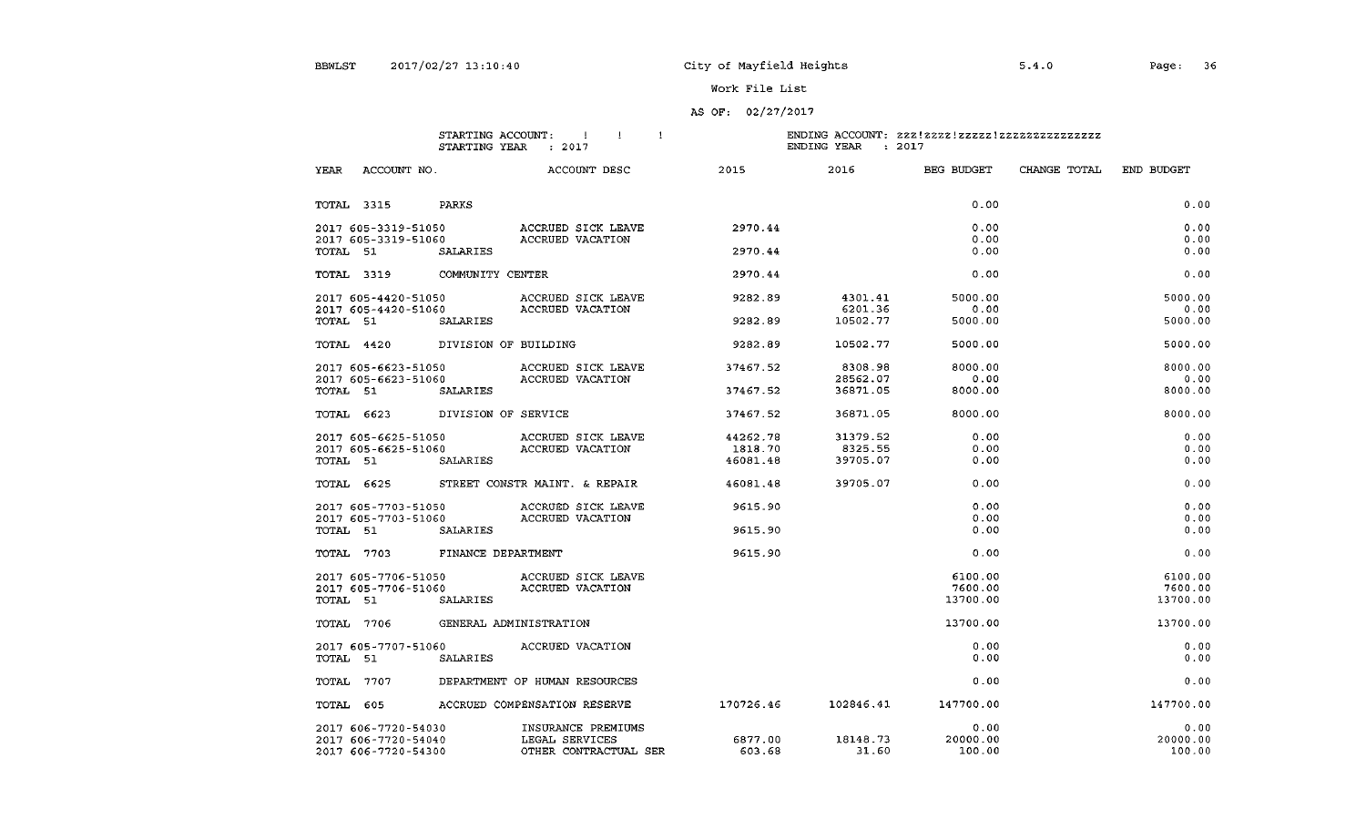### AS OF: 02/27/2017

#### STARTING ACCOUNT:  $\qquad$   $\qquad$   $\qquad$   $\qquad$   $\qquad$  1 STARTING YEAR : 2017

| ACCOUNT NO.<br>YEAR               |                 | ACCOUNT DESC                                   | 2015     | 2016     | BEG BUDGET   | CHANGE TOTAL | END BUDGET   |
|-----------------------------------|-----------------|------------------------------------------------|----------|----------|--------------|--------------|--------------|
| TOTAL 3315 PARKS                  |                 |                                                |          |          | 0.00         |              | 0.00         |
|                                   |                 | 2017 605-3319-51050 ACCRUED SICK LEAVE         | 2970.44  |          | 0.00         |              | 0.00         |
| 2017 605-3319-51060<br>TOTAL 51   | SALARIES        | ACCRUED VACATION                               | 2970.44  |          | 0.00<br>0.00 |              | 0.00<br>0.00 |
| TOTAL 3319 COMMUNITY CENTER       |                 |                                                | 2970.44  |          | 0.00         |              | 0.00         |
|                                   |                 | ACCRUED SICK LEAVE                             | 9282.89  | 4301.41  | 5000.00      |              | 5000.00      |
|                                   |                 |                                                |          | 6201.36  | 0.00         |              | 0.00         |
| TOTAL 51                          | <b>SALARIES</b> |                                                | 9282.89  | 10502.77 | 5000.00      |              | 5000.00      |
| TOTAL 4420 DIVISION OF BUILDING   |                 |                                                | 9282.89  | 10502.77 | 5000.00      |              | 5000.00      |
|                                   |                 | 2017 605-6623-51050         ACCRUED SICK LEAVE | 37467.52 | 8308.98  | 8000.00      |              | 8000.00      |
|                                   |                 | 2017 605-6623-51060 ACCRUED VACATION           |          | 28562.07 | 0.00         |              | 0.00         |
| TOTAL 51                          | <b>SALARIES</b> |                                                | 37467.52 | 36871.05 | 8000.00      |              | 8000.00      |
| TOTAL 6623 DIVISION OF SERVICE    |                 |                                                | 37467.52 | 36871.05 | 8000.00      |              | 8000.00      |
|                                   |                 | 2017 605-6625-51050 ACCRUED SICK LEAVE         | 44262.78 | 31379.52 | 0.00         |              | 0.00         |
|                                   |                 | 2017 605-6625-51060 ACCRUED VACATION           | 1818 70  | 8325.55  | 0.00         |              | 0.00         |
| TOTAL 51                          | SALARIES        |                                                | 46081.48 | 39705.07 | 0.00         |              | 0.00         |
| TOTAL 6625                        |                 | STREET CONSTR MAINT. & REPAIR                  | 46081.48 | 39705.07 | 0.00         |              | 0.00         |
|                                   |                 |                                                | 9615.90  |          | 0.00         |              | 0.00         |
|                                   |                 |                                                |          |          | 0.00         |              | 0.00         |
| TOTAL 51 SALARIES                 |                 |                                                | 9615.90  |          | 0.00         |              | 0.00         |
| TOTAL 7703 FINANCE DEPARTMENT     |                 |                                                | 9615.90  |          | 0.00         |              | 0.00         |
|                                   |                 |                                                |          |          | 6100.00      |              | 6100.00      |
|                                   |                 |                                                |          |          | 7600.00      |              | 7600.00      |
| TOTAL 51                          | <b>SALARIES</b> |                                                |          |          | 13700.00     |              | 13700.00     |
| TOTAL 7706 GENERAL ADMINISTRATION |                 |                                                |          |          | 13700.00     |              | 13700.00     |
|                                   |                 | 2017 605-7707-51060 ACCRUED VACATION           |          |          | 0.00         |              | 0.00         |
| TOTAL 51                          | SALARIES        |                                                |          |          | 0.00         |              | 0.00         |
|                                   |                 | TOTAL 7707 DEPARTMENT OF HUMAN RESOURCES       |          |          | 0.00         |              | 0.00         |
| TOTAL 605                         |                 |                                                |          |          | 147700.00    |              | 147700.00    |
| 2017 606-7720-54030               |                 | INSURANCE PREMIUMS                             |          |          | 0.00         |              | 0.00         |
| 2017 606-7720-54040               |                 | LEGAL SERVICES                                 | 6877.00  | 18148.73 | 20000.00     |              | 20000.00     |
| 2017 606-7720-54300               |                 | OTHER CONTRACTUAL SER                          | 603.68   | 31.60    | 100.00       |              | 100.00       |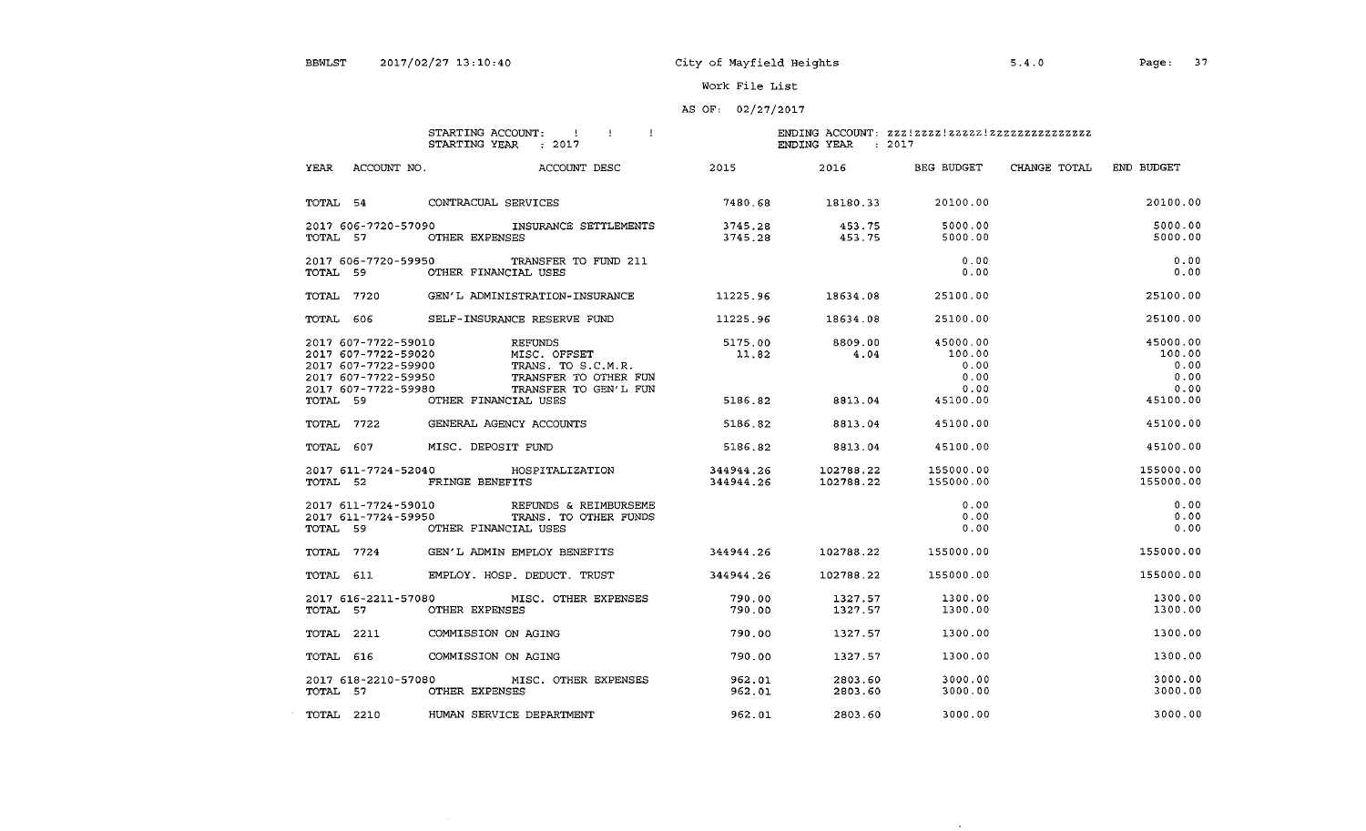### AS OF: 02/27/2017

### STARTING ACCOUNT: STARTING YEAR : 2017

### ENDING ACCOUNT: zzz!zzzz!zzzzz!zzzzzzzzzzzzzzz ENDING YEAR : 2017

**Contract** 

| <b>YEAR</b><br>ACCOUNT NO. | ACCOUNT DESC                                | 2015      | 2016      | BEG BUDGET | CHANGE TOTAL | END BUDGET |
|----------------------------|---------------------------------------------|-----------|-----------|------------|--------------|------------|
| TOTAL 54                   | CONTRACUAL SERVICES                         | 7480.68   | 18180.33  | 20100.00   |              | 20100.00   |
|                            | 2017 606-7720-57090 INSURANCE SETTLEMENTS   | 3745.28   | 453.75    | 5000.00    |              | 5000.00    |
| TOTAL 57                   | OTHER EXPENSES                              | 3745.28   | 453.75    | 5000.00    |              | 5000.00    |
| 2017 606-7720-59950        | TRANSFER TO FUND 211                        |           |           | 0.00       |              | 0.00       |
| TOTAL 59                   | OTHER FINANCIAL USES                        |           |           | 0.00       |              | 0.00       |
| TOTAL 7720                 | GEN'L ADMINISTRATION-INSURANCE              | 11225.96  | 18634.08  | 25100.00   |              | 25100.00   |
| TOTAL 606                  | SELF-INSURANCE RESERVE FUND                 | 11225.96  | 18634.08  | 25100.00   |              | 25100.00   |
| 2017 607-7722-59010        | <b>EXERCISE REFUNDS</b>                     | 5175.00   | 8809.00   | 45000.00   |              | 45000.00   |
| 2017 607-7722-59020        | MISC. OFFSET                                | 11.82     | 4.04      | 100.00     |              | 100.00     |
| 2017 607-7722-59900        | TRANS. TO S.C.M.R.                          |           |           | 0.00       |              | 0.00       |
| 2017 607-7722-59950        | TRANSFER TO OTHER FUN                       |           |           | 0.00       |              | 0.00       |
| 2017 607-7722-59980        | TRANSFER TO GEN'L FUN                       |           |           | 0.00       |              | 0.00       |
| TOTAL 59                   | OTHER FINANCIAL USES                        | 5186.82   | 8813.04   | 45100.00   |              | 45100.00   |
| TOTAL 7722                 | GENERAL AGENCY ACCOUNTS                     | 5186.82   | 8813.04   | 45100.00   |              | 45100.00   |
| TOTAL 607                  | MISC. DEPOSIT FUND                          | 5186.82   | 8813.04   | 45100.00   |              | 45100.00   |
|                            | 2017 611-7724-52040 HOSPITALIZATION         | 344944.26 | 102788.22 | 155000.00  |              | 155000.00  |
| TOTAL 52                   | FRINGE BENEFITS                             | 344944.26 | 102788.22 | 155000.00  |              | 155000.00  |
|                            | 2017 611-7724-59010 REFUNDS & REIMBURSEME   |           |           | 0.00       |              | 0.00       |
| 2017 611-7724-59950        | TRANS. TO OTHER FUNDS                       |           |           | 0.00       |              | 0.00       |
| TOTAL 59                   | OTHER FINANCIAL USES                        |           |           | 0.00       |              | 0.00       |
| TOTAL 7724                 | GEN'L ADMIN EMPLOY BENEFITS 344944.26       |           | 102788.22 | 155000.00  |              | 155000.00  |
| TOTAL 611                  | EMPLOY. HOSP. DEDUCT. TRUST                 | 344944.26 | 102788.22 | 155000.00  |              | 155000.00  |
|                            | 2017 616-2211-57080 MISC. OTHER EXPENSES    | 790.00    | 1327.57   | 1300.00    |              | 1300.00    |
| TOTAL 57                   | OTHER EXPENSES                              | 790.00    | 1327.57   | 1300.00    |              | 1300.00    |
| TOTAL 2211                 | COMMISSION ON AGING                         | 790.00    | 1327.57   | 1300.00    |              | 1300.00    |
| TOTAL 616                  | COMMISSION ON AGING                         | 790.00    | 1327.57   | 1300.00    |              | 1300.00    |
|                            | 2017 618-2210-57080<br>MISC. OTHER EXPENSES | 962.01    | 2803.60   | 3000.00    |              | 3000.00    |
| TOTAL 57                   | OTHER EXPENSES                              | 962.01    | 2803.60   | 3000.00    |              | 3000.00    |
| TOTAL 2210                 | HUMAN SERVICE DEPARTMENT                    | 962.01    | 2803.60   | 3000.00    |              | 3000.00    |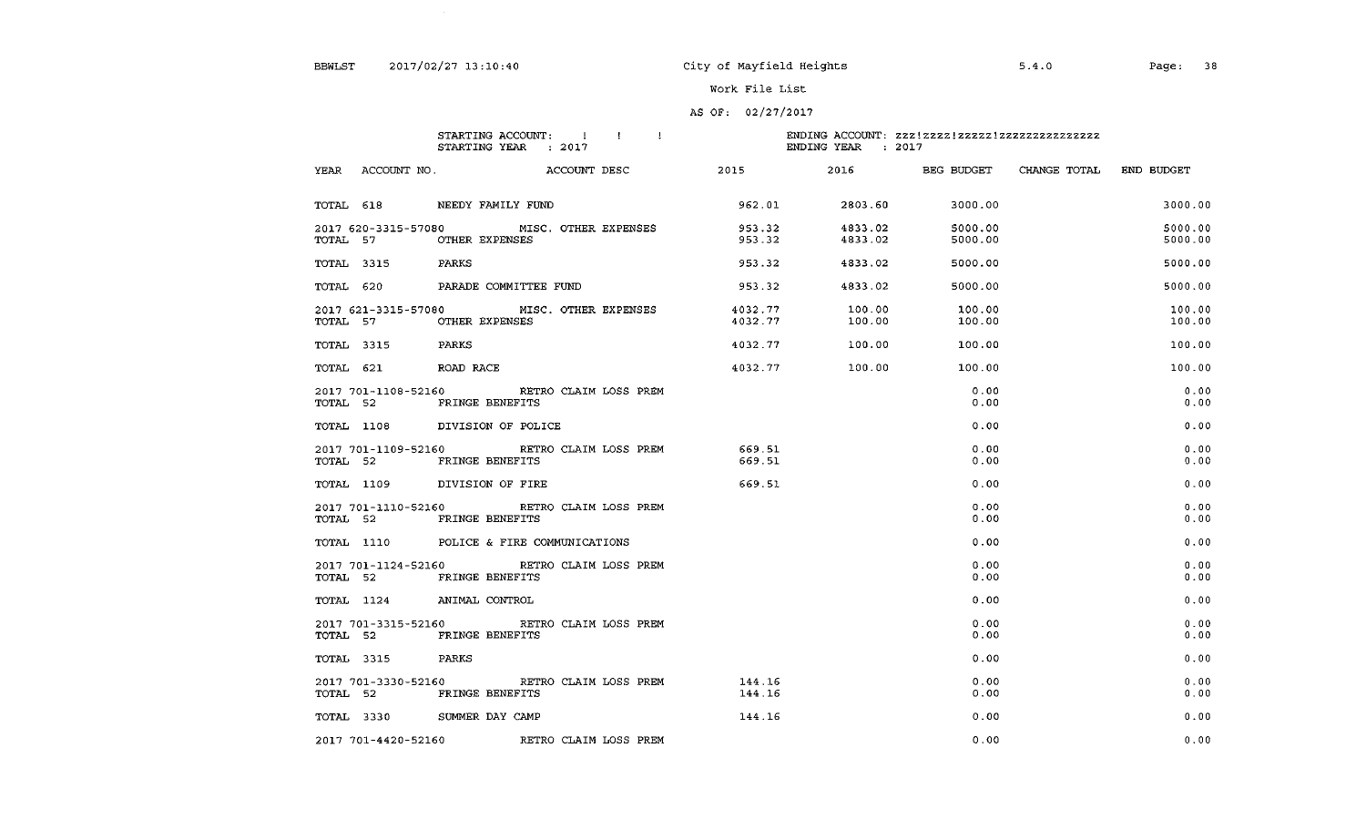5.4.0

Page: 38

### work File List

### AS OF: 02/27/2017

## STARTING ACCOUNT: 1<br>STARTING YEAR 1: 2017

| YEAR | ACCOUNT NO.         | <b>ACCOUNT DESC</b>                                                   | 2015               |                        | 2016 BEG BUDGET    | CHANGE TOTAL END BUDGET |                    |
|------|---------------------|-----------------------------------------------------------------------|--------------------|------------------------|--------------------|-------------------------|--------------------|
|      |                     | TOTAL 618 NEEDY FAMILY FUND                                           |                    | 962.01 2803.60 3000.00 |                    |                         | 3000.00            |
|      |                     | 2017 620-3315-57080 MISC. OTHER EXPENSES<br>TOTAL 57 OTHER EXPENSES   | 953.32<br>953.32   | 4833.02<br>4833.02     | 5000.00<br>5000.00 |                         | 5000.00<br>5000.00 |
|      | TOTAL 3315 PARKS    |                                                                       | 953.32             | 4833.02                | 5000.00            |                         | 5000.00            |
|      |                     | TOTAL 620 PARADE COMMITTEE FUND                                       | 953.32             | 4833.02                | 5000.00            |                         | 5000.00            |
|      |                     | 2017 621-3315-57080 MISC. OTHER EXPENSES<br>TOTAL 57 OTHER EXPENSES   | 4032.77<br>4032.77 | 100.00<br>100.00       | 100.00<br>100.00   |                         | 100.00<br>100.00   |
|      | TOTAL 3315 PARKS    |                                                                       |                    | 4032.77 100.00         | 100.00             |                         | 100.00             |
|      | TOTAL 621 ROAD RACE |                                                                       |                    | 4032.77 100.00         | 100.00             |                         | 100.00             |
|      |                     | 2017 701-1108-52160 RETRO CLAIM LOSS PREM<br>TOTAL 52 FRINGE BENEFITS |                    |                        | 0.00<br>0.00       |                         | 0.00<br>0.00       |
|      |                     | TOTAL 1108 DIVISION OF POLICE                                         |                    |                        | 0.00               |                         | 0.00               |
|      |                     | 2017 701-1109-52160 RETRO CLAIM LOSS PREM<br>TOTAL 52 FRINGE BENEFITS | 669.51<br>669.51   |                        | 0.00<br>0.00       |                         | 0.00<br>0.00       |
|      |                     | TOTAL 1109 DIVISION OF FIRE                                           | 669.51             |                        | 0.00               |                         | 0.00               |
|      |                     | 2017 701-1110-52160 RETRO CLAIM LOSS PREM<br>TOTAL 52 FRINGE BENEFITS |                    |                        | 0.00<br>0.00       |                         | 0.00<br>0.00       |
|      |                     | TOTAL 1110 POLICE & FIRE COMMUNICATIONS                               |                    |                        | 0.00               |                         | 0.00               |
|      |                     | 2017 701-1124-52160 RETRO CLAIM LOSS PREM<br>TOTAL 52 FRINGE BENEFITS |                    |                        | 0.00<br>0.00       |                         | 0.00<br>0.00       |
|      |                     | TOTAL 1124 ANIMAL CONTROL                                             |                    |                        | 0.00               |                         | 0.00               |
|      |                     | 2017 701-3315-52160 RETRO CLAIM LOSS PREM<br>TOTAL 52 FRINGE BENEFITS |                    |                        | 0.00<br>0.00       |                         | 0.00<br>0.00       |
|      | TOTAL 3315 PARKS    |                                                                       |                    |                        | 0.00               |                         | 0.00               |
|      |                     | 2017 701-3330-52160 RETRO CLAIM LOSS PREM<br>TOTAL 52 FRINGE BENEFITS | 144.16<br>144.16   |                        | 0.00<br>0.00       |                         | 0.00<br>0.00       |
|      |                     | TOTAL 3330 SUMMER DAY CAMP                                            | 144.16             |                        | 0.00               |                         | 0.00               |
|      |                     | 2017 701-4420-52160 RETRO CLAIM LOSS PREM                             |                    |                        | 0.00               |                         | 0.00               |